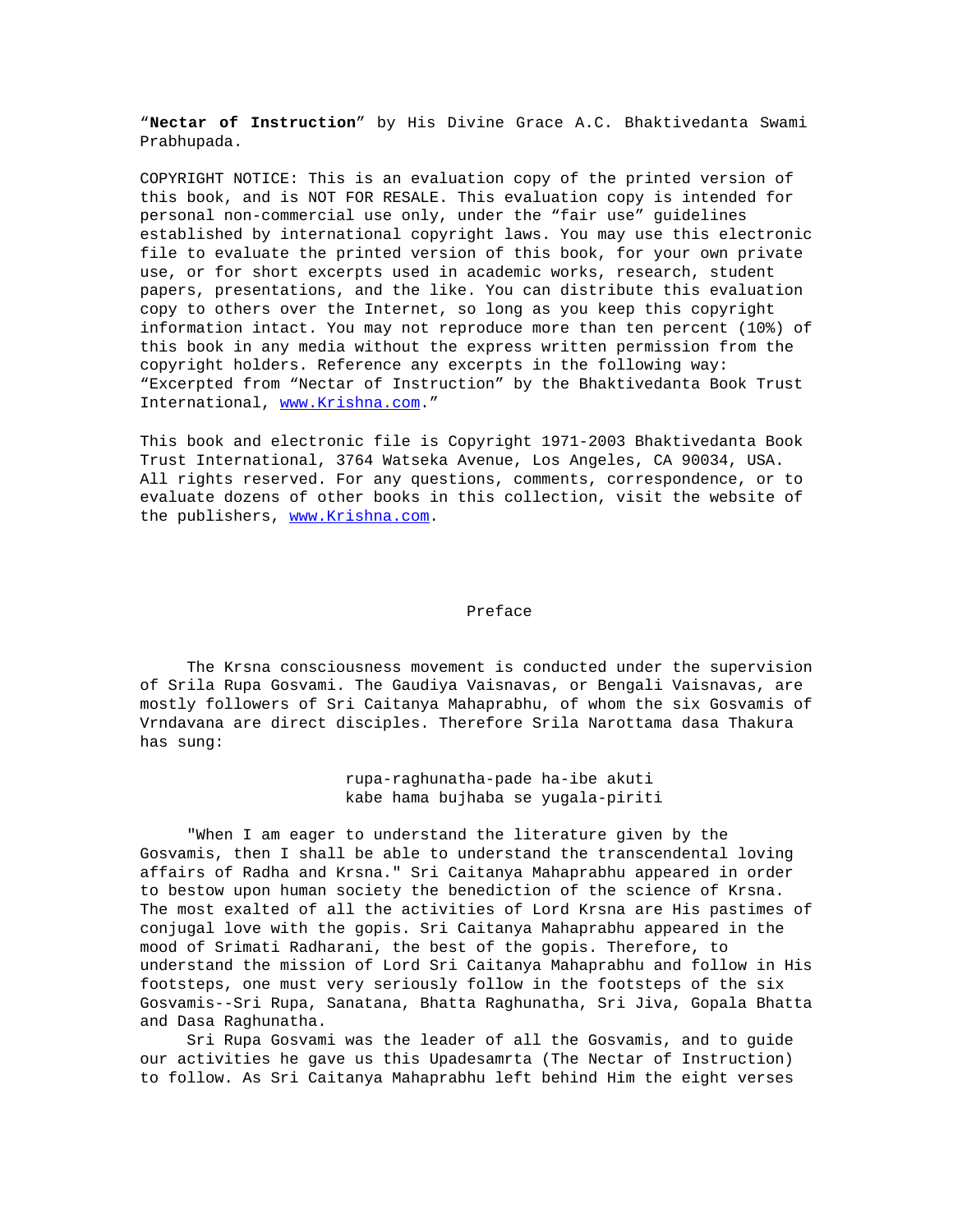"**Nectar of Instruction**" by His Divine Grace A.C. Bhaktivedanta Swami Prabhupada.

COPYRIGHT NOTICE: This is an evaluation copy of the printed version of this book, and is NOT FOR RESALE. This evaluation copy is intended for personal non-commercial use only, under the "fair use" guidelines established by international copyright laws. You may use this electronic file to evaluate the printed version of this book, for your own private use, or for short excerpts used in academic works, research, student papers, presentations, and the like. You can distribute this evaluation copy to others over the Internet, so long as you keep this copyright information intact. You may not reproduce more than ten percent (10%) of this book in any media without the express written permission from the copyright holders. Reference any excerpts in the following way: "Excerpted from "Nectar of Instruction" by the Bhaktivedanta Book Trust International, www.Krishna.com."

This book and electronic file is Copyright 1971-2003 Bhaktivedanta Book Trust International, 3764 Watseka Avenue, Los Angeles, CA 90034, USA. All rights reserved. For any questions, comments, correspondence, or to evaluate dozens of other books in this collection, visit the website of the publishers, www.Krishna.com.

#### Preface

 The Krsna consciousness movement is conducted under the supervision of Srila Rupa Gosvami. The Gaudiya Vaisnavas, or Bengali Vaisnavas, are mostly followers of Sri Caitanya Mahaprabhu, of whom the six Gosvamis of Vrndavana are direct disciples. Therefore Srila Narottama dasa Thakura has sung:

> rupa-raghunatha-pade ha-ibe akuti kabe hama bujhaba se yugala-piriti

 "When I am eager to understand the literature given by the Gosvamis, then I shall be able to understand the transcendental loving affairs of Radha and Krsna." Sri Caitanya Mahaprabhu appeared in order to bestow upon human society the benediction of the science of Krsna. The most exalted of all the activities of Lord Krsna are His pastimes of conjugal love with the gopis. Sri Caitanya Mahaprabhu appeared in the mood of Srimati Radharani, the best of the gopis. Therefore, to understand the mission of Lord Sri Caitanya Mahaprabhu and follow in His footsteps, one must very seriously follow in the footsteps of the six Gosvamis--Sri Rupa, Sanatana, Bhatta Raghunatha, Sri Jiva, Gopala Bhatta and Dasa Raghunatha.

 Sri Rupa Gosvami was the leader of all the Gosvamis, and to guide our activities he gave us this Upadesamrta (The Nectar of Instruction) to follow. As Sri Caitanya Mahaprabhu left behind Him the eight verses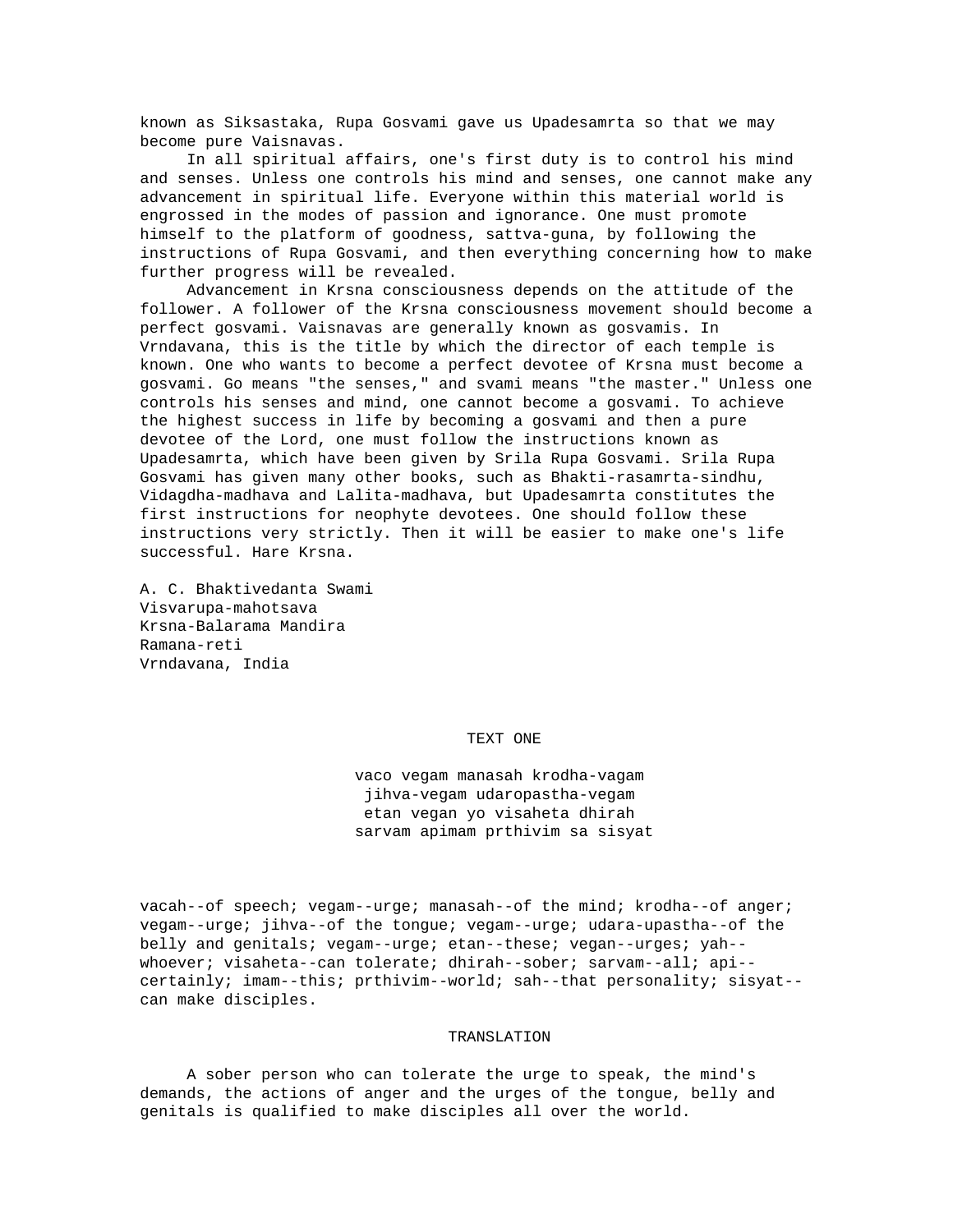known as Siksastaka, Rupa Gosvami gave us Upadesamrta so that we may become pure Vaisnavas.

 In all spiritual affairs, one's first duty is to control his mind and senses. Unless one controls his mind and senses, one cannot make any advancement in spiritual life. Everyone within this material world is engrossed in the modes of passion and ignorance. One must promote himself to the platform of goodness, sattva-guna, by following the instructions of Rupa Gosvami, and then everything concerning how to make further progress will be revealed.

 Advancement in Krsna consciousness depends on the attitude of the follower. A follower of the Krsna consciousness movement should become a perfect gosvami. Vaisnavas are generally known as gosvamis. In Vrndavana, this is the title by which the director of each temple is known. One who wants to become a perfect devotee of Krsna must become a gosvami. Go means "the senses," and svami means "the master." Unless one controls his senses and mind, one cannot become a gosvami. To achieve the highest success in life by becoming a gosvami and then a pure devotee of the Lord, one must follow the instructions known as Upadesamrta, which have been given by Srila Rupa Gosvami. Srila Rupa Gosvami has given many other books, such as Bhakti-rasamrta-sindhu, Vidagdha-madhava and Lalita-madhava, but Upadesamrta constitutes the first instructions for neophyte devotees. One should follow these instructions very strictly. Then it will be easier to make one's life successful. Hare Krsna.

A. C. Bhaktivedanta Swami Visvarupa-mahotsava Krsna-Balarama Mandira Ramana-reti Vrndavana, India

### TEXT ONE

 vaco vegam manasah krodha-vagam jihva-vegam udaropastha-vegam etan vegan yo visaheta dhirah sarvam apimam prthivim sa sisyat

vacah--of speech; vegam--urge; manasah--of the mind; krodha--of anger; vegam--urge; jihva--of the tongue; vegam--urge; udara-upastha--of the belly and genitals; vegam--urge; etan--these; vegan--urges; yah- whoever; visaheta--can tolerate; dhirah--sober; sarvam--all; api- certainly; imam--this; prthivim--world; sah--that personality; sisyat- can make disciples.

#### TRANSLATION

 A sober person who can tolerate the urge to speak, the mind's demands, the actions of anger and the urges of the tongue, belly and genitals is qualified to make disciples all over the world.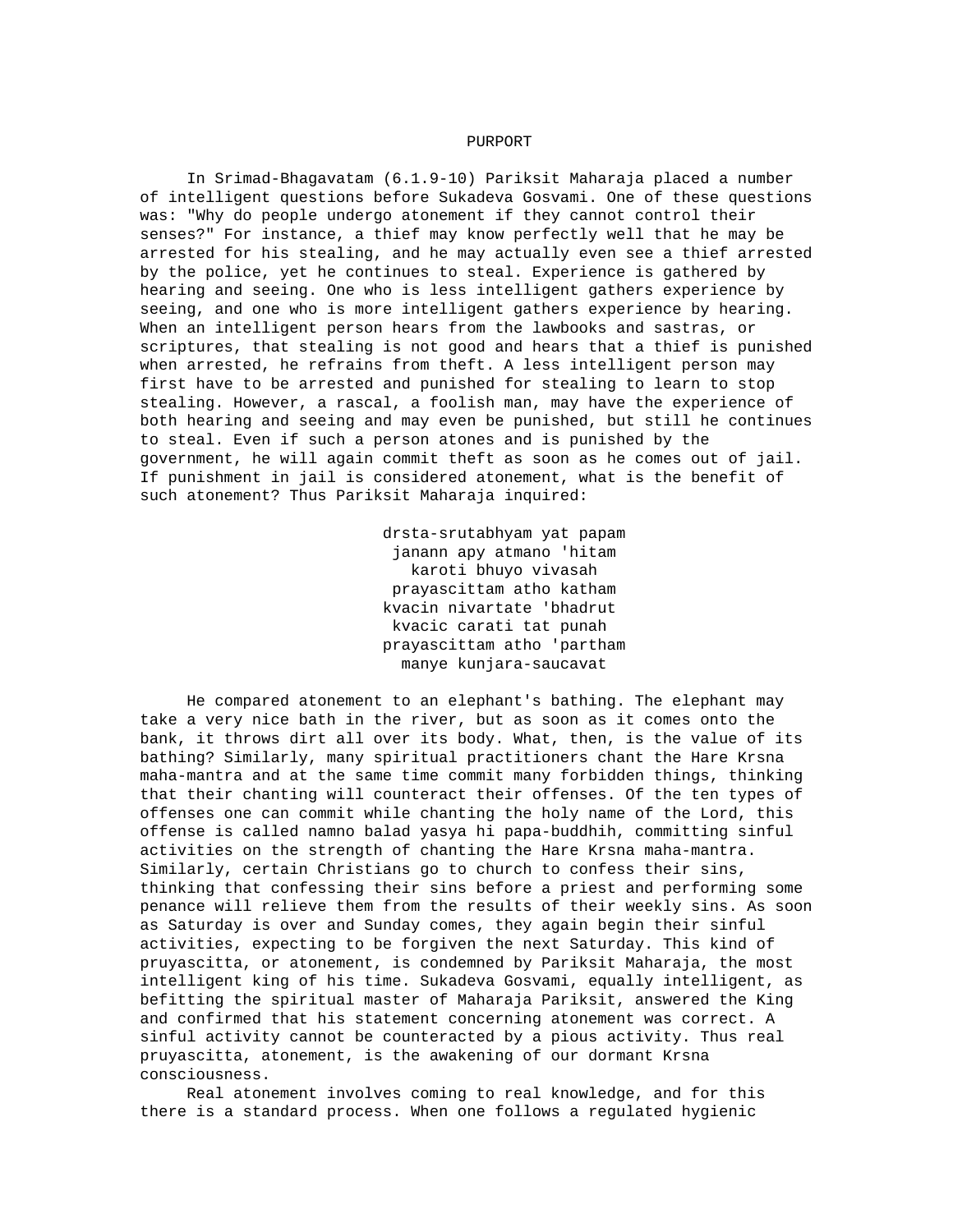# PURPORT

 In Srimad-Bhagavatam (6.1.9-10) Pariksit Maharaja placed a number of intelligent questions before Sukadeva Gosvami. One of these questions was: "Why do people undergo atonement if they cannot control their senses?" For instance, a thief may know perfectly well that he may be arrested for his stealing, and he may actually even see a thief arrested by the police, yet he continues to steal. Experience is gathered by hearing and seeing. One who is less intelligent gathers experience by seeing, and one who is more intelligent gathers experience by hearing. When an intelligent person hears from the lawbooks and sastras, or scriptures, that stealing is not good and hears that a thief is punished when arrested, he refrains from theft. A less intelligent person may first have to be arrested and punished for stealing to learn to stop stealing. However, a rascal, a foolish man, may have the experience of both hearing and seeing and may even be punished, but still he continues to steal. Even if such a person atones and is punished by the government, he will again commit theft as soon as he comes out of jail. If punishment in jail is considered atonement, what is the benefit of such atonement? Thus Pariksit Maharaja inquired:

> drsta-srutabhyam yat papam janann apy atmano 'hitam karoti bhuyo vivasah prayascittam atho katham kvacin nivartate 'bhadrut kvacic carati tat punah prayascittam atho 'partham manye kunjara-saucavat

 He compared atonement to an elephant's bathing. The elephant may take a very nice bath in the river, but as soon as it comes onto the bank, it throws dirt all over its body. What, then, is the value of its bathing? Similarly, many spiritual practitioners chant the Hare Krsna maha-mantra and at the same time commit many forbidden things, thinking that their chanting will counteract their offenses. Of the ten types of offenses one can commit while chanting the holy name of the Lord, this offense is called namno balad yasya hi papa-buddhih, committing sinful activities on the strength of chanting the Hare Krsna maha-mantra. Similarly, certain Christians go to church to confess their sins, thinking that confessing their sins before a priest and performing some penance will relieve them from the results of their weekly sins. As soon as Saturday is over and Sunday comes, they again begin their sinful activities, expecting to be forgiven the next Saturday. This kind of pruyascitta, or atonement, is condemned by Pariksit Maharaja, the most intelligent king of his time. Sukadeva Gosvami, equally intelligent, as befitting the spiritual master of Maharaja Pariksit, answered the King and confirmed that his statement concerning atonement was correct. A sinful activity cannot be counteracted by a pious activity. Thus real pruyascitta, atonement, is the awakening of our dormant Krsna consciousness.

 Real atonement involves coming to real knowledge, and for this there is a standard process. When one follows a regulated hygienic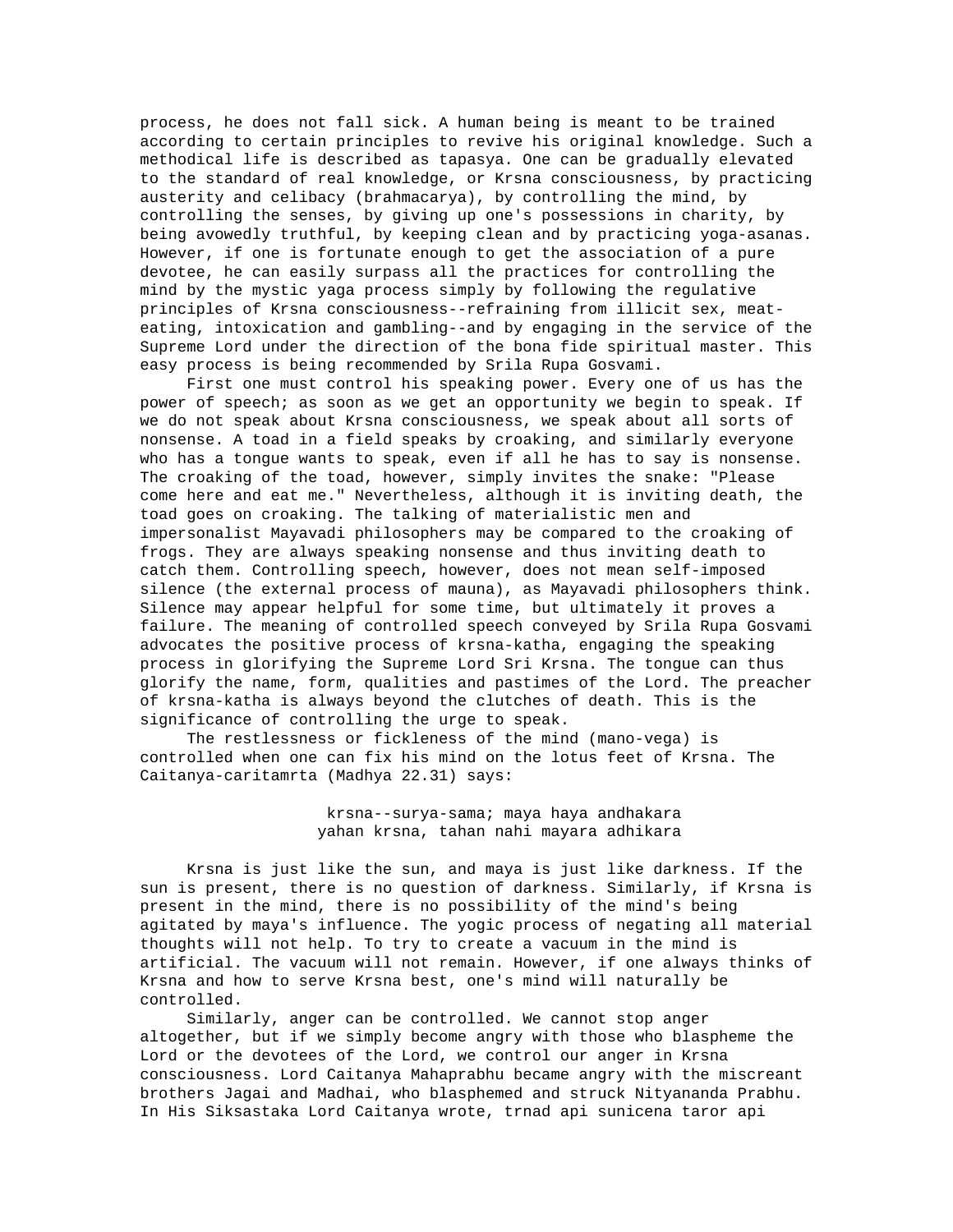process, he does not fall sick. A human being is meant to be trained according to certain principles to revive his original knowledge. Such a methodical life is described as tapasya. One can be gradually elevated to the standard of real knowledge, or Krsna consciousness, by practicing austerity and celibacy (brahmacarya), by controlling the mind, by controlling the senses, by giving up one's possessions in charity, by being avowedly truthful, by keeping clean and by practicing yoga-asanas. However, if one is fortunate enough to get the association of a pure devotee, he can easily surpass all the practices for controlling the mind by the mystic yaga process simply by following the regulative principles of Krsna consciousness--refraining from illicit sex, meateating, intoxication and gambling--and by engaging in the service of the Supreme Lord under the direction of the bona fide spiritual master. This easy process is being recommended by Srila Rupa Gosvami.

 First one must control his speaking power. Every one of us has the power of speech; as soon as we get an opportunity we begin to speak. If we do not speak about Krsna consciousness, we speak about all sorts of nonsense. A toad in a field speaks by croaking, and similarly everyone who has a tongue wants to speak, even if all he has to say is nonsense. The croaking of the toad, however, simply invites the snake: "Please come here and eat me." Nevertheless, although it is inviting death, the toad goes on croaking. The talking of materialistic men and impersonalist Mayavadi philosophers may be compared to the croaking of frogs. They are always speaking nonsense and thus inviting death to catch them. Controlling speech, however, does not mean self-imposed silence (the external process of mauna), as Mayavadi philosophers think. Silence may appear helpful for some time, but ultimately it proves a failure. The meaning of controlled speech conveyed by Srila Rupa Gosvami advocates the positive process of krsna-katha, engaging the speaking process in glorifying the Supreme Lord Sri Krsna. The tongue can thus glorify the name, form, qualities and pastimes of the Lord. The preacher of krsna-katha is always beyond the clutches of death. This is the significance of controlling the urge to speak.

 The restlessness or fickleness of the mind (mano-vega) is controlled when one can fix his mind on the lotus feet of Krsna. The Caitanya-caritamrta (Madhya 22.31) says:

> krsna--surya-sama; maya haya andhakara yahan krsna, tahan nahi mayara adhikara

 Krsna is just like the sun, and maya is just like darkness. If the sun is present, there is no question of darkness. Similarly, if Krsna is present in the mind, there is no possibility of the mind's being agitated by maya's influence. The yogic process of negating all material thoughts will not help. To try to create a vacuum in the mind is artificial. The vacuum will not remain. However, if one always thinks of Krsna and how to serve Krsna best, one's mind will naturally be controlled.

 Similarly, anger can be controlled. We cannot stop anger altogether, but if we simply become angry with those who blaspheme the Lord or the devotees of the Lord, we control our anger in Krsna consciousness. Lord Caitanya Mahaprabhu became angry with the miscreant brothers Jagai and Madhai, who blasphemed and struck Nityananda Prabhu. In His Siksastaka Lord Caitanya wrote, trnad api sunicena taror api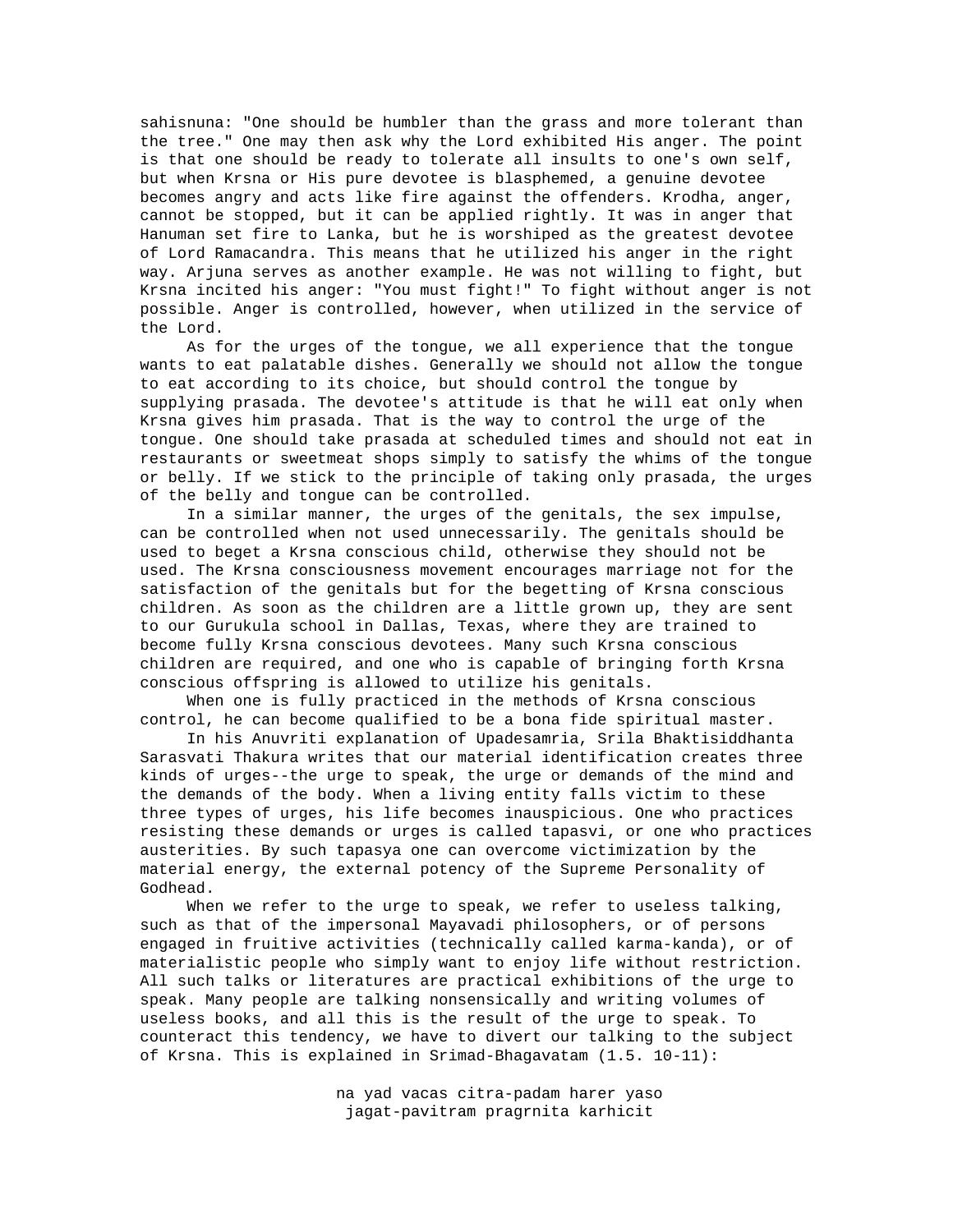sahisnuna: "One should be humbler than the grass and more tolerant than the tree." One may then ask why the Lord exhibited His anger. The point is that one should be ready to tolerate all insults to one's own self, but when Krsna or His pure devotee is blasphemed, a genuine devotee becomes angry and acts like fire against the offenders. Krodha, anger, cannot be stopped, but it can be applied rightly. It was in anger that Hanuman set fire to Lanka, but he is worshiped as the greatest devotee of Lord Ramacandra. This means that he utilized his anger in the right way. Arjuna serves as another example. He was not willing to fight, but Krsna incited his anger: "You must fight!" To fight without anger is not possible. Anger is controlled, however, when utilized in the service of the Lord.

 As for the urges of the tongue, we all experience that the tongue wants to eat palatable dishes. Generally we should not allow the tongue to eat according to its choice, but should control the tongue by supplying prasada. The devotee's attitude is that he will eat only when Krsna gives him prasada. That is the way to control the urge of the tongue. One should take prasada at scheduled times and should not eat in restaurants or sweetmeat shops simply to satisfy the whims of the tongue or belly. If we stick to the principle of taking only prasada, the urges of the belly and tongue can be controlled.

 In a similar manner, the urges of the genitals, the sex impulse, can be controlled when not used unnecessarily. The genitals should be used to beget a Krsna conscious child, otherwise they should not be used. The Krsna consciousness movement encourages marriage not for the satisfaction of the genitals but for the begetting of Krsna conscious children. As soon as the children are a little grown up, they are sent to our Gurukula school in Dallas, Texas, where they are trained to become fully Krsna conscious devotees. Many such Krsna conscious children are required, and one who is capable of bringing forth Krsna conscious offspring is allowed to utilize his genitals.

 When one is fully practiced in the methods of Krsna conscious control, he can become qualified to be a bona fide spiritual master.

 In his Anuvriti explanation of Upadesamria, Srila Bhaktisiddhanta Sarasvati Thakura writes that our material identification creates three kinds of urges--the urge to speak, the urge or demands of the mind and the demands of the body. When a living entity falls victim to these three types of urges, his life becomes inauspicious. One who practices resisting these demands or urges is called tapasvi, or one who practices austerities. By such tapasya one can overcome victimization by the material energy, the external potency of the Supreme Personality of Godhead.

When we refer to the urge to speak, we refer to useless talking, such as that of the impersonal Mayavadi philosophers, or of persons engaged in fruitive activities (technically called karma-kanda), or of materialistic people who simply want to enjoy life without restriction. All such talks or literatures are practical exhibitions of the urge to speak. Many people are talking nonsensically and writing volumes of useless books, and all this is the result of the urge to speak. To counteract this tendency, we have to divert our talking to the subject of Krsna. This is explained in Srimad-Bhagavatam (1.5. 10-11):

> na yad vacas citra-padam harer yaso jagat-pavitram pragrnita karhicit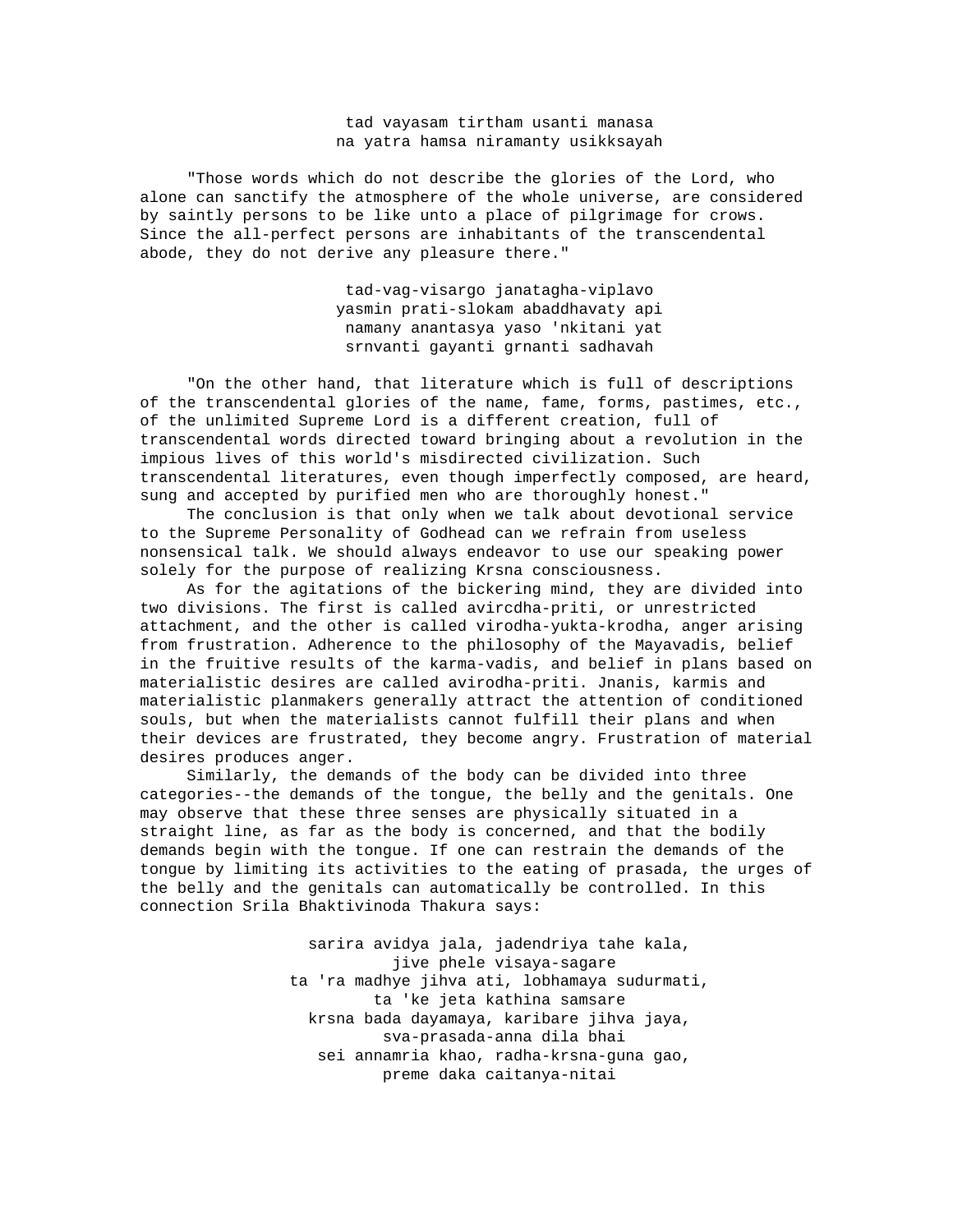tad vayasam tirtham usanti manasa na yatra hamsa niramanty usikksayah

 "Those words which do not describe the glories of the Lord, who alone can sanctify the atmosphere of the whole universe, are considered by saintly persons to be like unto a place of pilgrimage for crows. Since the all-perfect persons are inhabitants of the transcendental abode, they do not derive any pleasure there."

> tad-vag-visargo janatagha-viplavo yasmin prati-slokam abaddhavaty api namany anantasya yaso 'nkitani yat srnvanti gayanti grnanti sadhavah

 "On the other hand, that literature which is full of descriptions of the transcendental glories of the name, fame, forms, pastimes, etc., of the unlimited Supreme Lord is a different creation, full of transcendental words directed toward bringing about a revolution in the impious lives of this world's misdirected civilization. Such transcendental literatures, even though imperfectly composed, are heard, sung and accepted by purified men who are thoroughly honest."

 The conclusion is that only when we talk about devotional service to the Supreme Personality of Godhead can we refrain from useless nonsensical talk. We should always endeavor to use our speaking power solely for the purpose of realizing Krsna consciousness.

 As for the agitations of the bickering mind, they are divided into two divisions. The first is called avircdha-priti, or unrestricted attachment, and the other is called virodha-yukta-krodha, anger arising from frustration. Adherence to the philosophy of the Mayavadis, belief in the fruitive results of the karma-vadis, and belief in plans based on materialistic desires are called avirodha-priti. Jnanis, karmis and materialistic planmakers generally attract the attention of conditioned souls, but when the materialists cannot fulfill their plans and when their devices are frustrated, they become angry. Frustration of material desires produces anger.

 Similarly, the demands of the body can be divided into three categories--the demands of the tongue, the belly and the genitals. One may observe that these three senses are physically situated in a straight line, as far as the body is concerned, and that the bodily demands begin with the tongue. If one can restrain the demands of the tongue by limiting its activities to the eating of prasada, the urges of the belly and the genitals can automatically be controlled. In this connection Srila Bhaktivinoda Thakura says:

> sarira avidya jala, jadendriya tahe kala, jive phele visaya-sagare ta 'ra madhye jihva ati, lobhamaya sudurmati, ta 'ke jeta kathina samsare krsna bada dayamaya, karibare jihva jaya, sva-prasada-anna dila bhai sei annamria khao, radha-krsna-guna gao, preme daka caitanya-nitai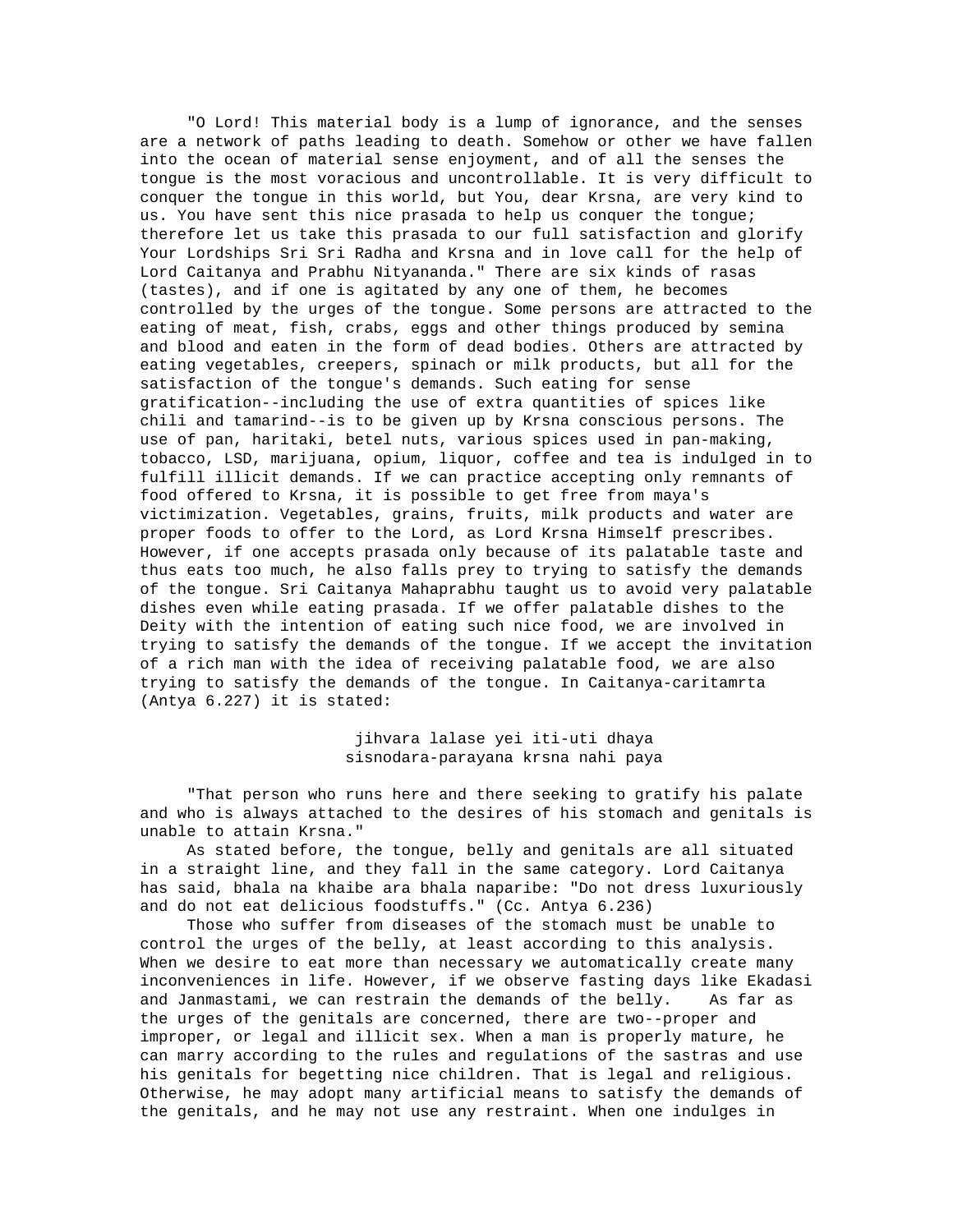"O Lord! This material body is a lump of ignorance, and the senses are a network of paths leading to death. Somehow or other we have fallen into the ocean of material sense enjoyment, and of all the senses the tongue is the most voracious and uncontrollable. It is very difficult to conquer the tongue in this world, but You, dear Krsna, are very kind to us. You have sent this nice prasada to help us conquer the tongue; therefore let us take this prasada to our full satisfaction and glorify Your Lordships Sri Sri Radha and Krsna and in love call for the help of Lord Caitanya and Prabhu Nityananda." There are six kinds of rasas (tastes), and if one is agitated by any one of them, he becomes controlled by the urges of the tongue. Some persons are attracted to the eating of meat, fish, crabs, eggs and other things produced by semina and blood and eaten in the form of dead bodies. Others are attracted by eating vegetables, creepers, spinach or milk products, but all for the satisfaction of the tongue's demands. Such eating for sense gratification--including the use of extra quantities of spices like chili and tamarind--is to be given up by Krsna conscious persons. The use of pan, haritaki, betel nuts, various spices used in pan-making, tobacco, LSD, marijuana, opium, liquor, coffee and tea is indulged in to fulfill illicit demands. If we can practice accepting only remnants of food offered to Krsna, it is possible to get free from maya's victimization. Vegetables, grains, fruits, milk products and water are proper foods to offer to the Lord, as Lord Krsna Himself prescribes. However, if one accepts prasada only because of its palatable taste and thus eats too much, he also falls prey to trying to satisfy the demands of the tongue. Sri Caitanya Mahaprabhu taught us to avoid very palatable dishes even while eating prasada. If we offer palatable dishes to the Deity with the intention of eating such nice food, we are involved in trying to satisfy the demands of the tongue. If we accept the invitation of a rich man with the idea of receiving palatable food, we are also trying to satisfy the demands of the tongue. In Caitanya-caritamrta (Antya 6.227) it is stated:

> jihvara lalase yei iti-uti dhaya sisnodara-parayana krsna nahi paya

 "That person who runs here and there seeking to gratify his palate and who is always attached to the desires of his stomach and genitals is unable to attain Krsna."

 As stated before, the tongue, belly and genitals are all situated in a straight line, and they fall in the same category. Lord Caitanya has said, bhala na khaibe ara bhala naparibe: "Do not dress luxuriously and do not eat delicious foodstuffs." (Cc. Antya 6.236)

 Those who suffer from diseases of the stomach must be unable to control the urges of the belly, at least according to this analysis. When we desire to eat more than necessary we automatically create many inconveniences in life. However, if we observe fasting days like Ekadasi and Janmastami, we can restrain the demands of the belly. As far as the urges of the genitals are concerned, there are two--proper and improper, or legal and illicit sex. When a man is properly mature, he can marry according to the rules and regulations of the sastras and use his genitals for begetting nice children. That is legal and religious. Otherwise, he may adopt many artificial means to satisfy the demands of the genitals, and he may not use any restraint. When one indulges in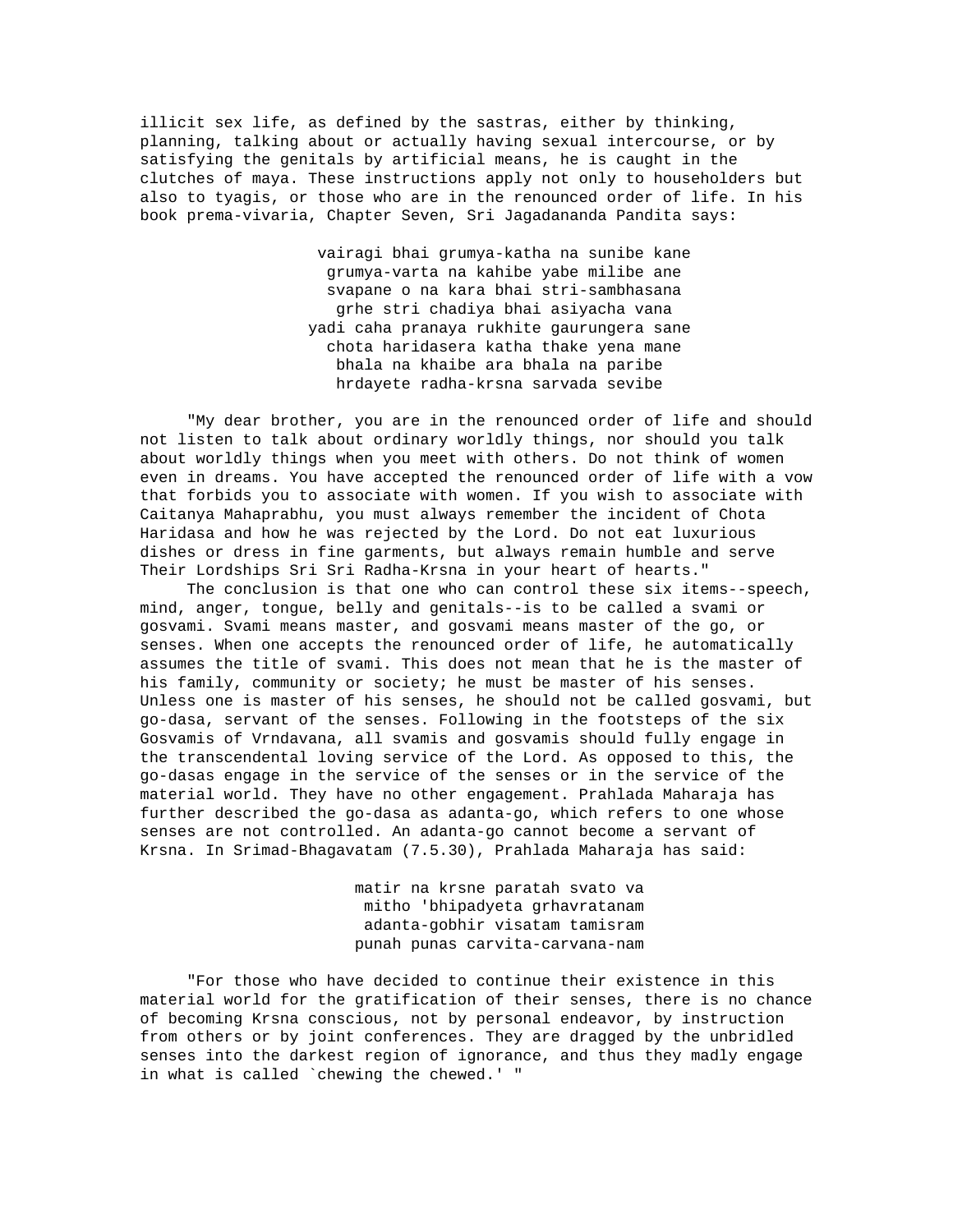illicit sex life, as defined by the sastras, either by thinking, planning, talking about or actually having sexual intercourse, or by satisfying the genitals by artificial means, he is caught in the clutches of maya. These instructions apply not only to householders but also to tyagis, or those who are in the renounced order of life. In his book prema-vivaria, Chapter Seven, Sri Jagadananda Pandita says:

> vairagi bhai grumya-katha na sunibe kane grumya-varta na kahibe yabe milibe ane svapane o na kara bhai stri-sambhasana grhe stri chadiya bhai asiyacha vana yadi caha pranaya rukhite gaurungera sane chota haridasera katha thake yena mane bhala na khaibe ara bhala na paribe hrdayete radha-krsna sarvada sevibe

 "My dear brother, you are in the renounced order of life and should not listen to talk about ordinary worldly things, nor should you talk about worldly things when you meet with others. Do not think of women even in dreams. You have accepted the renounced order of life with a vow that forbids you to associate with women. If you wish to associate with Caitanya Mahaprabhu, you must always remember the incident of Chota Haridasa and how he was rejected by the Lord. Do not eat luxurious dishes or dress in fine garments, but always remain humble and serve Their Lordships Sri Sri Radha-Krsna in your heart of hearts."

 The conclusion is that one who can control these six items--speech, mind, anger, tongue, belly and genitals--is to be called a svami or gosvami. Svami means master, and gosvami means master of the go, or senses. When one accepts the renounced order of life, he automatically assumes the title of svami. This does not mean that he is the master of his family, community or society; he must be master of his senses. Unless one is master of his senses, he should not be called gosvami, but go-dasa, servant of the senses. Following in the footsteps of the six Gosvamis of Vrndavana, all svamis and gosvamis should fully engage in the transcendental loving service of the Lord. As opposed to this, the go-dasas engage in the service of the senses or in the service of the material world. They have no other engagement. Prahlada Maharaja has further described the go-dasa as adanta-go, which refers to one whose senses are not controlled. An adanta-go cannot become a servant of Krsna. In Srimad-Bhagavatam (7.5.30), Prahlada Maharaja has said:

> matir na krsne paratah svato va mitho 'bhipadyeta grhavratanam adanta-gobhir visatam tamisram punah punas carvita-carvana-nam

 "For those who have decided to continue their existence in this material world for the gratification of their senses, there is no chance of becoming Krsna conscious, not by personal endeavor, by instruction from others or by joint conferences. They are dragged by the unbridled senses into the darkest region of ignorance, and thus they madly engage in what is called `chewing the chewed.' "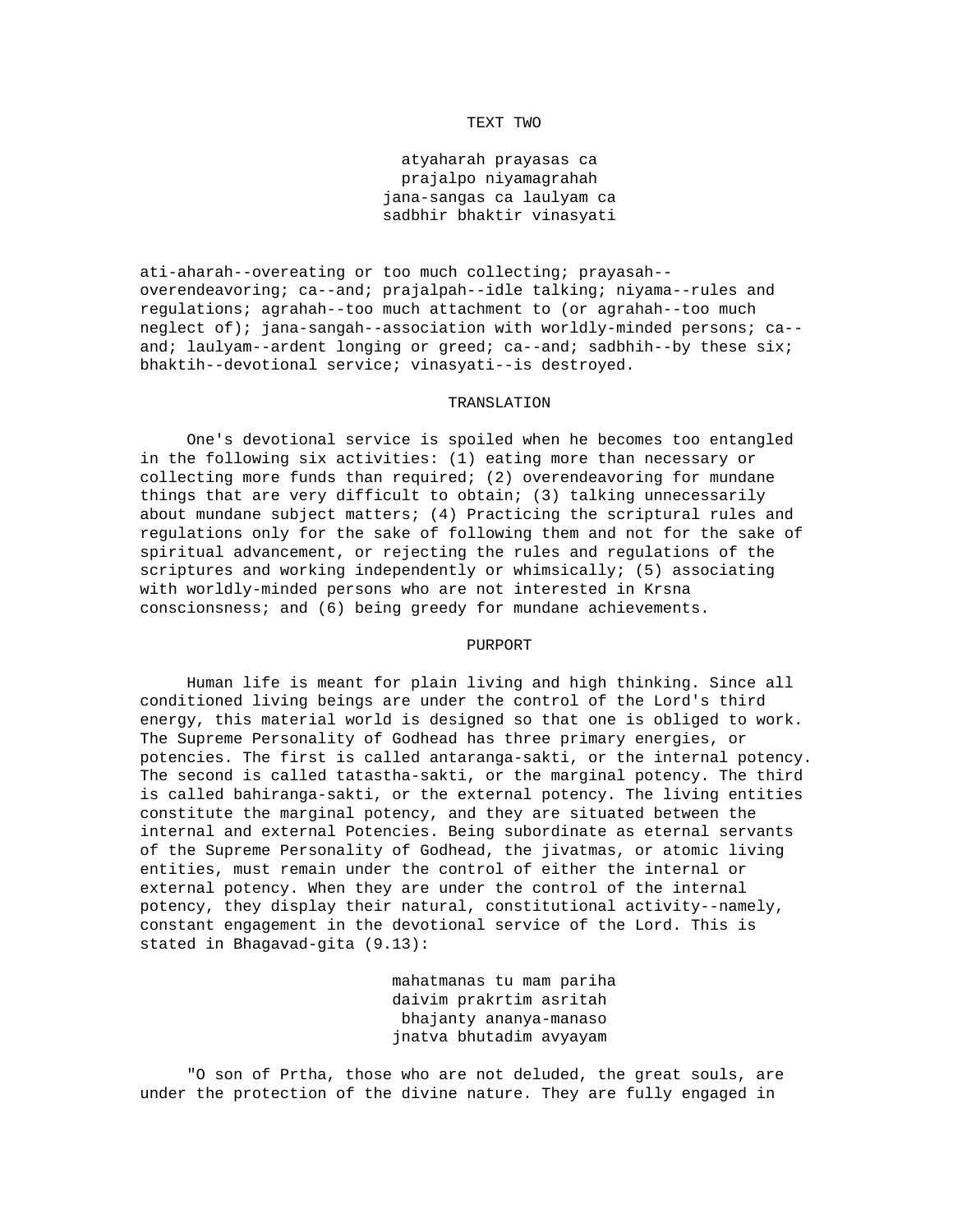#### TEXT TWO

 atyaharah prayasas ca prajalpo niyamagrahah jana-sangas ca laulyam ca sadbhir bhaktir vinasyati

ati-aharah--overeating or too much collecting; prayasah- overendeavoring; ca--and; prajalpah--idle talking; niyama--rules and regulations; agrahah--too much attachment to (or agrahah--too much neglect of); jana-sangah--association with worldly-minded persons; ca- and; laulyam--ardent longing or greed; ca--and; sadbhih--by these six; bhaktih--devotional service; vinasyati--is destroyed.

# TRANSLATION

 One's devotional service is spoiled when he becomes too entangled in the following six activities: (1) eating more than necessary or collecting more funds than required; (2) overendeavoring for mundane things that are very difficult to obtain; (3) talking unnecessarily about mundane subject matters; (4) Practicing the scriptural rules and regulations only for the sake of following them and not for the sake of spiritual advancement, or rejecting the rules and regulations of the scriptures and working independently or whimsically; (5) associating with worldly-minded persons who are not interested in Krsna conscionsness; and (6) being greedy for mundane achievements.

### PURPORT

 Human life is meant for plain living and high thinking. Since all conditioned living beings are under the control of the Lord's third energy, this material world is designed so that one is obliged to work. The Supreme Personality of Godhead has three primary energies, or potencies. The first is called antaranga-sakti, or the internal potency. The second is called tatastha-sakti, or the marginal potency. The third is called bahiranga-sakti, or the external potency. The living entities constitute the marginal potency, and they are situated between the internal and external Potencies. Being subordinate as eternal servants of the Supreme Personality of Godhead, the jivatmas, or atomic living entities, must remain under the control of either the internal or external potency. When they are under the control of the internal potency, they display their natural, constitutional activity--namely, constant engagement in the devotional service of the Lord. This is stated in Bhagavad-gita (9.13):

> mahatmanas tu mam pariha daivim prakrtim asritah bhajanty ananya-manaso jnatva bhutadim avyayam

 "O son of Prtha, those who are not deluded, the great souls, are under the protection of the divine nature. They are fully engaged in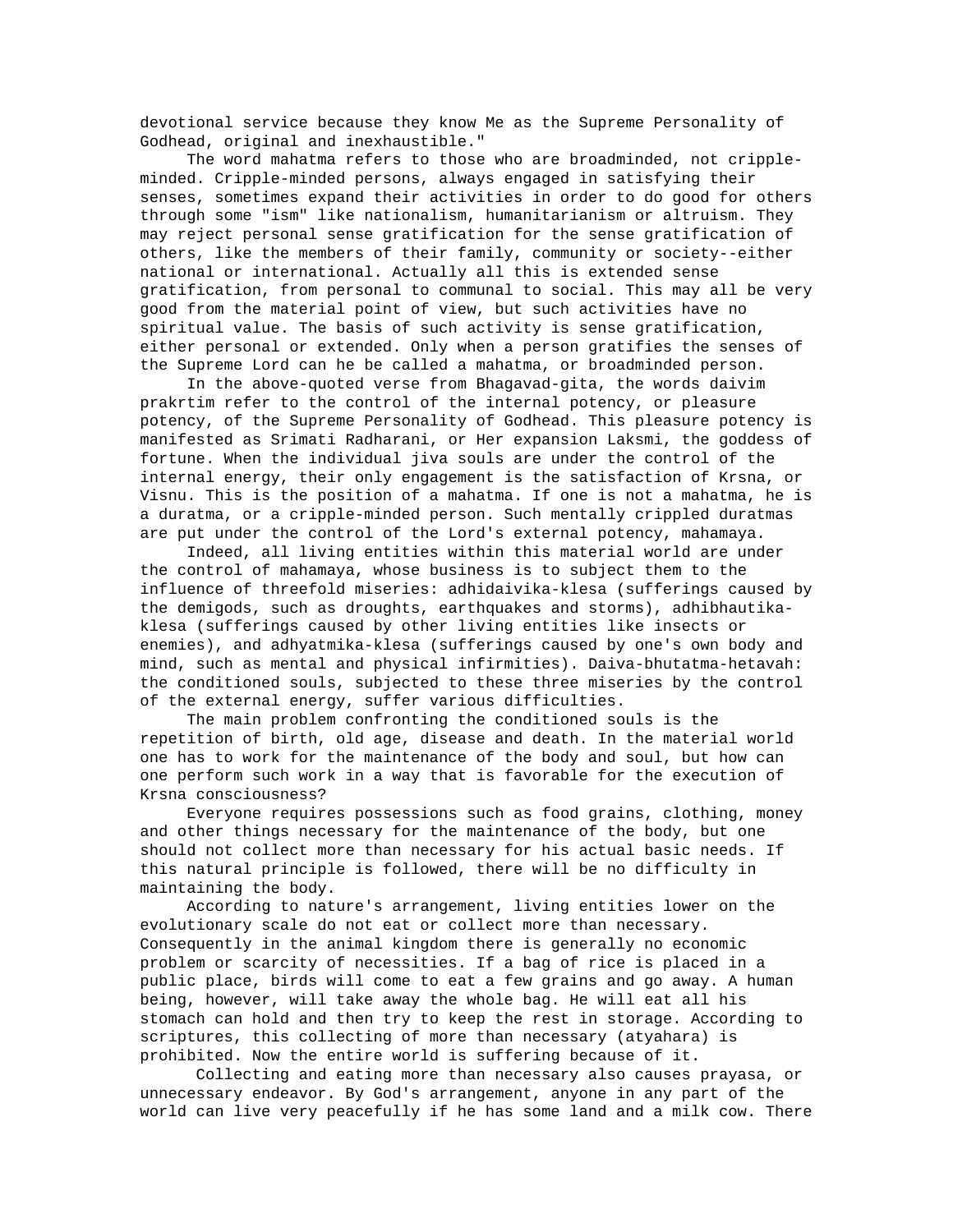devotional service because they know Me as the Supreme Personality of Godhead, original and inexhaustible."

 The word mahatma refers to those who are broadminded, not crippleminded. Cripple-minded persons, always engaged in satisfying their senses, sometimes expand their activities in order to do good for others through some "ism" like nationalism, humanitarianism or altruism. They may reject personal sense gratification for the sense gratification of others, like the members of their family, community or society--either national or international. Actually all this is extended sense gratification, from personal to communal to social. This may all be very good from the material point of view, but such activities have no spiritual value. The basis of such activity is sense gratification, either personal or extended. Only when a person gratifies the senses of the Supreme Lord can he be called a mahatma, or broadminded person.

 In the above-quoted verse from Bhagavad-gita, the words daivim prakrtim refer to the control of the internal potency, or pleasure potency, of the Supreme Personality of Godhead. This pleasure potency is manifested as Srimati Radharani, or Her expansion Laksmi, the goddess of fortune. When the individual jiva souls are under the control of the internal energy, their only engagement is the satisfaction of Krsna, or Visnu. This is the position of a mahatma. If one is not a mahatma, he is a duratma, or a cripple-minded person. Such mentally crippled duratmas are put under the control of the Lord's external potency, mahamaya.

 Indeed, all living entities within this material world are under the control of mahamaya, whose business is to subject them to the influence of threefold miseries: adhidaivika-klesa (sufferings caused by the demigods, such as droughts, earthquakes and storms), adhibhautikaklesa (sufferings caused by other living entities like insects or enemies), and adhyatmika-klesa (sufferings caused by one's own body and mind, such as mental and physical infirmities). Daiva-bhutatma-hetavah: the conditioned souls, subjected to these three miseries by the control of the external energy, suffer various difficulties.

 The main problem confronting the conditioned souls is the repetition of birth, old age, disease and death. In the material world one has to work for the maintenance of the body and soul, but how can one perform such work in a way that is favorable for the execution of Krsna consciousness?

 Everyone requires possessions such as food grains, clothing, money and other things necessary for the maintenance of the body, but one should not collect more than necessary for his actual basic needs. If this natural principle is followed, there will be no difficulty in maintaining the body.

 According to nature's arrangement, living entities lower on the evolutionary scale do not eat or collect more than necessary. Consequently in the animal kingdom there is generally no economic problem or scarcity of necessities. If a bag of rice is placed in a public place, birds will come to eat a few grains and go away. A human being, however, will take away the whole bag. He will eat all his stomach can hold and then try to keep the rest in storage. According to scriptures, this collecting of more than necessary (atyahara) is prohibited. Now the entire world is suffering because of it.

 Collecting and eating more than necessary also causes prayasa, or unnecessary endeavor. By God's arrangement, anyone in any part of the world can live very peacefully if he has some land and a milk cow. There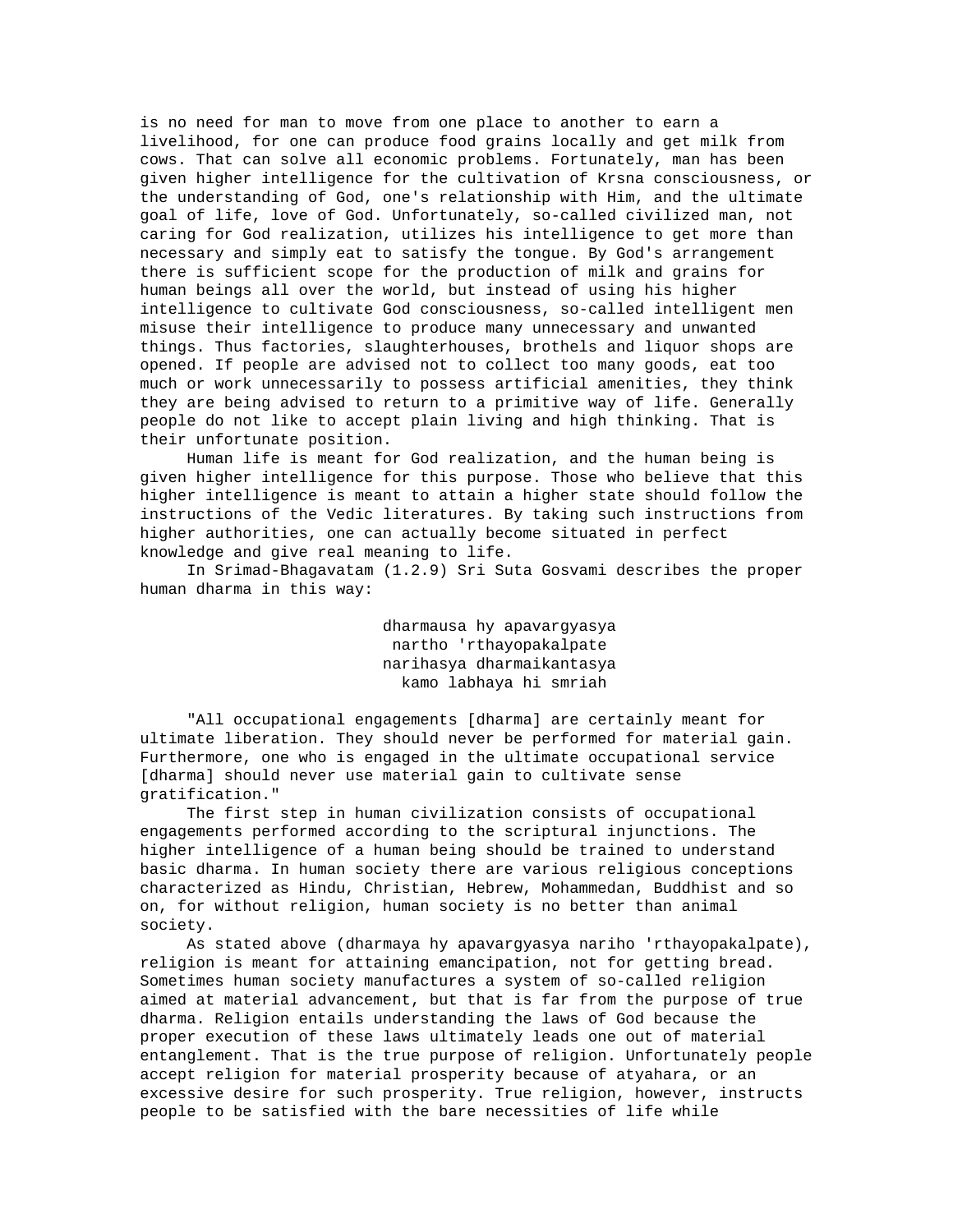is no need for man to move from one place to another to earn a livelihood, for one can produce food grains locally and get milk from cows. That can solve all economic problems. Fortunately, man has been given higher intelligence for the cultivation of Krsna consciousness, or the understanding of God, one's relationship with Him, and the ultimate goal of life, love of God. Unfortunately, so-called civilized man, not caring for God realization, utilizes his intelligence to get more than necessary and simply eat to satisfy the tongue. By God's arrangement there is sufficient scope for the production of milk and grains for human beings all over the world, but instead of using his higher intelligence to cultivate God consciousness, so-called intelligent men misuse their intelligence to produce many unnecessary and unwanted things. Thus factories, slaughterhouses, brothels and liquor shops are opened. If people are advised not to collect too many goods, eat too much or work unnecessarily to possess artificial amenities, they think they are being advised to return to a primitive way of life. Generally people do not like to accept plain living and high thinking. That is their unfortunate position.

 Human life is meant for God realization, and the human being is given higher intelligence for this purpose. Those who believe that this higher intelligence is meant to attain a higher state should follow the instructions of the Vedic literatures. By taking such instructions from higher authorities, one can actually become situated in perfect knowledge and give real meaning to life.

 In Srimad-Bhagavatam (1.2.9) Sri Suta Gosvami describes the proper human dharma in this way:

> dharmausa hy apavargyasya nartho 'rthayopakalpate narihasya dharmaikantasya kamo labhaya hi smriah

 "All occupational engagements [dharma] are certainly meant for ultimate liberation. They should never be performed for material gain. Furthermore, one who is engaged in the ultimate occupational service [dharma] should never use material gain to cultivate sense gratification."

 The first step in human civilization consists of occupational engagements performed according to the scriptural injunctions. The higher intelligence of a human being should be trained to understand basic dharma. In human society there are various religious conceptions characterized as Hindu, Christian, Hebrew, Mohammedan, Buddhist and so on, for without religion, human society is no better than animal society.

 As stated above (dharmaya hy apavargyasya nariho 'rthayopakalpate), religion is meant for attaining emancipation, not for getting bread. Sometimes human society manufactures a system of so-called religion aimed at material advancement, but that is far from the purpose of true dharma. Religion entails understanding the laws of God because the proper execution of these laws ultimately leads one out of material entanglement. That is the true purpose of religion. Unfortunately people accept religion for material prosperity because of atyahara, or an excessive desire for such prosperity. True religion, however, instructs people to be satisfied with the bare necessities of life while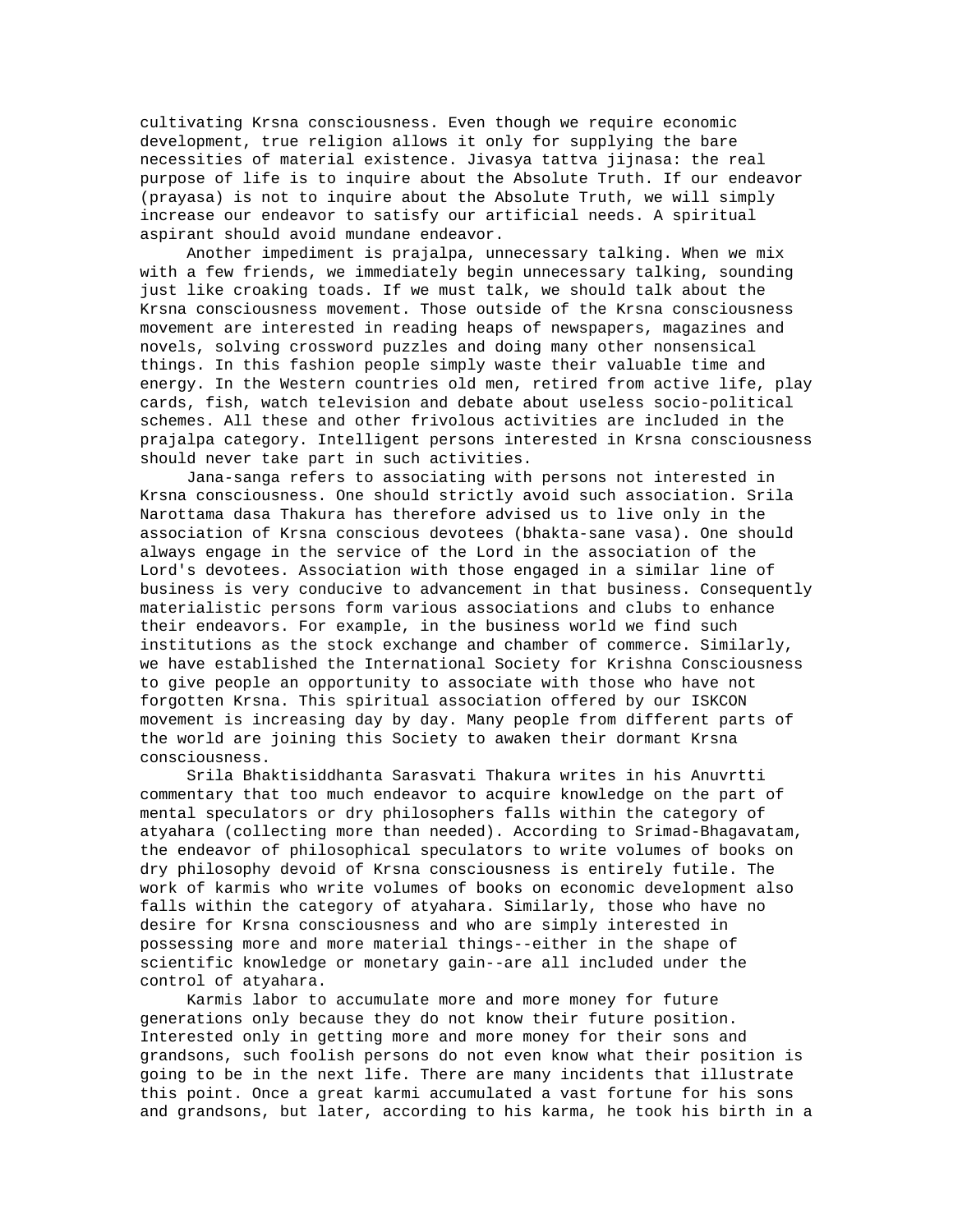cultivating Krsna consciousness. Even though we require economic development, true religion allows it only for supplying the bare necessities of material existence. Jivasya tattva jijnasa: the real purpose of life is to inquire about the Absolute Truth. If our endeavor (prayasa) is not to inquire about the Absolute Truth, we will simply increase our endeavor to satisfy our artificial needs. A spiritual aspirant should avoid mundane endeavor.

 Another impediment is prajalpa, unnecessary talking. When we mix with a few friends, we immediately begin unnecessary talking, sounding just like croaking toads. If we must talk, we should talk about the Krsna consciousness movement. Those outside of the Krsna consciousness movement are interested in reading heaps of newspapers, magazines and novels, solving crossword puzzles and doing many other nonsensical things. In this fashion people simply waste their valuable time and energy. In the Western countries old men, retired from active life, play cards, fish, watch television and debate about useless socio-political schemes. All these and other frivolous activities are included in the prajalpa category. Intelligent persons interested in Krsna consciousness should never take part in such activities.

 Jana-sanga refers to associating with persons not interested in Krsna consciousness. One should strictly avoid such association. Srila Narottama dasa Thakura has therefore advised us to live only in the association of Krsna conscious devotees (bhakta-sane vasa). One should always engage in the service of the Lord in the association of the Lord's devotees. Association with those engaged in a similar line of business is very conducive to advancement in that business. Consequently materialistic persons form various associations and clubs to enhance their endeavors. For example, in the business world we find such institutions as the stock exchange and chamber of commerce. Similarly, we have established the International Society for Krishna Consciousness to give people an opportunity to associate with those who have not forgotten Krsna. This spiritual association offered by our ISKCON movement is increasing day by day. Many people from different parts of the world are joining this Society to awaken their dormant Krsna consciousness.

 Srila Bhaktisiddhanta Sarasvati Thakura writes in his Anuvrtti commentary that too much endeavor to acquire knowledge on the part of mental speculators or dry philosophers falls within the category of atyahara (collecting more than needed). According to Srimad-Bhagavatam, the endeavor of philosophical speculators to write volumes of books on dry philosophy devoid of Krsna consciousness is entirely futile. The work of karmis who write volumes of books on economic development also falls within the category of atyahara. Similarly, those who have no desire for Krsna consciousness and who are simply interested in possessing more and more material things--either in the shape of scientific knowledge or monetary gain--are all included under the control of atyahara.

 Karmis labor to accumulate more and more money for future generations only because they do not know their future position. Interested only in getting more and more money for their sons and grandsons, such foolish persons do not even know what their position is going to be in the next life. There are many incidents that illustrate this point. Once a great karmi accumulated a vast fortune for his sons and grandsons, but later, according to his karma, he took his birth in a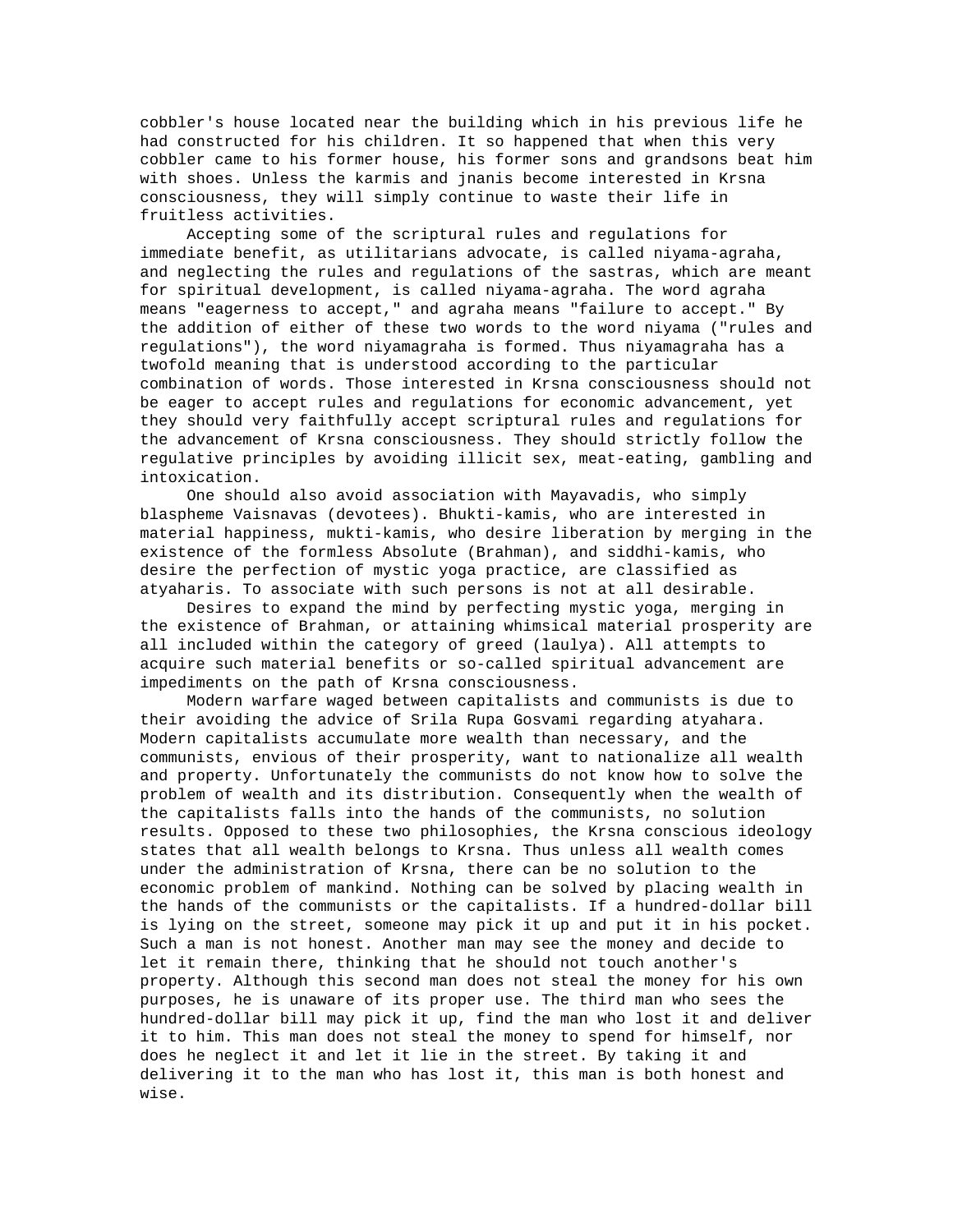cobbler's house located near the building which in his previous life he had constructed for his children. It so happened that when this very cobbler came to his former house, his former sons and grandsons beat him with shoes. Unless the karmis and jnanis become interested in Krsna consciousness, they will simply continue to waste their life in fruitless activities.

 Accepting some of the scriptural rules and regulations for immediate benefit, as utilitarians advocate, is called niyama-agraha, and neglecting the rules and regulations of the sastras, which are meant for spiritual development, is called niyama-agraha. The word agraha means "eagerness to accept," and agraha means "failure to accept." By the addition of either of these two words to the word niyama ("rules and regulations"), the word niyamagraha is formed. Thus niyamagraha has a twofold meaning that is understood according to the particular combination of words. Those interested in Krsna consciousness should not be eager to accept rules and regulations for economic advancement, yet they should very faithfully accept scriptural rules and regulations for the advancement of Krsna consciousness. They should strictly follow the regulative principles by avoiding illicit sex, meat-eating, gambling and intoxication.

 One should also avoid association with Mayavadis, who simply blaspheme Vaisnavas (devotees). Bhukti-kamis, who are interested in material happiness, mukti-kamis, who desire liberation by merging in the existence of the formless Absolute (Brahman), and siddhi-kamis, who desire the perfection of mystic yoga practice, are classified as atyaharis. To associate with such persons is not at all desirable.

 Desires to expand the mind by perfecting mystic yoga, merging in the existence of Brahman, or attaining whimsical material prosperity are all included within the category of greed (laulya). All attempts to acquire such material benefits or so-called spiritual advancement are impediments on the path of Krsna consciousness.

 Modern warfare waged between capitalists and communists is due to their avoiding the advice of Srila Rupa Gosvami regarding atyahara. Modern capitalists accumulate more wealth than necessary, and the communists, envious of their prosperity, want to nationalize all wealth and property. Unfortunately the communists do not know how to solve the problem of wealth and its distribution. Consequently when the wealth of the capitalists falls into the hands of the communists, no solution results. Opposed to these two philosophies, the Krsna conscious ideology states that all wealth belongs to Krsna. Thus unless all wealth comes under the administration of Krsna, there can be no solution to the economic problem of mankind. Nothing can be solved by placing wealth in the hands of the communists or the capitalists. If a hundred-dollar bill is lying on the street, someone may pick it up and put it in his pocket. Such a man is not honest. Another man may see the money and decide to let it remain there, thinking that he should not touch another's property. Although this second man does not steal the money for his own purposes, he is unaware of its proper use. The third man who sees the hundred-dollar bill may pick it up, find the man who lost it and deliver it to him. This man does not steal the money to spend for himself, nor does he neglect it and let it lie in the street. By taking it and delivering it to the man who has lost it, this man is both honest and wise.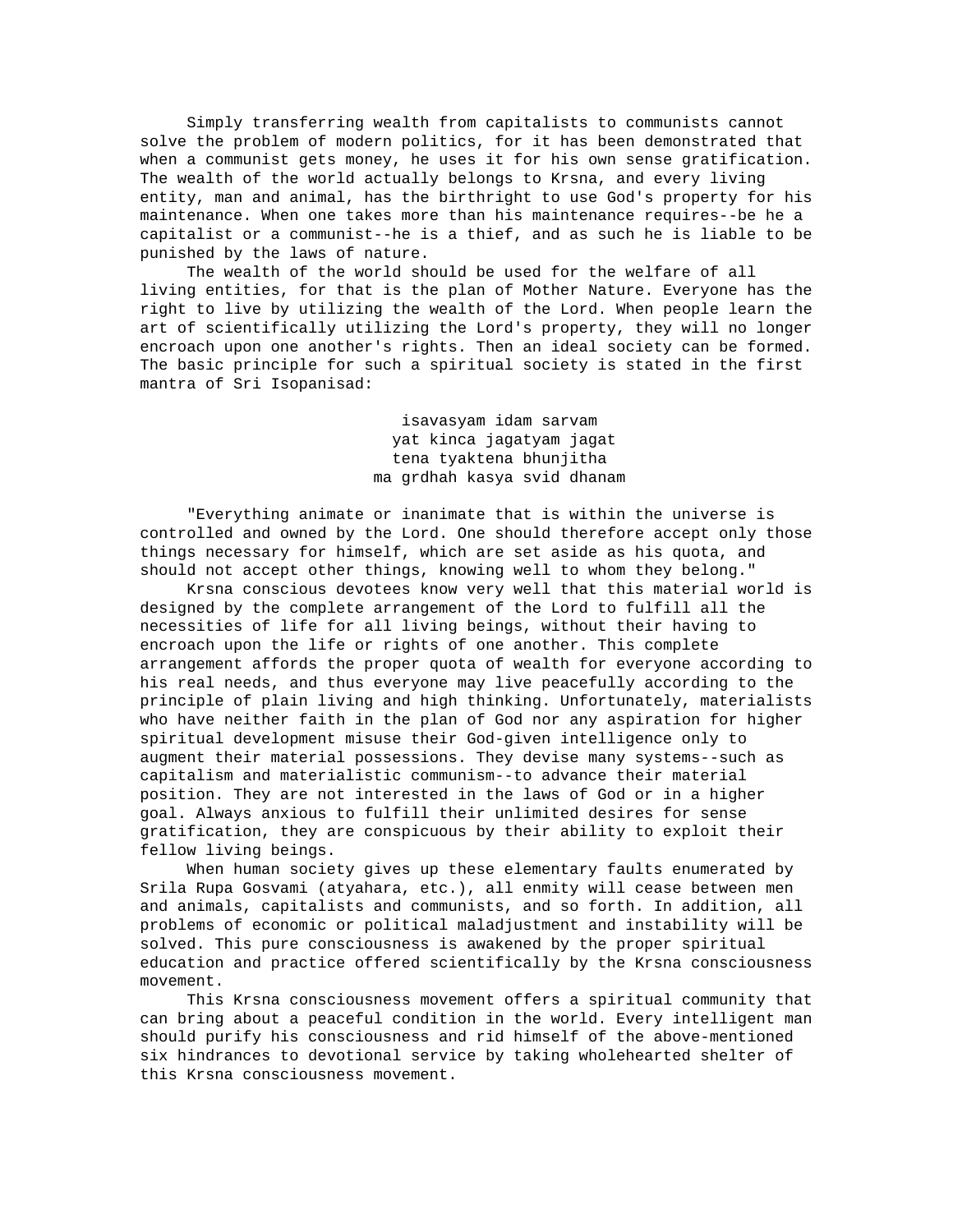Simply transferring wealth from capitalists to communists cannot solve the problem of modern politics, for it has been demonstrated that when a communist gets money, he uses it for his own sense gratification. The wealth of the world actually belongs to Krsna, and every living entity, man and animal, has the birthright to use God's property for his maintenance. When one takes more than his maintenance requires--be he a capitalist or a communist--he is a thief, and as such he is liable to be punished by the laws of nature.

 The wealth of the world should be used for the welfare of all living entities, for that is the plan of Mother Nature. Everyone has the right to live by utilizing the wealth of the Lord. When people learn the art of scientifically utilizing the Lord's property, they will no longer encroach upon one another's rights. Then an ideal society can be formed. The basic principle for such a spiritual society is stated in the first mantra of Sri Isopanisad:

> isavasyam idam sarvam yat kinca jagatyam jagat tena tyaktena bhunjitha ma grdhah kasya svid dhanam

 "Everything animate or inanimate that is within the universe is controlled and owned by the Lord. One should therefore accept only those things necessary for himself, which are set aside as his quota, and should not accept other things, knowing well to whom they belong."

 Krsna conscious devotees know very well that this material world is designed by the complete arrangement of the Lord to fulfill all the necessities of life for all living beings, without their having to encroach upon the life or rights of one another. This complete arrangement affords the proper quota of wealth for everyone according to his real needs, and thus everyone may live peacefully according to the principle of plain living and high thinking. Unfortunately, materialists who have neither faith in the plan of God nor any aspiration for higher spiritual development misuse their God-given intelligence only to augment their material possessions. They devise many systems--such as capitalism and materialistic communism--to advance their material position. They are not interested in the laws of God or in a higher goal. Always anxious to fulfill their unlimited desires for sense gratification, they are conspicuous by their ability to exploit their fellow living beings.

 When human society gives up these elementary faults enumerated by Srila Rupa Gosvami (atyahara, etc.), all enmity will cease between men and animals, capitalists and communists, and so forth. In addition, all problems of economic or political maladjustment and instability will be solved. This pure consciousness is awakened by the proper spiritual education and practice offered scientifically by the Krsna consciousness movement.

 This Krsna consciousness movement offers a spiritual community that can bring about a peaceful condition in the world. Every intelligent man should purify his consciousness and rid himself of the above-mentioned six hindrances to devotional service by taking wholehearted shelter of this Krsna consciousness movement.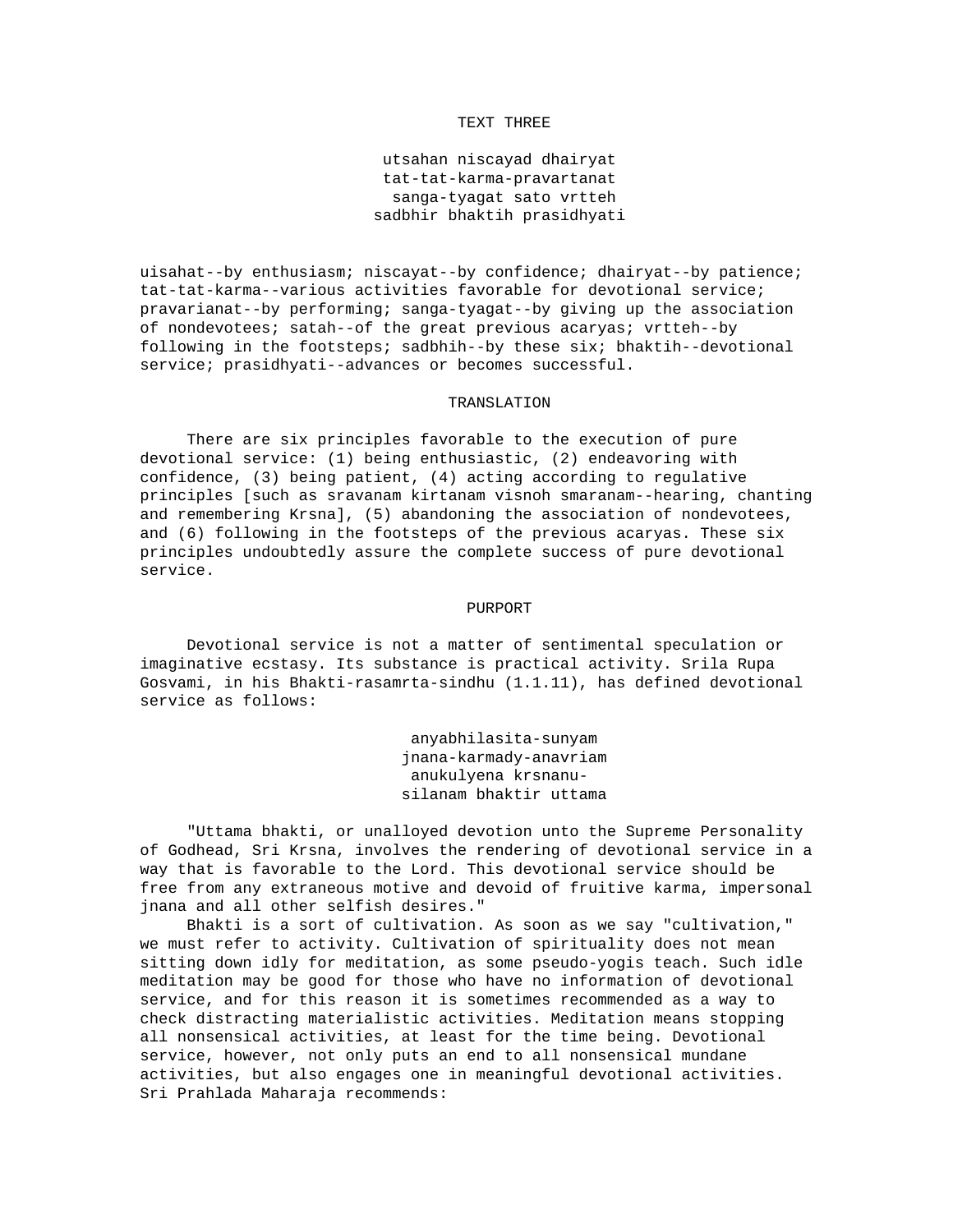#### TEXT THREE

 utsahan niscayad dhairyat tat-tat-karma-pravartanat sanga-tyagat sato vrtteh sadbhir bhaktih prasidhyati

uisahat--by enthusiasm; niscayat--by confidence; dhairyat--by patience; tat-tat-karma--various activities favorable for devotional service; pravarianat--by performing; sanga-tyagat--by giving up the association of nondevotees; satah--of the great previous acaryas; vrtteh--by following in the footsteps; sadbhih--by these six; bhaktih--devotional service; prasidhyati--advances or becomes successful.

## TRANSLATION

 There are six principles favorable to the execution of pure devotional service: (1) being enthusiastic, (2) endeavoring with confidence, (3) being patient, (4) acting according to regulative principles [such as sravanam kirtanam visnoh smaranam--hearing, chanting and remembering Krsna], (5) abandoning the association of nondevotees, and (6) following in the footsteps of the previous acaryas. These six principles undoubtedly assure the complete success of pure devotional service.

#### PURPORT

 Devotional service is not a matter of sentimental speculation or imaginative ecstasy. Its substance is practical activity. Srila Rupa Gosvami, in his Bhakti-rasamrta-sindhu (1.1.11), has defined devotional service as follows:

> anyabhilasita-sunyam jnana-karmady-anavriam anukulyena krsnanu silanam bhaktir uttama

 "Uttama bhakti, or unalloyed devotion unto the Supreme Personality of Godhead, Sri Krsna, involves the rendering of devotional service in a way that is favorable to the Lord. This devotional service should be free from any extraneous motive and devoid of fruitive karma, impersonal jnana and all other selfish desires."

 Bhakti is a sort of cultivation. As soon as we say "cultivation," we must refer to activity. Cultivation of spirituality does not mean sitting down idly for meditation, as some pseudo-yogis teach. Such idle meditation may be good for those who have no information of devotional service, and for this reason it is sometimes recommended as a way to check distracting materialistic activities. Meditation means stopping all nonsensical activities, at least for the time being. Devotional service, however, not only puts an end to all nonsensical mundane activities, but also engages one in meaningful devotional activities. Sri Prahlada Maharaja recommends: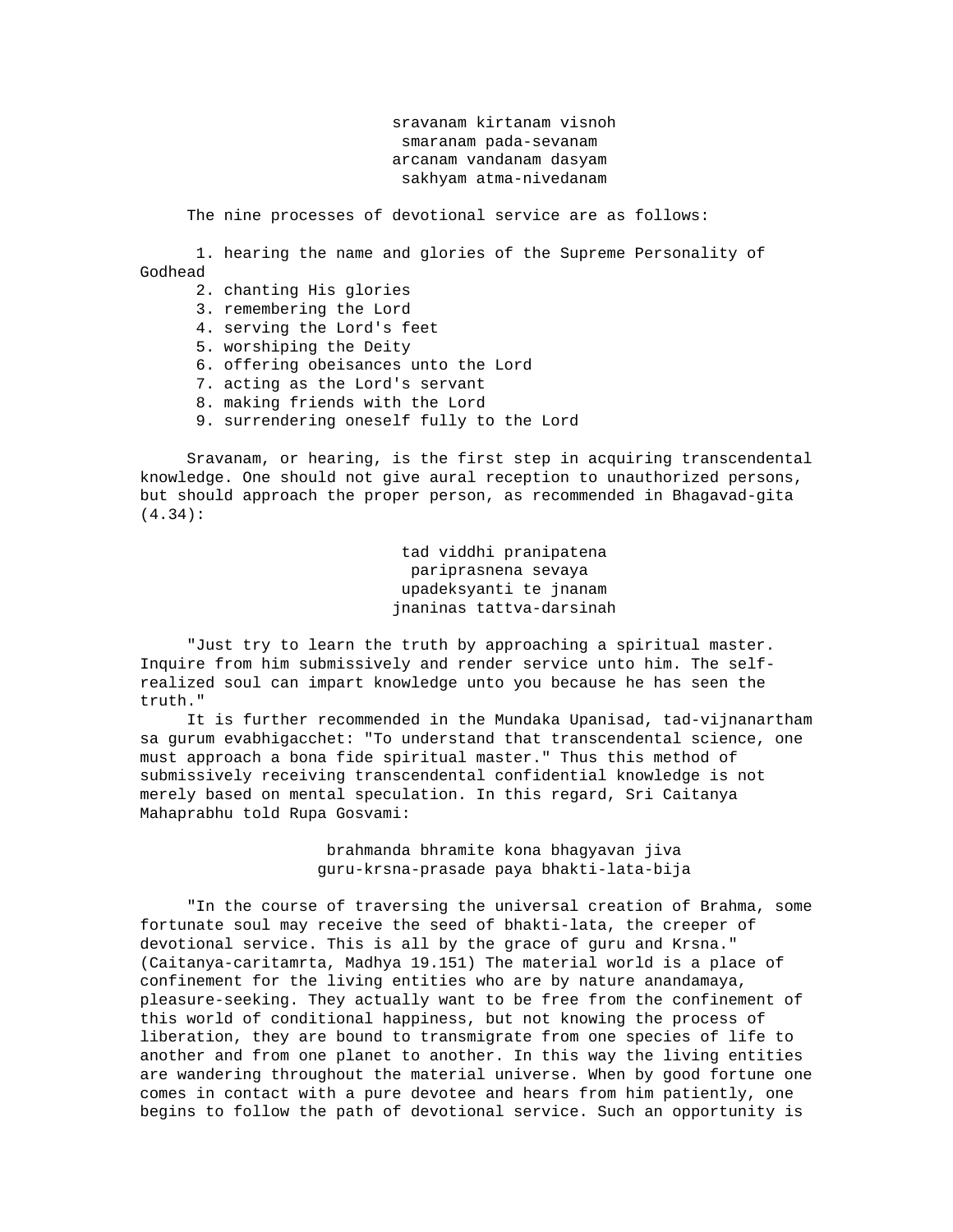# sravanam kirtanam visnoh smaranam pada-sevanam arcanam vandanam dasyam sakhyam atma-nivedanam

The nine processes of devotional service are as follows:

 1. hearing the name and glories of the Supreme Personality of Godhead

- 2. chanting His glories
- 3. remembering the Lord
- 4. serving the Lord's feet
- 5. worshiping the Deity
- 6. offering obeisances unto the Lord
- 7. acting as the Lord's servant
- 8. making friends with the Lord
- 9. surrendering oneself fully to the Lord

 Sravanam, or hearing, is the first step in acquiring transcendental knowledge. One should not give aural reception to unauthorized persons, but should approach the proper person, as recommended in Bhagavad-gita (4.34):

> tad viddhi pranipatena pariprasnena sevaya upadeksyanti te jnanam jnaninas tattva-darsinah

 "Just try to learn the truth by approaching a spiritual master. Inquire from him submissively and render service unto him. The selfrealized soul can impart knowledge unto you because he has seen the truth."

 It is further recommended in the Mundaka Upanisad, tad-vijnanartham sa gurum evabhigacchet: "To understand that transcendental science, one must approach a bona fide spiritual master." Thus this method of submissively receiving transcendental confidential knowledge is not merely based on mental speculation. In this regard, Sri Caitanya Mahaprabhu told Rupa Gosvami:

> brahmanda bhramite kona bhagyavan jiva guru-krsna-prasade paya bhakti-lata-bija

 "In the course of traversing the universal creation of Brahma, some fortunate soul may receive the seed of bhakti-lata, the creeper of devotional service. This is all by the grace of guru and Krsna." (Caitanya-caritamrta, Madhya 19.151) The material world is a place of confinement for the living entities who are by nature anandamaya, pleasure-seeking. They actually want to be free from the confinement of this world of conditional happiness, but not knowing the process of liberation, they are bound to transmigrate from one species of life to another and from one planet to another. In this way the living entities are wandering throughout the material universe. When by good fortune one comes in contact with a pure devotee and hears from him patiently, one begins to follow the path of devotional service. Such an opportunity is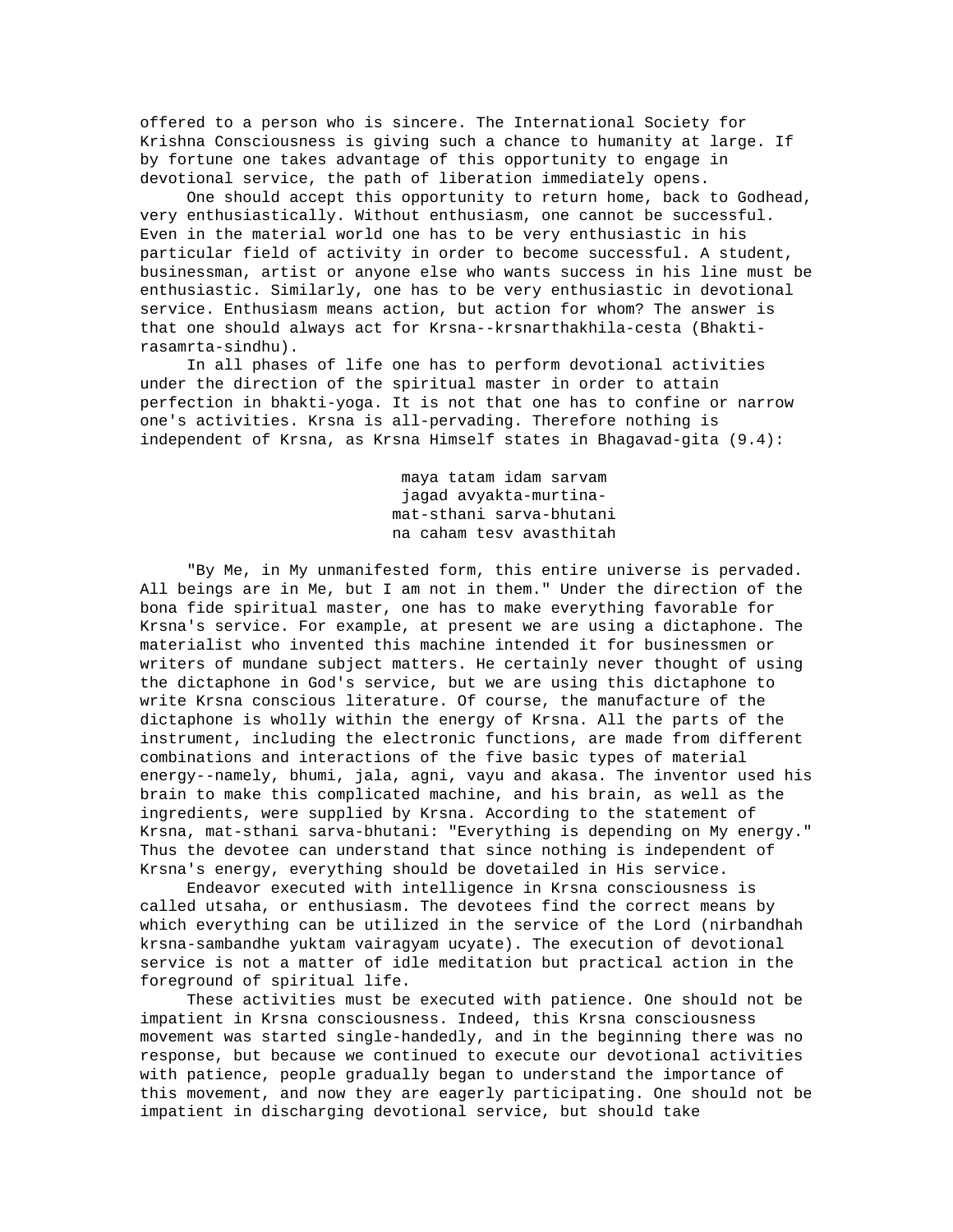offered to a person who is sincere. The International Society for Krishna Consciousness is giving such a chance to humanity at large. If by fortune one takes advantage of this opportunity to engage in devotional service, the path of liberation immediately opens.

 One should accept this opportunity to return home, back to Godhead, very enthusiastically. Without enthusiasm, one cannot be successful. Even in the material world one has to be very enthusiastic in his particular field of activity in order to become successful. A student, businessman, artist or anyone else who wants success in his line must be enthusiastic. Similarly, one has to be very enthusiastic in devotional service. Enthusiasm means action, but action for whom? The answer is that one should always act for Krsna--krsnarthakhila-cesta (Bhaktirasamrta-sindhu).

 In all phases of life one has to perform devotional activities under the direction of the spiritual master in order to attain perfection in bhakti-yoga. It is not that one has to confine or narrow one's activities. Krsna is all-pervading. Therefore nothing is independent of Krsna, as Krsna Himself states in Bhagavad-gita (9.4):

> maya tatam idam sarvam jagad avyakta-murtina mat-sthani sarva-bhutani na caham tesv avasthitah

 "By Me, in My unmanifested form, this entire universe is pervaded. All beings are in Me, but I am not in them." Under the direction of the bona fide spiritual master, one has to make everything favorable for Krsna's service. For example, at present we are using a dictaphone. The materialist who invented this machine intended it for businessmen or writers of mundane subject matters. He certainly never thought of using the dictaphone in God's service, but we are using this dictaphone to write Krsna conscious literature. Of course, the manufacture of the dictaphone is wholly within the energy of Krsna. All the parts of the instrument, including the electronic functions, are made from different combinations and interactions of the five basic types of material energy--namely, bhumi, jala, agni, vayu and akasa. The inventor used his brain to make this complicated machine, and his brain, as well as the ingredients, were supplied by Krsna. According to the statement of Krsna, mat-sthani sarva-bhutani: "Everything is depending on My energy." Thus the devotee can understand that since nothing is independent of Krsna's energy, everything should be dovetailed in His service.

 Endeavor executed with intelligence in Krsna consciousness is called utsaha, or enthusiasm. The devotees find the correct means by which everything can be utilized in the service of the Lord (nirbandhah krsna-sambandhe yuktam vairagyam ucyate). The execution of devotional service is not a matter of idle meditation but practical action in the foreground of spiritual life.

 These activities must be executed with patience. One should not be impatient in Krsna consciousness. Indeed, this Krsna consciousness movement was started single-handedly, and in the beginning there was no response, but because we continued to execute our devotional activities with patience, people gradually began to understand the importance of this movement, and now they are eagerly participating. One should not be impatient in discharging devotional service, but should take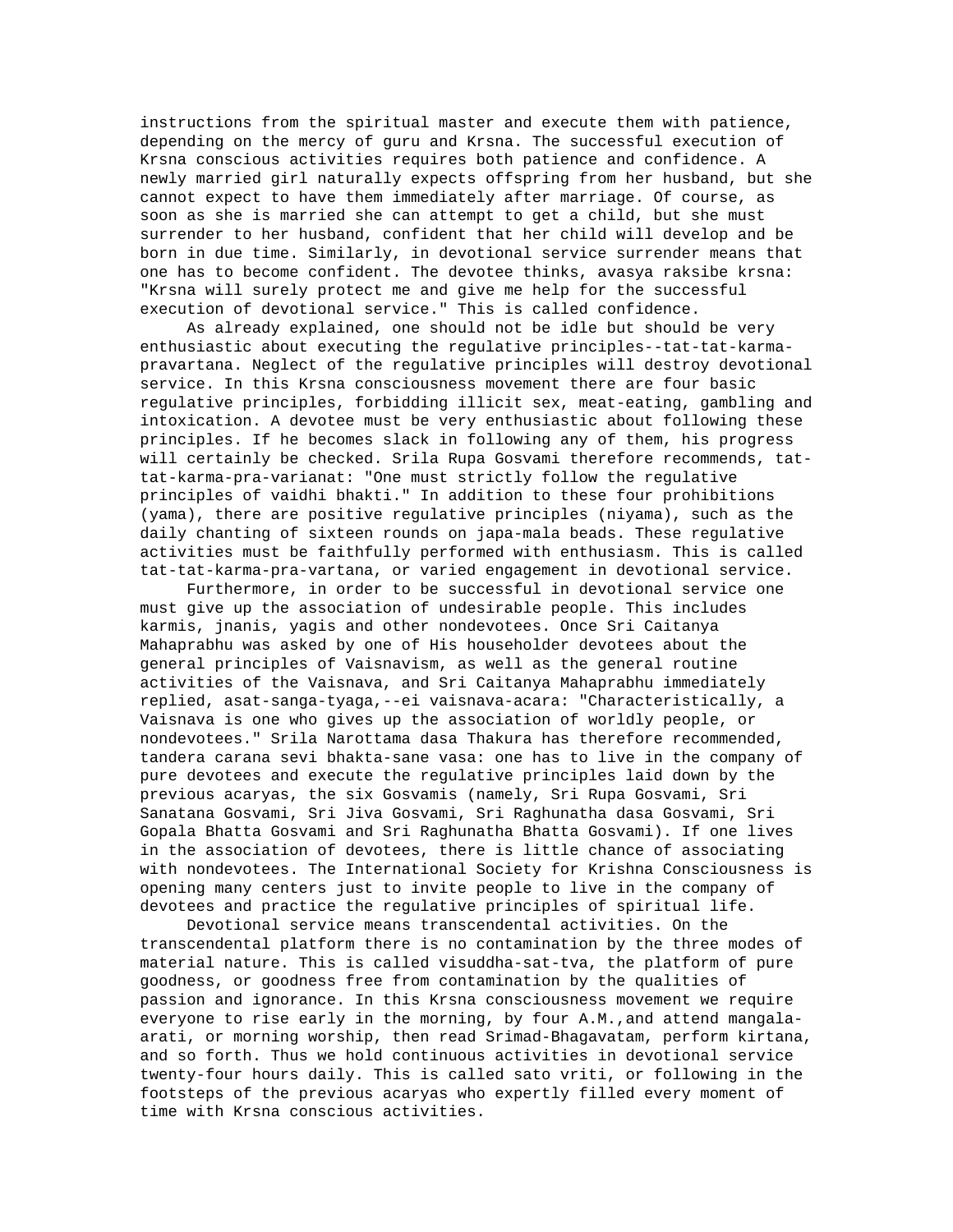instructions from the spiritual master and execute them with patience, depending on the mercy of guru and Krsna. The successful execution of Krsna conscious activities requires both patience and confidence. A newly married girl naturally expects offspring from her husband, but she cannot expect to have them immediately after marriage. Of course, as soon as she is married she can attempt to get a child, but she must surrender to her husband, confident that her child will develop and be born in due time. Similarly, in devotional service surrender means that one has to become confident. The devotee thinks, avasya raksibe krsna: "Krsna will surely protect me and give me help for the successful execution of devotional service." This is called confidence.

 As already explained, one should not be idle but should be very enthusiastic about executing the regulative principles--tat-tat-karmapravartana. Neglect of the regulative principles will destroy devotional service. In this Krsna consciousness movement there are four basic regulative principles, forbidding illicit sex, meat-eating, gambling and intoxication. A devotee must be very enthusiastic about following these principles. If he becomes slack in following any of them, his progress will certainly be checked. Srila Rupa Gosvami therefore recommends, tattat-karma-pra-varianat: "One must strictly follow the regulative principles of vaidhi bhakti." In addition to these four prohibitions (yama), there are positive regulative principles (niyama), such as the daily chanting of sixteen rounds on japa-mala beads. These regulative activities must be faithfully performed with enthusiasm. This is called tat-tat-karma-pra-vartana, or varied engagement in devotional service.

 Furthermore, in order to be successful in devotional service one must give up the association of undesirable people. This includes karmis, jnanis, yagis and other nondevotees. Once Sri Caitanya Mahaprabhu was asked by one of His householder devotees about the general principles of Vaisnavism, as well as the general routine activities of the Vaisnava, and Sri Caitanya Mahaprabhu immediately replied, asat-sanga-tyaga,--ei vaisnava-acara: "Characteristically, a Vaisnava is one who gives up the association of worldly people, or nondevotees." Srila Narottama dasa Thakura has therefore recommended, tandera carana sevi bhakta-sane vasa: one has to live in the company of pure devotees and execute the regulative principles laid down by the previous acaryas, the six Gosvamis (namely, Sri Rupa Gosvami, Sri Sanatana Gosvami, Sri Jiva Gosvami, Sri Raghunatha dasa Gosvami, Sri Gopala Bhatta Gosvami and Sri Raghunatha Bhatta Gosvami). If one lives in the association of devotees, there is little chance of associating with nondevotees. The International Society for Krishna Consciousness is opening many centers just to invite people to live in the company of devotees and practice the regulative principles of spiritual life.

 Devotional service means transcendental activities. On the transcendental platform there is no contamination by the three modes of material nature. This is called visuddha-sat-tva, the platform of pure goodness, or goodness free from contamination by the qualities of passion and ignorance. In this Krsna consciousness movement we require everyone to rise early in the morning, by four A.M.,and attend mangalaarati, or morning worship, then read Srimad-Bhagavatam, perform kirtana, and so forth. Thus we hold continuous activities in devotional service twenty-four hours daily. This is called sato vriti, or following in the footsteps of the previous acaryas who expertly filled every moment of time with Krsna conscious activities.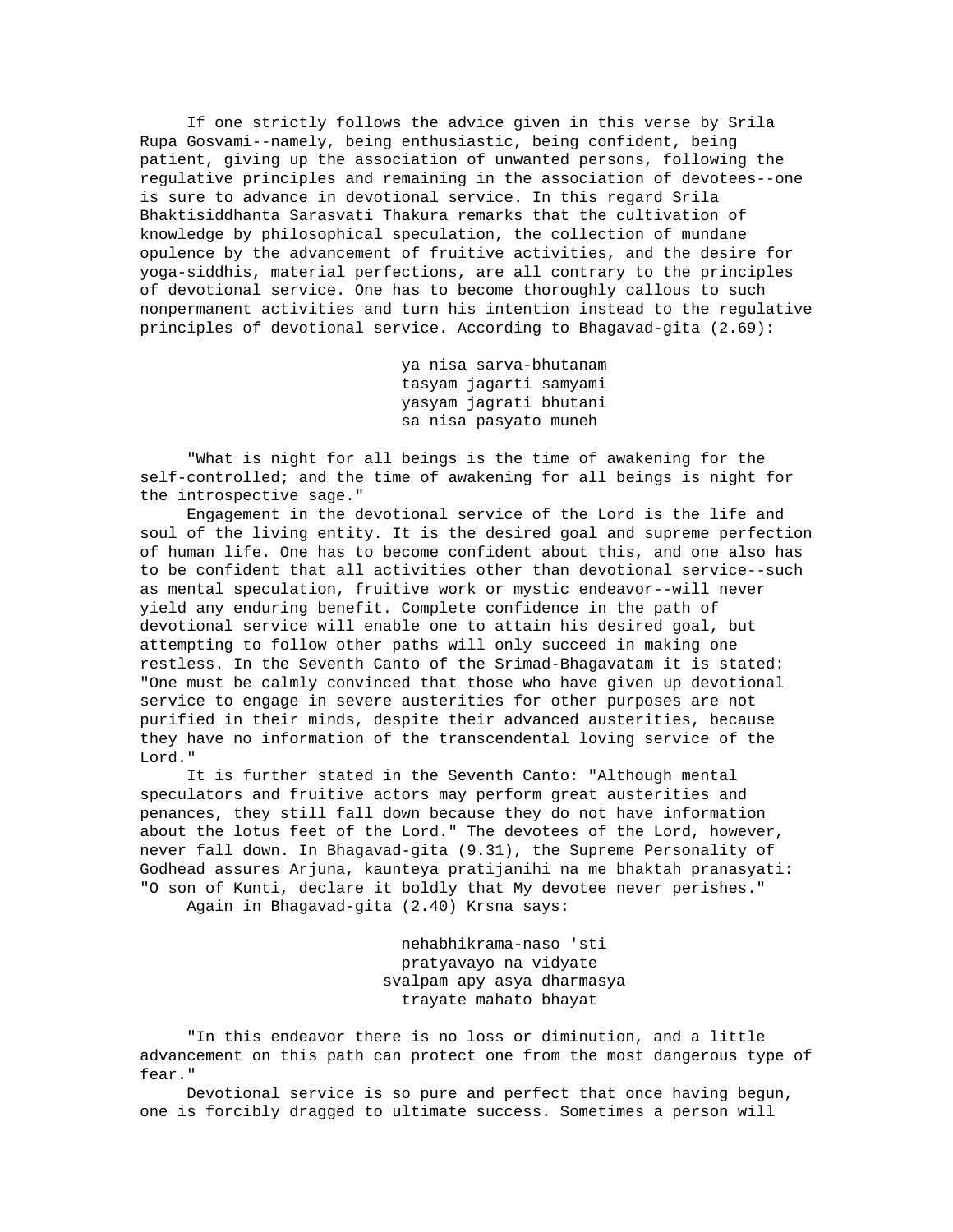If one strictly follows the advice given in this verse by Srila Rupa Gosvami--namely, being enthusiastic, being confident, being patient, giving up the association of unwanted persons, following the regulative principles and remaining in the association of devotees--one is sure to advance in devotional service. In this regard Srila Bhaktisiddhanta Sarasvati Thakura remarks that the cultivation of knowledge by philosophical speculation, the collection of mundane opulence by the advancement of fruitive activities, and the desire for yoga-siddhis, material perfections, are all contrary to the principles of devotional service. One has to become thoroughly callous to such nonpermanent activities and turn his intention instead to the regulative principles of devotional service. According to Bhagavad-gita (2.69):

> ya nisa sarva-bhutanam tasyam jagarti samyami yasyam jagrati bhutani sa nisa pasyato muneh

 "What is night for all beings is the time of awakening for the self-controlled; and the time of awakening for all beings is night for the introspective sage."

 Engagement in the devotional service of the Lord is the life and soul of the living entity. It is the desired goal and supreme perfection of human life. One has to become confident about this, and one also has to be confident that all activities other than devotional service--such as mental speculation, fruitive work or mystic endeavor--will never yield any enduring benefit. Complete confidence in the path of devotional service will enable one to attain his desired goal, but attempting to follow other paths will only succeed in making one restless. In the Seventh Canto of the Srimad-Bhagavatam it is stated: "One must be calmly convinced that those who have given up devotional service to engage in severe austerities for other purposes are not purified in their minds, despite their advanced austerities, because they have no information of the transcendental loving service of the Lord."

 It is further stated in the Seventh Canto: "Although mental speculators and fruitive actors may perform great austerities and penances, they still fall down because they do not have information about the lotus feet of the Lord." The devotees of the Lord, however, never fall down. In Bhagavad-gita (9.31), the Supreme Personality of Godhead assures Arjuna, kaunteya pratijanihi na me bhaktah pranasyati: "O son of Kunti, declare it boldly that My devotee never perishes."

Again in Bhagavad-gita (2.40) Krsna says:

 nehabhikrama-naso 'sti pratyavayo na vidyate svalpam apy asya dharmasya trayate mahato bhayat

 "In this endeavor there is no loss or diminution, and a little advancement on this path can protect one from the most dangerous type of fear."

 Devotional service is so pure and perfect that once having begun, one is forcibly dragged to ultimate success. Sometimes a person will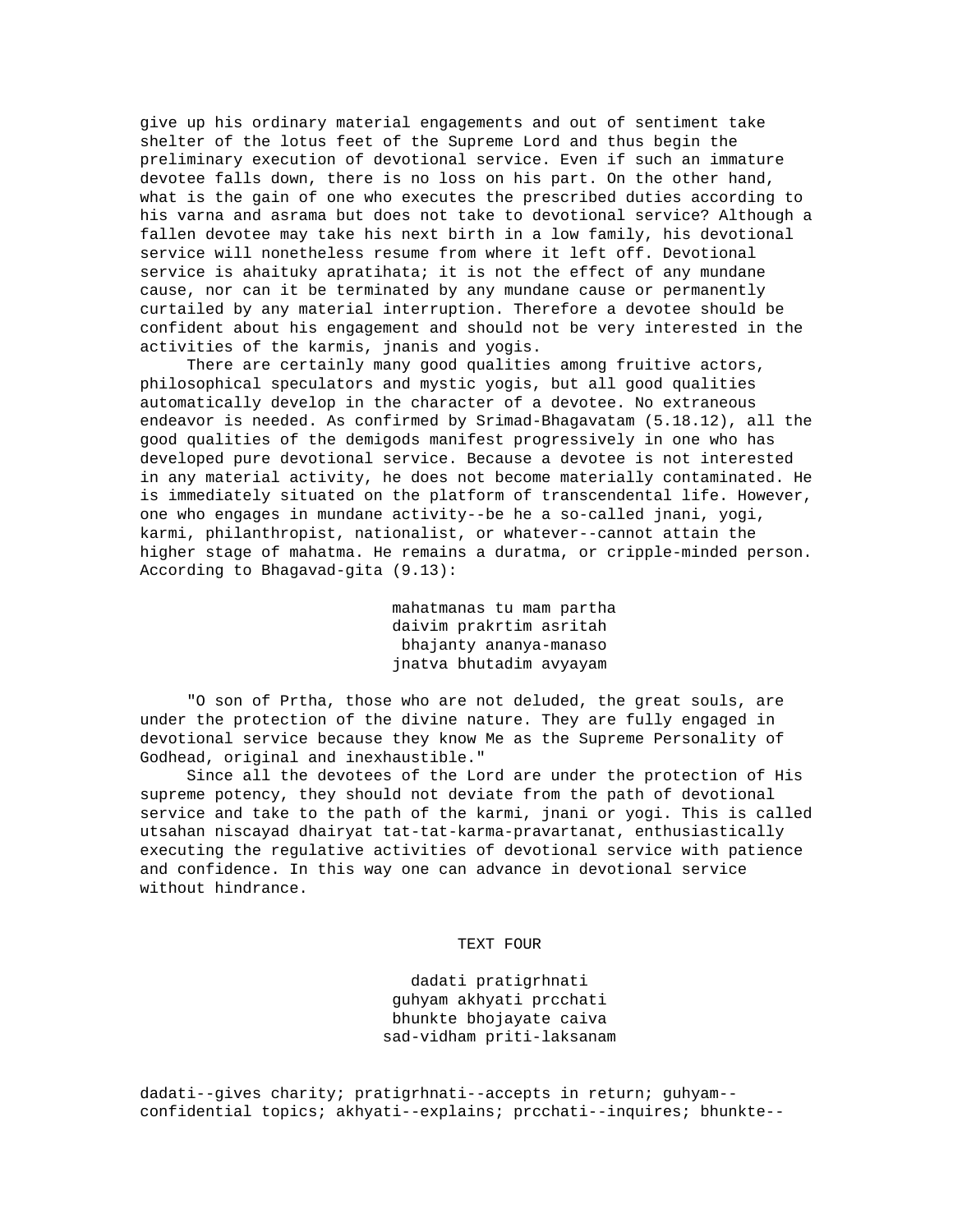give up his ordinary material engagements and out of sentiment take shelter of the lotus feet of the Supreme Lord and thus begin the preliminary execution of devotional service. Even if such an immature devotee falls down, there is no loss on his part. On the other hand, what is the gain of one who executes the prescribed duties according to his varna and asrama but does not take to devotional service? Although a fallen devotee may take his next birth in a low family, his devotional service will nonetheless resume from where it left off. Devotional service is ahaituky apratihata; it is not the effect of any mundane cause, nor can it be terminated by any mundane cause or permanently curtailed by any material interruption. Therefore a devotee should be confident about his engagement and should not be very interested in the activities of the karmis, jnanis and yogis.

 There are certainly many good qualities among fruitive actors, philosophical speculators and mystic yogis, but all good qualities automatically develop in the character of a devotee. No extraneous endeavor is needed. As confirmed by Srimad-Bhagavatam (5.18.12), all the good qualities of the demigods manifest progressively in one who has developed pure devotional service. Because a devotee is not interested in any material activity, he does not become materially contaminated. He is immediately situated on the platform of transcendental life. However, one who engages in mundane activity--be he a so-called jnani, yogi, karmi, philanthropist, nationalist, or whatever--cannot attain the higher stage of mahatma. He remains a duratma, or cripple-minded person. According to Bhagavad-gita (9.13):

> mahatmanas tu mam partha daivim prakrtim asritah bhajanty ananya-manaso jnatva bhutadim avyayam

 "O son of Prtha, those who are not deluded, the great souls, are under the protection of the divine nature. They are fully engaged in devotional service because they know Me as the Supreme Personality of Godhead, original and inexhaustible."

 Since all the devotees of the Lord are under the protection of His supreme potency, they should not deviate from the path of devotional service and take to the path of the karmi, jnani or yogi. This is called utsahan niscayad dhairyat tat-tat-karma-pravartanat, enthusiastically executing the regulative activities of devotional service with patience and confidence. In this way one can advance in devotional service without hindrance.

TEXT FOUR

 dadati pratigrhnati guhyam akhyati prcchati bhunkte bhojayate caiva sad-vidham priti-laksanam

dadati--gives charity; pratigrhnati--accepts in return; guhyam- confidential topics; akhyati--explains; prcchati--inquires; bhunkte--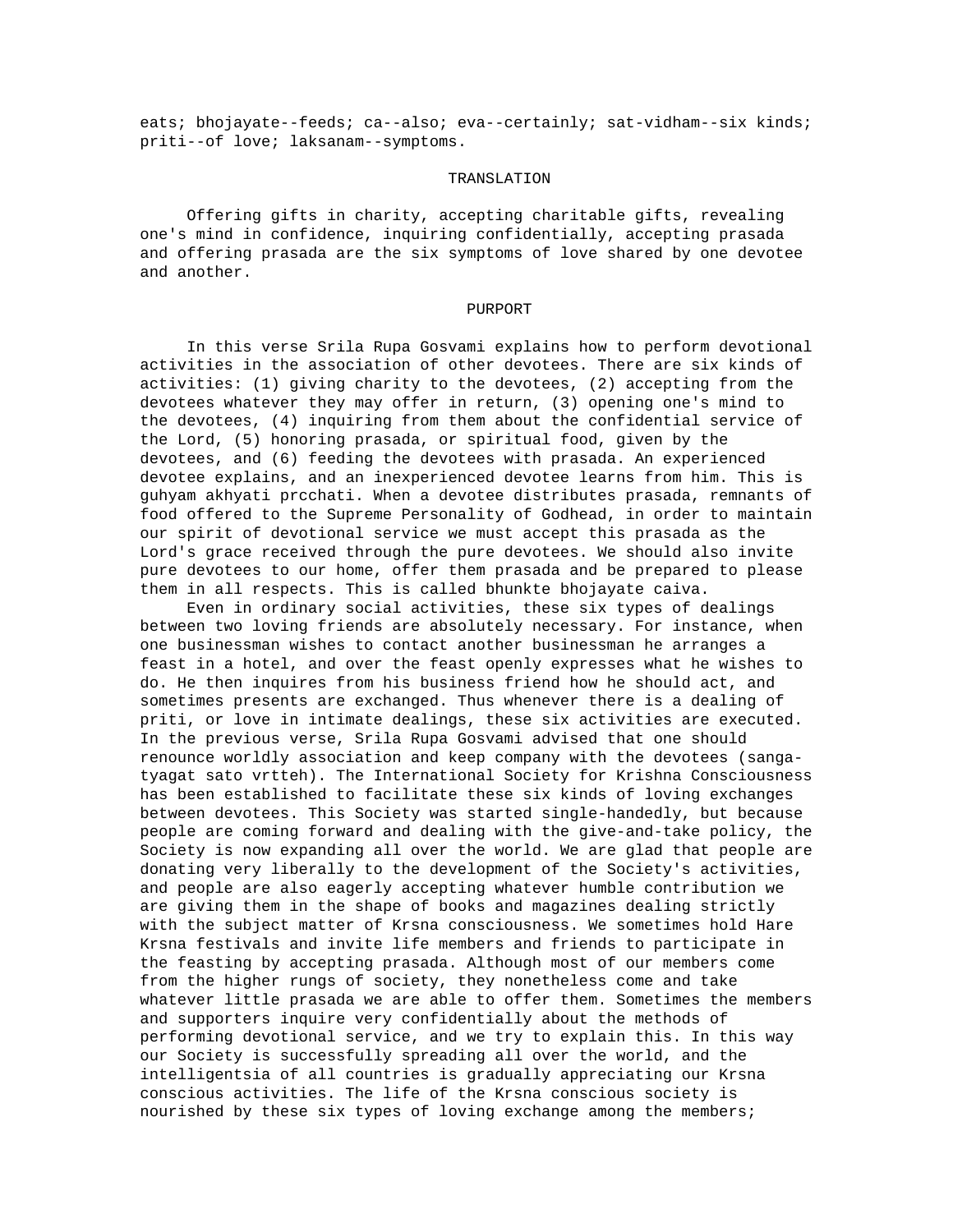eats; bhojayate--feeds; ca--also; eva--certainly; sat-vidham--six kinds; priti--of love; laksanam--symptoms.

## TRANSLATION

 Offering gifts in charity, accepting charitable gifts, revealing one's mind in confidence, inquiring confidentially, accepting prasada and offering prasada are the six symptoms of love shared by one devotee and another.

## PURPORT

 In this verse Srila Rupa Gosvami explains how to perform devotional activities in the association of other devotees. There are six kinds of activities: (1) giving charity to the devotees, (2) accepting from the devotees whatever they may offer in return, (3) opening one's mind to the devotees, (4) inquiring from them about the confidential service of the Lord, (5) honoring prasada, or spiritual food, given by the devotees, and (6) feeding the devotees with prasada. An experienced devotee explains, and an inexperienced devotee learns from him. This is guhyam akhyati prcchati. When a devotee distributes prasada, remnants of food offered to the Supreme Personality of Godhead, in order to maintain our spirit of devotional service we must accept this prasada as the Lord's grace received through the pure devotees. We should also invite pure devotees to our home, offer them prasada and be prepared to please them in all respects. This is called bhunkte bhojayate caiva.

 Even in ordinary social activities, these six types of dealings between two loving friends are absolutely necessary. For instance, when one businessman wishes to contact another businessman he arranges a feast in a hotel, and over the feast openly expresses what he wishes to do. He then inquires from his business friend how he should act, and sometimes presents are exchanged. Thus whenever there is a dealing of priti, or love in intimate dealings, these six activities are executed. In the previous verse, Srila Rupa Gosvami advised that one should renounce worldly association and keep company with the devotees (sangatyagat sato vrtteh). The International Society for Krishna Consciousness has been established to facilitate these six kinds of loving exchanges between devotees. This Society was started single-handedly, but because people are coming forward and dealing with the give-and-take policy, the Society is now expanding all over the world. We are glad that people are donating very liberally to the development of the Society's activities, and people are also eagerly accepting whatever humble contribution we are giving them in the shape of books and magazines dealing strictly with the subject matter of Krsna consciousness. We sometimes hold Hare Krsna festivals and invite life members and friends to participate in the feasting by accepting prasada. Although most of our members come from the higher rungs of society, they nonetheless come and take whatever little prasada we are able to offer them. Sometimes the members and supporters inquire very confidentially about the methods of performing devotional service, and we try to explain this. In this way our Society is successfully spreading all over the world, and the intelligentsia of all countries is gradually appreciating our Krsna conscious activities. The life of the Krsna conscious society is nourished by these six types of loving exchange among the members;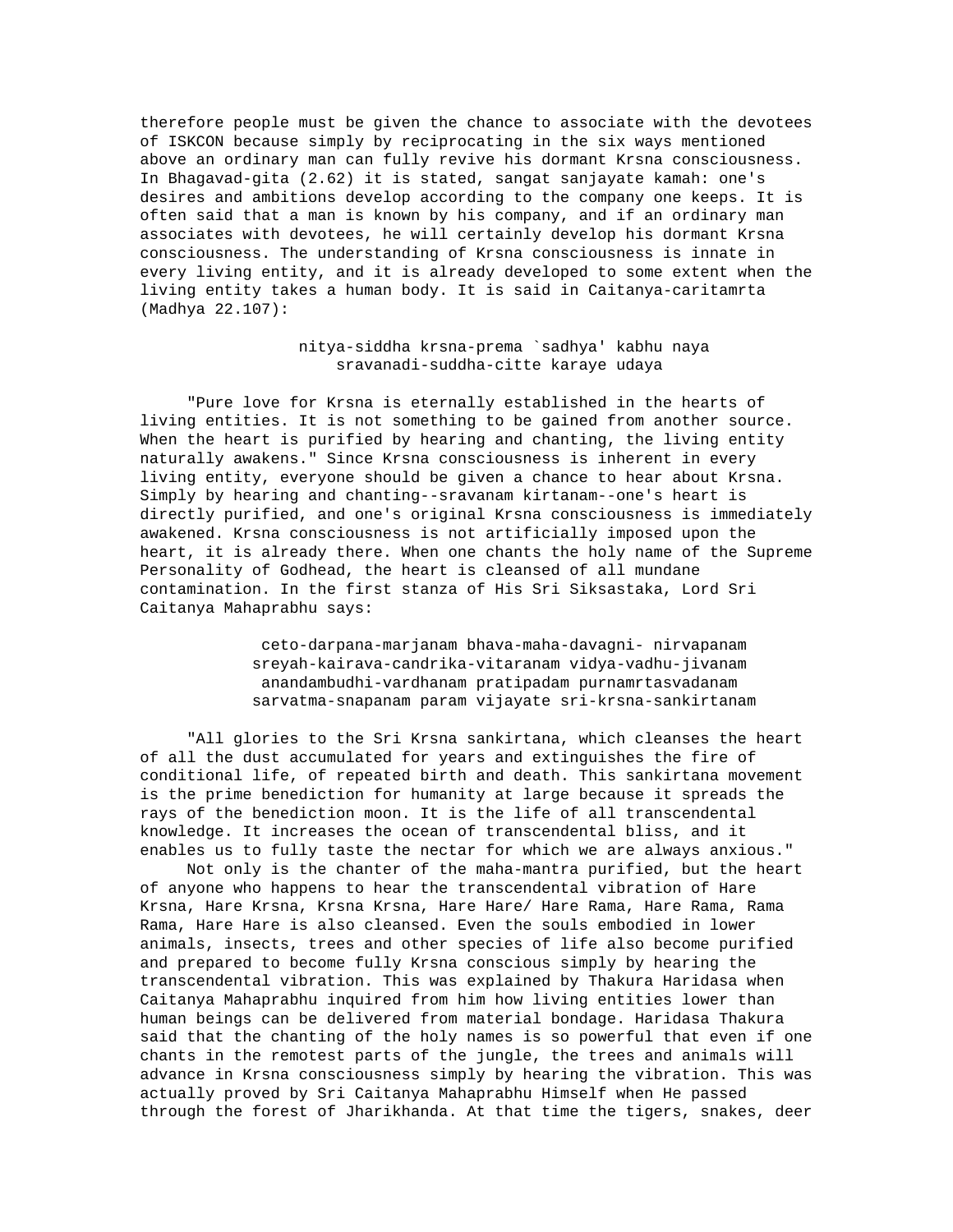therefore people must be given the chance to associate with the devotees of ISKCON because simply by reciprocating in the six ways mentioned above an ordinary man can fully revive his dormant Krsna consciousness. In Bhagavad-gita (2.62) it is stated, sangat sanjayate kamah: one's desires and ambitions develop according to the company one keeps. It is often said that a man is known by his company, and if an ordinary man associates with devotees, he will certainly develop his dormant Krsna consciousness. The understanding of Krsna consciousness is innate in every living entity, and it is already developed to some extent when the living entity takes a human body. It is said in Caitanya-caritamrta (Madhya 22.107):

# nitya-siddha krsna-prema `sadhya' kabhu naya sravanadi-suddha-citte karaye udaya

 "Pure love for Krsna is eternally established in the hearts of living entities. It is not something to be gained from another source. When the heart is purified by hearing and chanting, the living entity naturally awakens." Since Krsna consciousness is inherent in every living entity, everyone should be given a chance to hear about Krsna. Simply by hearing and chanting--sravanam kirtanam--one's heart is directly purified, and one's original Krsna consciousness is immediately awakened. Krsna consciousness is not artificially imposed upon the heart, it is already there. When one chants the holy name of the Supreme Personality of Godhead, the heart is cleansed of all mundane contamination. In the first stanza of His Sri Siksastaka, Lord Sri Caitanya Mahaprabhu says:

> ceto-darpana-marjanam bhava-maha-davagni- nirvapanam sreyah-kairava-candrika-vitaranam vidya-vadhu-jivanam anandambudhi-vardhanam pratipadam purnamrtasvadanam sarvatma-snapanam param vijayate sri-krsna-sankirtanam

 "All glories to the Sri Krsna sankirtana, which cleanses the heart of all the dust accumulated for years and extinguishes the fire of conditional life, of repeated birth and death. This sankirtana movement is the prime benediction for humanity at large because it spreads the rays of the benediction moon. It is the life of all transcendental knowledge. It increases the ocean of transcendental bliss, and it enables us to fully taste the nectar for which we are always anxious."

 Not only is the chanter of the maha-mantra purified, but the heart of anyone who happens to hear the transcendental vibration of Hare Krsna, Hare Krsna, Krsna Krsna, Hare Hare/ Hare Rama, Hare Rama, Rama Rama, Hare Hare is also cleansed. Even the souls embodied in lower animals, insects, trees and other species of life also become purified and prepared to become fully Krsna conscious simply by hearing the transcendental vibration. This was explained by Thakura Haridasa when Caitanya Mahaprabhu inquired from him how living entities lower than human beings can be delivered from material bondage. Haridasa Thakura said that the chanting of the holy names is so powerful that even if one chants in the remotest parts of the jungle, the trees and animals will advance in Krsna consciousness simply by hearing the vibration. This was actually proved by Sri Caitanya Mahaprabhu Himself when He passed through the forest of Jharikhanda. At that time the tigers, snakes, deer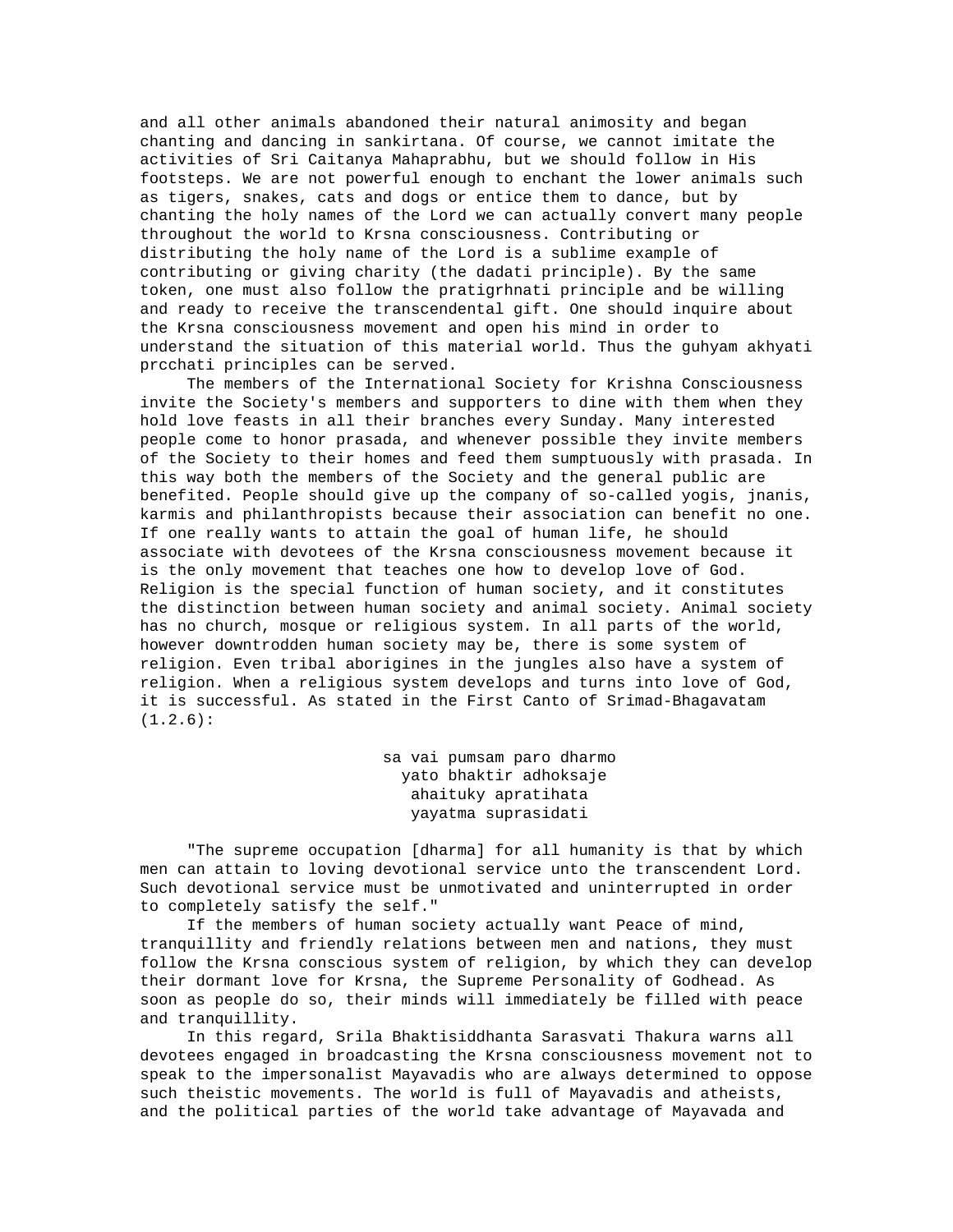and all other animals abandoned their natural animosity and began chanting and dancing in sankirtana. Of course, we cannot imitate the activities of Sri Caitanya Mahaprabhu, but we should follow in His footsteps. We are not powerful enough to enchant the lower animals such as tigers, snakes, cats and dogs or entice them to dance, but by chanting the holy names of the Lord we can actually convert many people throughout the world to Krsna consciousness. Contributing or distributing the holy name of the Lord is a sublime example of contributing or giving charity (the dadati principle). By the same token, one must also follow the pratigrhnati principle and be willing and ready to receive the transcendental gift. One should inquire about the Krsna consciousness movement and open his mind in order to understand the situation of this material world. Thus the guhyam akhyati prcchati principles can be served.

 The members of the International Society for Krishna Consciousness invite the Society's members and supporters to dine with them when they hold love feasts in all their branches every Sunday. Many interested people come to honor prasada, and whenever possible they invite members of the Society to their homes and feed them sumptuously with prasada. In this way both the members of the Society and the general public are benefited. People should give up the company of so-called yogis, jnanis, karmis and philanthropists because their association can benefit no one. If one really wants to attain the goal of human life, he should associate with devotees of the Krsna consciousness movement because it is the only movement that teaches one how to develop love of God. Religion is the special function of human society, and it constitutes the distinction between human society and animal society. Animal society has no church, mosque or religious system. In all parts of the world, however downtrodden human society may be, there is some system of religion. Even tribal aborigines in the jungles also have a system of religion. When a religious system develops and turns into love of God, it is successful. As stated in the First Canto of Srimad-Bhagavatam  $(1.2.6):$ 

> sa vai pumsam paro dharmo yato bhaktir adhoksaje ahaituky apratihata yayatma suprasidati

 "The supreme occupation [dharma] for all humanity is that by which men can attain to loving devotional service unto the transcendent Lord. Such devotional service must be unmotivated and uninterrupted in order to completely satisfy the self."

 If the members of human society actually want Peace of mind, tranquillity and friendly relations between men and nations, they must follow the Krsna conscious system of religion, by which they can develop their dormant love for Krsna, the Supreme Personality of Godhead. As soon as people do so, their minds will immediately be filled with peace and tranquillity.

 In this regard, Srila Bhaktisiddhanta Sarasvati Thakura warns all devotees engaged in broadcasting the Krsna consciousness movement not to speak to the impersonalist Mayavadis who are always determined to oppose such theistic movements. The world is full of Mayavadis and atheists, and the political parties of the world take advantage of Mayavada and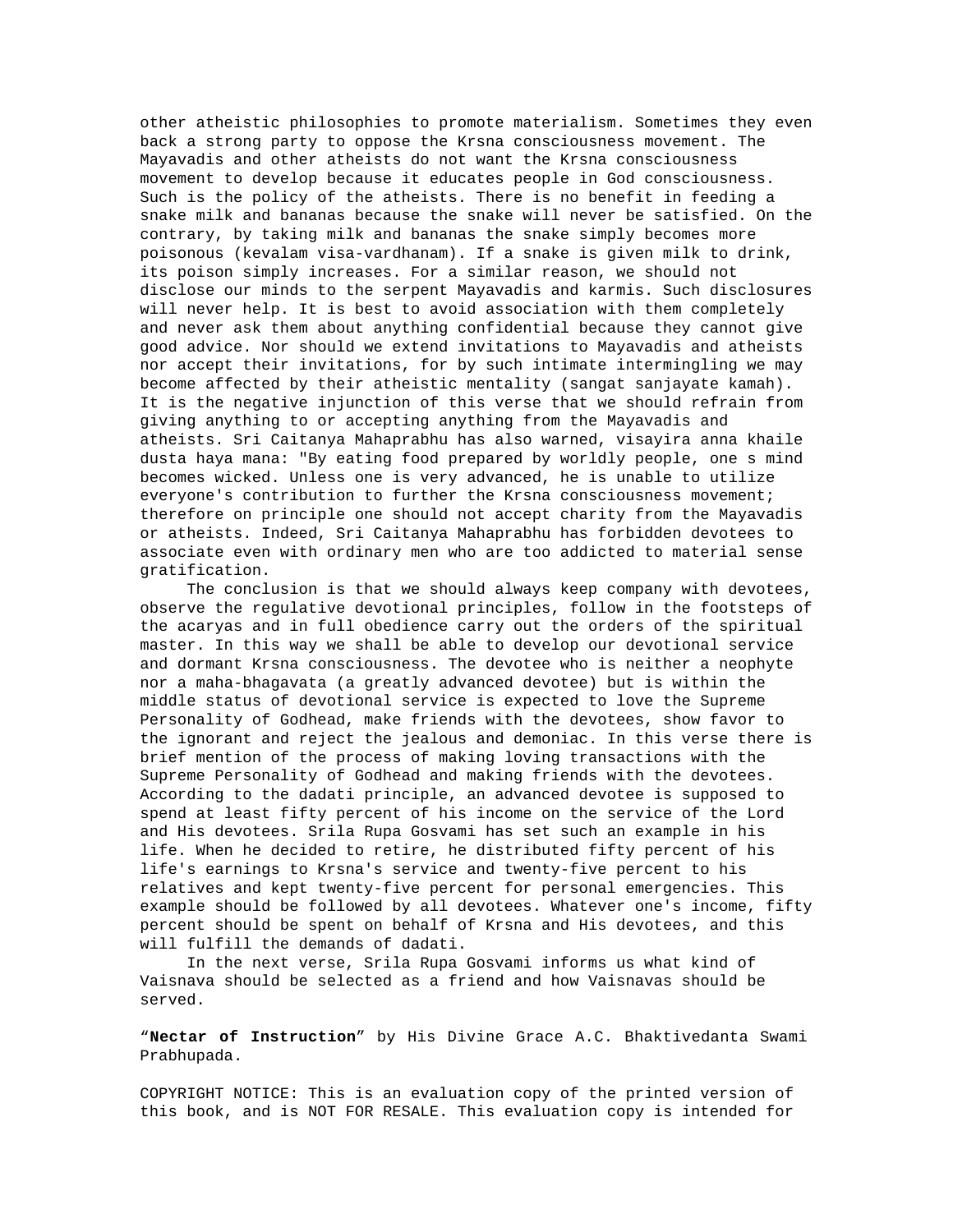other atheistic philosophies to promote materialism. Sometimes they even back a strong party to oppose the Krsna consciousness movement. The Mayavadis and other atheists do not want the Krsna consciousness movement to develop because it educates people in God consciousness. Such is the policy of the atheists. There is no benefit in feeding a snake milk and bananas because the snake will never be satisfied. On the contrary, by taking milk and bananas the snake simply becomes more poisonous (kevalam visa-vardhanam). If a snake is given milk to drink, its poison simply increases. For a similar reason, we should not disclose our minds to the serpent Mayavadis and karmis. Such disclosures will never help. It is best to avoid association with them completely and never ask them about anything confidential because they cannot give good advice. Nor should we extend invitations to Mayavadis and atheists nor accept their invitations, for by such intimate intermingling we may become affected by their atheistic mentality (sangat sanjayate kamah). It is the negative injunction of this verse that we should refrain from giving anything to or accepting anything from the Mayavadis and atheists. Sri Caitanya Mahaprabhu has also warned, visayira anna khaile dusta haya mana: "By eating food prepared by worldly people, one s mind becomes wicked. Unless one is very advanced, he is unable to utilize everyone's contribution to further the Krsna consciousness movement; therefore on principle one should not accept charity from the Mayavadis or atheists. Indeed, Sri Caitanya Mahaprabhu has forbidden devotees to associate even with ordinary men who are too addicted to material sense gratification.

 The conclusion is that we should always keep company with devotees, observe the regulative devotional principles, follow in the footsteps of the acaryas and in full obedience carry out the orders of the spiritual master. In this way we shall be able to develop our devotional service and dormant Krsna consciousness. The devotee who is neither a neophyte nor a maha-bhagavata (a greatly advanced devotee) but is within the middle status of devotional service is expected to love the Supreme Personality of Godhead, make friends with the devotees, show favor to the ignorant and reject the jealous and demoniac. In this verse there is brief mention of the process of making loving transactions with the Supreme Personality of Godhead and making friends with the devotees. According to the dadati principle, an advanced devotee is supposed to spend at least fifty percent of his income on the service of the Lord and His devotees. Srila Rupa Gosvami has set such an example in his life. When he decided to retire, he distributed fifty percent of his life's earnings to Krsna's service and twenty-five percent to his relatives and kept twenty-five percent for personal emergencies. This example should be followed by all devotees. Whatever one's income, fifty percent should be spent on behalf of Krsna and His devotees, and this will fulfill the demands of dadati.

 In the next verse, Srila Rupa Gosvami informs us what kind of Vaisnava should be selected as a friend and how Vaisnavas should be served.

"**Nectar of Instruction**" by His Divine Grace A.C. Bhaktivedanta Swami Prabhupada.

COPYRIGHT NOTICE: This is an evaluation copy of the printed version of this book, and is NOT FOR RESALE. This evaluation copy is intended for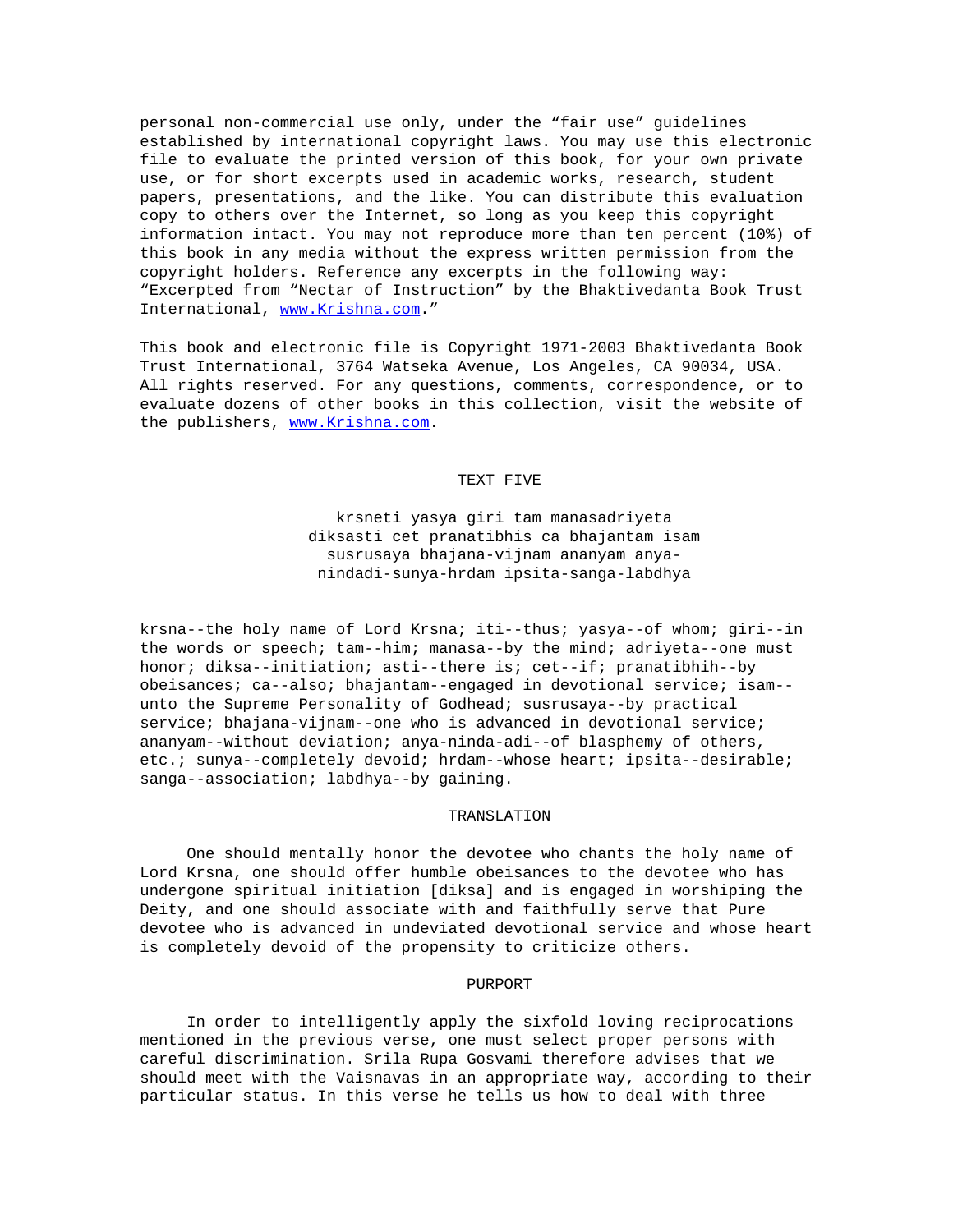personal non-commercial use only, under the "fair use" guidelines established by international copyright laws. You may use this electronic file to evaluate the printed version of this book, for your own private use, or for short excerpts used in academic works, research, student papers, presentations, and the like. You can distribute this evaluation copy to others over the Internet, so long as you keep this copyright information intact. You may not reproduce more than ten percent (10%) of this book in any media without the express written permission from the copyright holders. Reference any excerpts in the following way: "Excerpted from "Nectar of Instruction" by the Bhaktivedanta Book Trust International, www.Krishna.com."

This book and electronic file is Copyright 1971-2003 Bhaktivedanta Book Trust International, 3764 Watseka Avenue, Los Angeles, CA 90034, USA. All rights reserved. For any questions, comments, correspondence, or to evaluate dozens of other books in this collection, visit the website of the publishers, www.Krishna.com.

# TEXT FIVE

 krsneti yasya giri tam manasadriyeta diksasti cet pranatibhis ca bhajantam isam susrusaya bhajana-vijnam ananyam anya nindadi-sunya-hrdam ipsita-sanga-labdhya

krsna--the holy name of Lord Krsna; iti--thus; yasya--of whom; giri--in the words or speech; tam--him; manasa--by the mind; adriyeta--one must honor; diksa--initiation; asti--there is; cet--if; pranatibhih--by obeisances; ca--also; bhajantam--engaged in devotional service; isam- unto the Supreme Personality of Godhead; susrusaya--by practical service; bhajana-vijnam--one who is advanced in devotional service; ananyam--without deviation; anya-ninda-adi--of blasphemy of others, etc.; sunya--completely devoid; hrdam--whose heart; ipsita--desirable; sanga--association; labdhya--by gaining.

#### TRANSLATION

 One should mentally honor the devotee who chants the holy name of Lord Krsna, one should offer humble obeisances to the devotee who has undergone spiritual initiation [diksa] and is engaged in worshiping the Deity, and one should associate with and faithfully serve that Pure devotee who is advanced in undeviated devotional service and whose heart is completely devoid of the propensity to criticize others.

### PURPORT

 In order to intelligently apply the sixfold loving reciprocations mentioned in the previous verse, one must select proper persons with careful discrimination. Srila Rupa Gosvami therefore advises that we should meet with the Vaisnavas in an appropriate way, according to their particular status. In this verse he tells us how to deal with three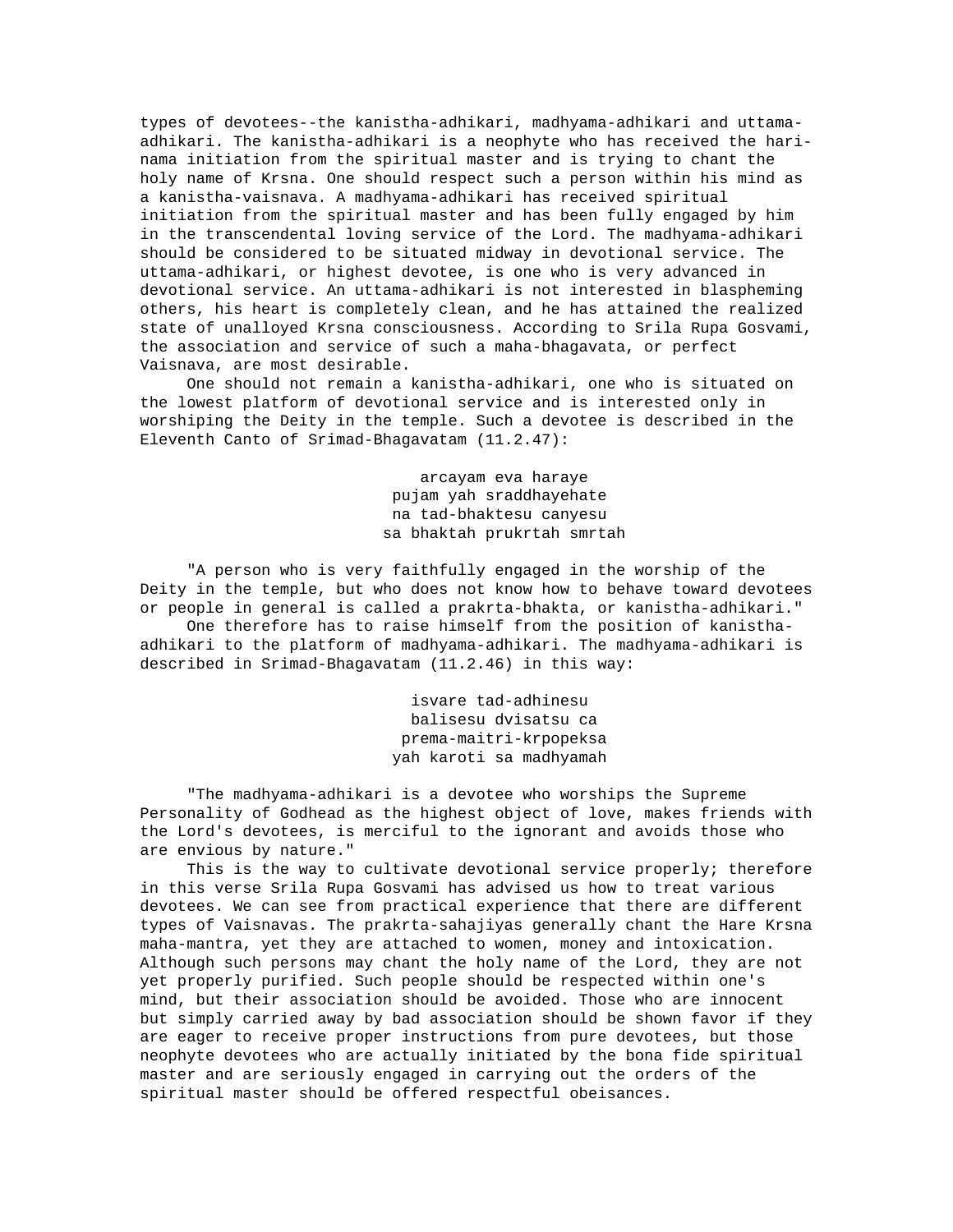types of devotees--the kanistha-adhikari, madhyama-adhikari and uttamaadhikari. The kanistha-adhikari is a neophyte who has received the harinama initiation from the spiritual master and is trying to chant the holy name of Krsna. One should respect such a person within his mind as a kanistha-vaisnava. A madhyama-adhikari has received spiritual initiation from the spiritual master and has been fully engaged by him in the transcendental loving service of the Lord. The madhyama-adhikari should be considered to be situated midway in devotional service. The uttama-adhikari, or highest devotee, is one who is very advanced in devotional service. An uttama-adhikari is not interested in blaspheming others, his heart is completely clean, and he has attained the realized state of unalloyed Krsna consciousness. According to Srila Rupa Gosvami, the association and service of such a maha-bhagavata, or perfect Vaisnava, are most desirable.

 One should not remain a kanistha-adhikari, one who is situated on the lowest platform of devotional service and is interested only in worshiping the Deity in the temple. Such a devotee is described in the Eleventh Canto of Srimad-Bhagavatam (11.2.47):

> arcayam eva haraye pujam yah sraddhayehate na tad-bhaktesu canyesu sa bhaktah prukrtah smrtah

 "A person who is very faithfully engaged in the worship of the Deity in the temple, but who does not know how to behave toward devotees or people in general is called a prakrta-bhakta, or kanistha-adhikari."

 One therefore has to raise himself from the position of kanisthaadhikari to the platform of madhyama-adhikari. The madhyama-adhikari is described in Srimad-Bhagavatam (11.2.46) in this way:

> isvare tad-adhinesu balisesu dvisatsu ca prema-maitri-krpopeksa yah karoti sa madhyamah

 "The madhyama-adhikari is a devotee who worships the Supreme Personality of Godhead as the highest object of love, makes friends with the Lord's devotees, is merciful to the ignorant and avoids those who are envious by nature."

 This is the way to cultivate devotional service properly; therefore in this verse Srila Rupa Gosvami has advised us how to treat various devotees. We can see from practical experience that there are different types of Vaisnavas. The prakrta-sahajiyas generally chant the Hare Krsna maha-mantra, yet they are attached to women, money and intoxication. Although such persons may chant the holy name of the Lord, they are not yet properly purified. Such people should be respected within one's mind, but their association should be avoided. Those who are innocent but simply carried away by bad association should be shown favor if they are eager to receive proper instructions from pure devotees, but those neophyte devotees who are actually initiated by the bona fide spiritual master and are seriously engaged in carrying out the orders of the spiritual master should be offered respectful obeisances.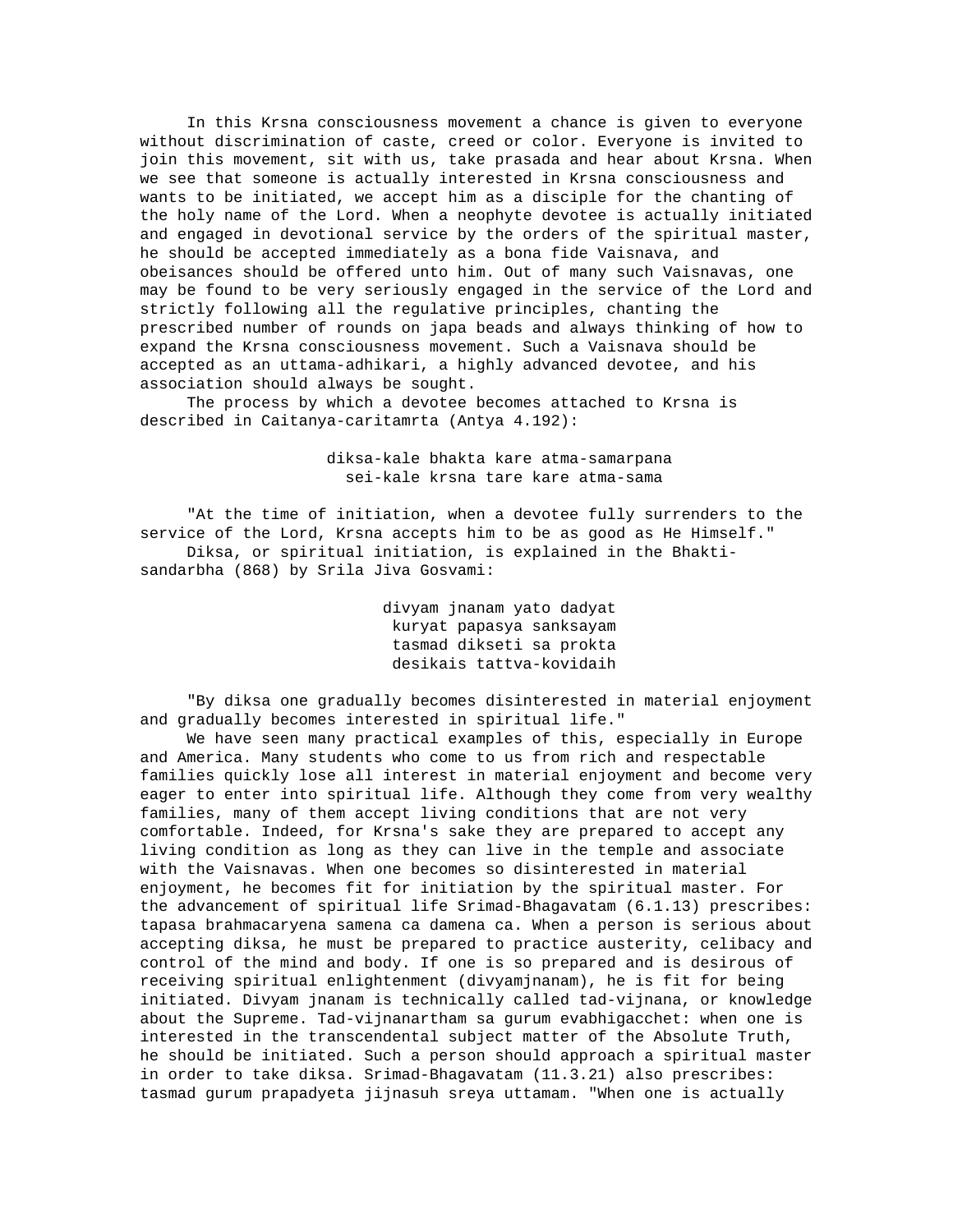In this Krsna consciousness movement a chance is given to everyone without discrimination of caste, creed or color. Everyone is invited to join this movement, sit with us, take prasada and hear about Krsna. When we see that someone is actually interested in Krsna consciousness and wants to be initiated, we accept him as a disciple for the chanting of the holy name of the Lord. When a neophyte devotee is actually initiated and engaged in devotional service by the orders of the spiritual master, he should be accepted immediately as a bona fide Vaisnava, and obeisances should be offered unto him. Out of many such Vaisnavas, one may be found to be very seriously engaged in the service of the Lord and strictly following all the regulative principles, chanting the prescribed number of rounds on japa beads and always thinking of how to expand the Krsna consciousness movement. Such a Vaisnava should be accepted as an uttama-adhikari, a highly advanced devotee, and his association should always be sought.

 The process by which a devotee becomes attached to Krsna is described in Caitanya-caritamrta (Antya 4.192):

> diksa-kale bhakta kare atma-samarpana sei-kale krsna tare kare atma-sama

 "At the time of initiation, when a devotee fully surrenders to the service of the Lord, Krsna accepts him to be as good as He Himself." Diksa, or spiritual initiation, is explained in the Bhaktisandarbha (868) by Srila Jiva Gosvami:

> divyam jnanam yato dadyat kuryat papasya sanksayam tasmad dikseti sa prokta desikais tattva-kovidaih

 "By diksa one gradually becomes disinterested in material enjoyment and gradually becomes interested in spiritual life."

 We have seen many practical examples of this, especially in Europe and America. Many students who come to us from rich and respectable families quickly lose all interest in material enjoyment and become very eager to enter into spiritual life. Although they come from very wealthy families, many of them accept living conditions that are not very comfortable. Indeed, for Krsna's sake they are prepared to accept any living condition as long as they can live in the temple and associate with the Vaisnavas. When one becomes so disinterested in material enjoyment, he becomes fit for initiation by the spiritual master. For the advancement of spiritual life Srimad-Bhagavatam (6.1.13) prescribes: tapasa brahmacaryena samena ca damena ca. When a person is serious about accepting diksa, he must be prepared to practice austerity, celibacy and control of the mind and body. If one is so prepared and is desirous of receiving spiritual enlightenment (divyamjnanam), he is fit for being initiated. Divyam jnanam is technically called tad-vijnana, or knowledge about the Supreme. Tad-vijnanartham sa gurum evabhigacchet: when one is interested in the transcendental subject matter of the Absolute Truth, he should be initiated. Such a person should approach a spiritual master in order to take diksa. Srimad-Bhagavatam (11.3.21) also prescribes: tasmad gurum prapadyeta jijnasuh sreya uttamam. "When one is actually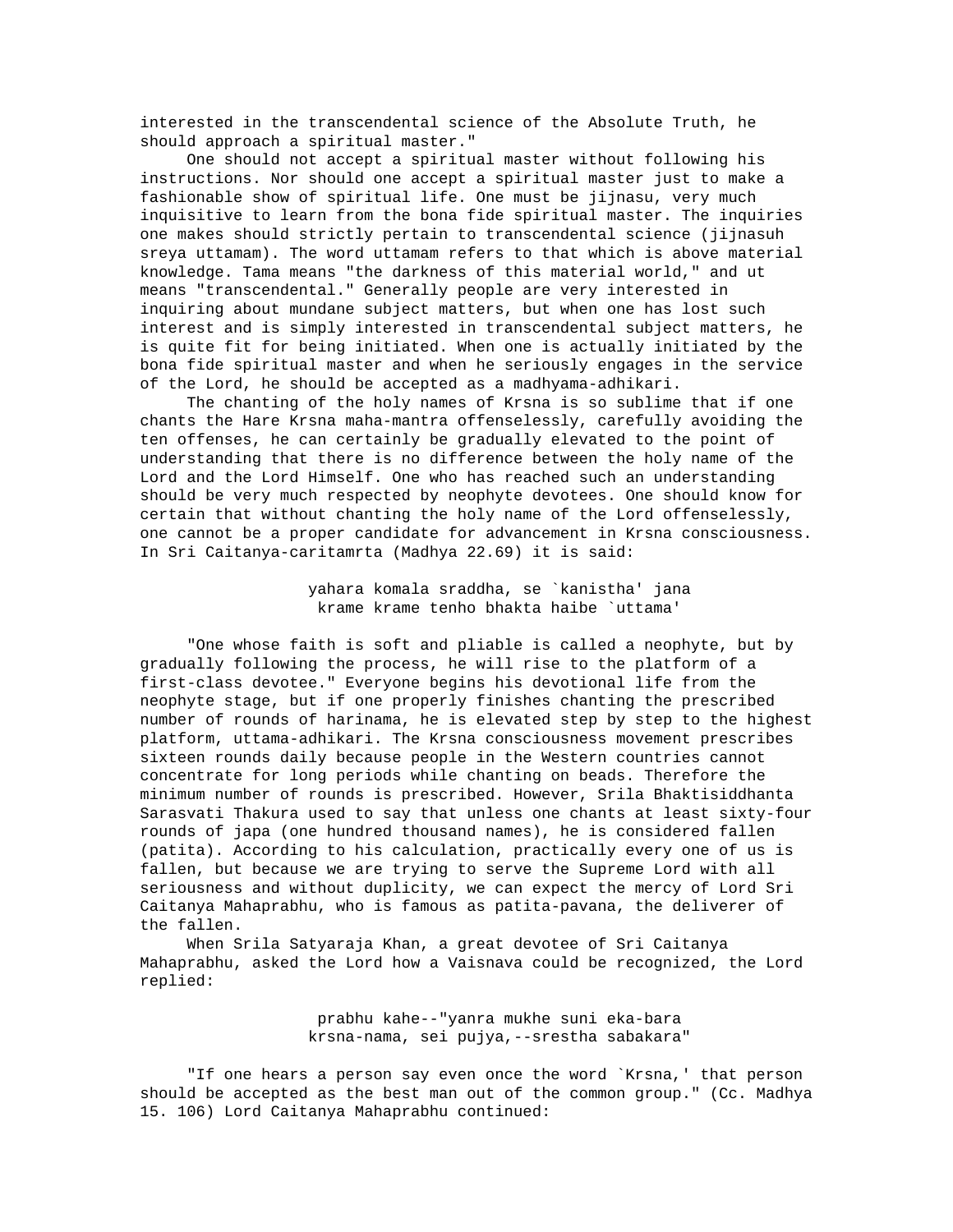interested in the transcendental science of the Absolute Truth, he should approach a spiritual master."

 One should not accept a spiritual master without following his instructions. Nor should one accept a spiritual master just to make a fashionable show of spiritual life. One must be jijnasu, very much inquisitive to learn from the bona fide spiritual master. The inquiries one makes should strictly pertain to transcendental science (jijnasuh sreya uttamam). The word uttamam refers to that which is above material knowledge. Tama means "the darkness of this material world," and ut means "transcendental." Generally people are very interested in inquiring about mundane subject matters, but when one has lost such interest and is simply interested in transcendental subject matters, he is quite fit for being initiated. When one is actually initiated by the bona fide spiritual master and when he seriously engages in the service of the Lord, he should be accepted as a madhyama-adhikari.

 The chanting of the holy names of Krsna is so sublime that if one chants the Hare Krsna maha-mantra offenselessly, carefully avoiding the ten offenses, he can certainly be gradually elevated to the point of understanding that there is no difference between the holy name of the Lord and the Lord Himself. One who has reached such an understanding should be very much respected by neophyte devotees. One should know for certain that without chanting the holy name of the Lord offenselessly, one cannot be a proper candidate for advancement in Krsna consciousness. In Sri Caitanya-caritamrta (Madhya 22.69) it is said:

> yahara komala sraddha, se `kanistha' jana krame krame tenho bhakta haibe `uttama'

 "One whose faith is soft and pliable is called a neophyte, but by gradually following the process, he will rise to the platform of a first-class devotee." Everyone begins his devotional life from the neophyte stage, but if one properly finishes chanting the prescribed number of rounds of harinama, he is elevated step by step to the highest platform, uttama-adhikari. The Krsna consciousness movement prescribes sixteen rounds daily because people in the Western countries cannot concentrate for long periods while chanting on beads. Therefore the minimum number of rounds is prescribed. However, Srila Bhaktisiddhanta Sarasvati Thakura used to say that unless one chants at least sixty-four rounds of japa (one hundred thousand names), he is considered fallen (patita). According to his calculation, practically every one of us is fallen, but because we are trying to serve the Supreme Lord with all seriousness and without duplicity, we can expect the mercy of Lord Sri Caitanya Mahaprabhu, who is famous as patita-pavana, the deliverer of the fallen.

 When Srila Satyaraja Khan, a great devotee of Sri Caitanya Mahaprabhu, asked the Lord how a Vaisnava could be recognized, the Lord replied:

> prabhu kahe--"yanra mukhe suni eka-bara krsna-nama, sei pujya,--srestha sabakara"

"If one hears a person say even once the word `Krsna,' that person should be accepted as the best man out of the common group." (Cc. Madhya 15. 106) Lord Caitanya Mahaprabhu continued: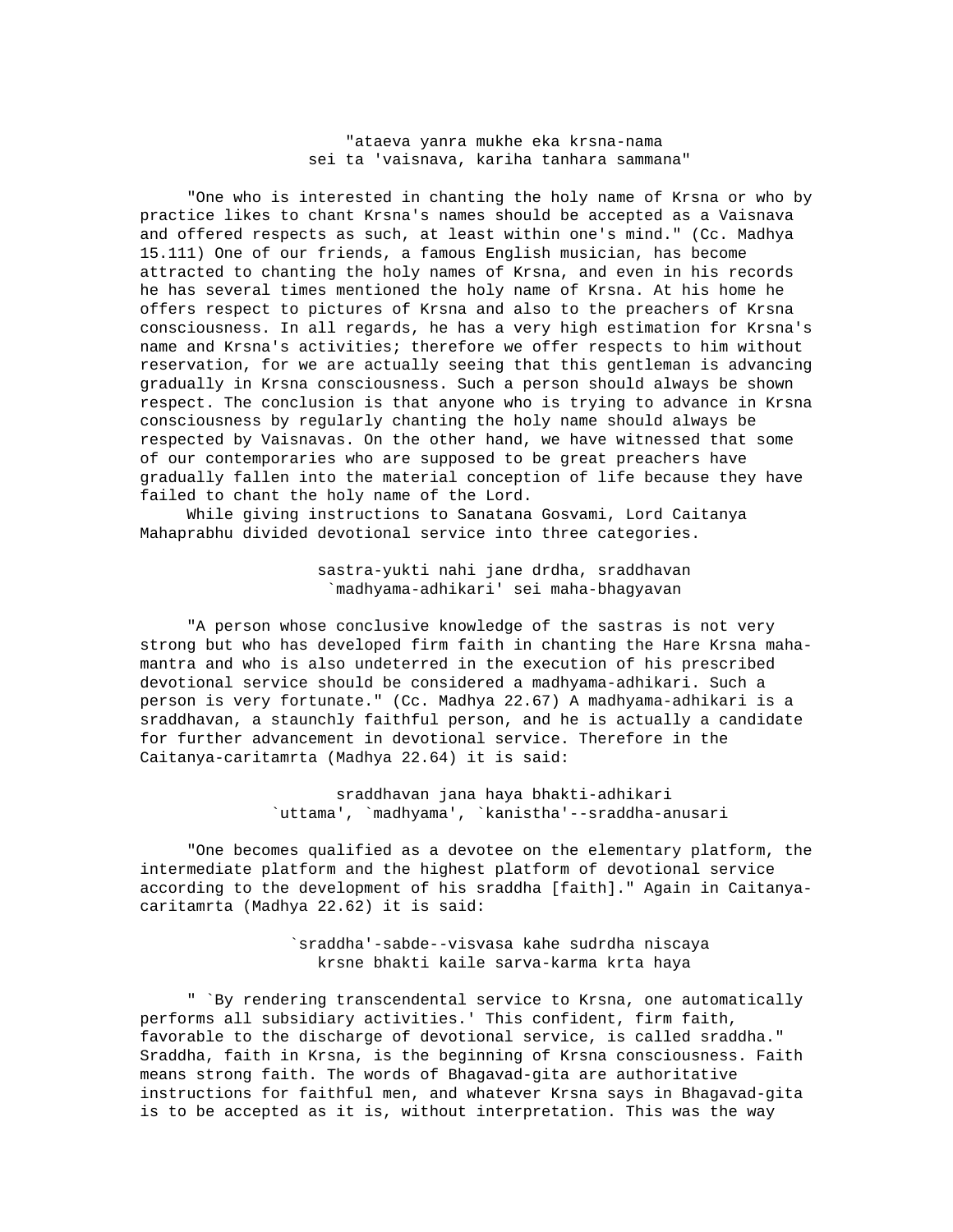# "ataeva yanra mukhe eka krsna-nama sei ta 'vaisnava, kariha tanhara sammana"

 "One who is interested in chanting the holy name of Krsna or who by practice likes to chant Krsna's names should be accepted as a Vaisnava and offered respects as such, at least within one's mind." (Cc. Madhya 15.111) One of our friends, a famous English musician, has become attracted to chanting the holy names of Krsna, and even in his records he has several times mentioned the holy name of Krsna. At his home he offers respect to pictures of Krsna and also to the preachers of Krsna consciousness. In all regards, he has a very high estimation for Krsna's name and Krsna's activities; therefore we offer respects to him without reservation, for we are actually seeing that this gentleman is advancing gradually in Krsna consciousness. Such a person should always be shown respect. The conclusion is that anyone who is trying to advance in Krsna consciousness by regularly chanting the holy name should always be respected by Vaisnavas. On the other hand, we have witnessed that some of our contemporaries who are supposed to be great preachers have gradually fallen into the material conception of life because they have failed to chant the holy name of the Lord.

 While giving instructions to Sanatana Gosvami, Lord Caitanya Mahaprabhu divided devotional service into three categories.

> sastra-yukti nahi jane drdha, sraddhavan `madhyama-adhikari' sei maha-bhagyavan

 "A person whose conclusive knowledge of the sastras is not very strong but who has developed firm faith in chanting the Hare Krsna mahamantra and who is also undeterred in the execution of his prescribed devotional service should be considered a madhyama-adhikari. Such a person is very fortunate." (Cc. Madhya 22.67) A madhyama-adhikari is a sraddhavan, a staunchly faithful person, and he is actually a candidate for further advancement in devotional service. Therefore in the Caitanya-caritamrta (Madhya 22.64) it is said:

> sraddhavan jana haya bhakti-adhikari `uttama', `madhyama', `kanistha'--sraddha-anusari

 "One becomes qualified as a devotee on the elementary platform, the intermediate platform and the highest platform of devotional service according to the development of his sraddha [faith]." Again in Caitanyacaritamrta (Madhya 22.62) it is said:

> `sraddha'-sabde--visvasa kahe sudrdha niscaya krsne bhakti kaile sarva-karma krta haya

 " `By rendering transcendental service to Krsna, one automatically performs all subsidiary activities.' This confident, firm faith, favorable to the discharge of devotional service, is called sraddha." Sraddha, faith in Krsna, is the beginning of Krsna consciousness. Faith means strong faith. The words of Bhagavad-gita are authoritative instructions for faithful men, and whatever Krsna says in Bhagavad-gita is to be accepted as it is, without interpretation. This was the way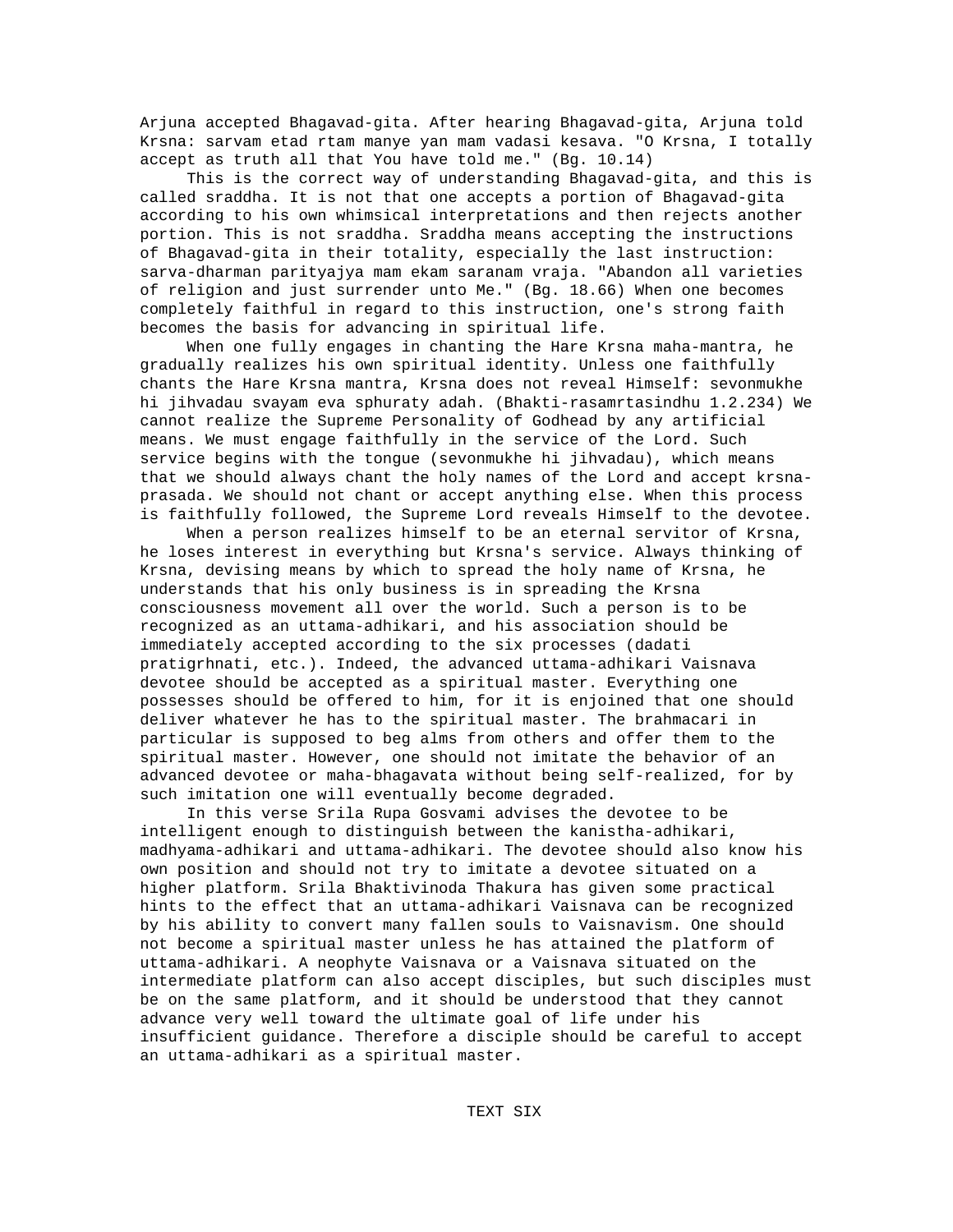Arjuna accepted Bhagavad-gita. After hearing Bhagavad-gita, Arjuna told Krsna: sarvam etad rtam manye yan mam vadasi kesava. "O Krsna, I totally accept as truth all that You have told me." (Bg. 10.14)

 This is the correct way of understanding Bhagavad-gita, and this is called sraddha. It is not that one accepts a portion of Bhagavad-gita according to his own whimsical interpretations and then rejects another portion. This is not sraddha. Sraddha means accepting the instructions of Bhagavad-gita in their totality, especially the last instruction: sarva-dharman parityajya mam ekam saranam vraja. "Abandon all varieties of religion and just surrender unto Me." (Bg. 18.66) When one becomes completely faithful in regard to this instruction, one's strong faith becomes the basis for advancing in spiritual life.

 When one fully engages in chanting the Hare Krsna maha-mantra, he gradually realizes his own spiritual identity. Unless one faithfully chants the Hare Krsna mantra, Krsna does not reveal Himself: sevonmukhe hi jihvadau svayam eva sphuraty adah. (Bhakti-rasamrtasindhu 1.2.234) We cannot realize the Supreme Personality of Godhead by any artificial means. We must engage faithfully in the service of the Lord. Such service begins with the tongue (sevonmukhe hi jihvadau), which means that we should always chant the holy names of the Lord and accept krsnaprasada. We should not chant or accept anything else. When this process is faithfully followed, the Supreme Lord reveals Himself to the devotee.

 When a person realizes himself to be an eternal servitor of Krsna, he loses interest in everything but Krsna's service. Always thinking of Krsna, devising means by which to spread the holy name of Krsna, he understands that his only business is in spreading the Krsna consciousness movement all over the world. Such a person is to be recognized as an uttama-adhikari, and his association should be immediately accepted according to the six processes (dadati pratigrhnati, etc.). Indeed, the advanced uttama-adhikari Vaisnava devotee should be accepted as a spiritual master. Everything one possesses should be offered to him, for it is enjoined that one should deliver whatever he has to the spiritual master. The brahmacari in particular is supposed to beg alms from others and offer them to the spiritual master. However, one should not imitate the behavior of an advanced devotee or maha-bhagavata without being self-realized, for by such imitation one will eventually become degraded.

 In this verse Srila Rupa Gosvami advises the devotee to be intelligent enough to distinguish between the kanistha-adhikari, madhyama-adhikari and uttama-adhikari. The devotee should also know his own position and should not try to imitate a devotee situated on a higher platform. Srila Bhaktivinoda Thakura has given some practical hints to the effect that an uttama-adhikari Vaisnava can be recognized by his ability to convert many fallen souls to Vaisnavism. One should not become a spiritual master unless he has attained the platform of uttama-adhikari. A neophyte Vaisnava or a Vaisnava situated on the intermediate platform can also accept disciples, but such disciples must be on the same platform, and it should be understood that they cannot advance very well toward the ultimate goal of life under his insufficient guidance. Therefore a disciple should be careful to accept an uttama-adhikari as a spiritual master.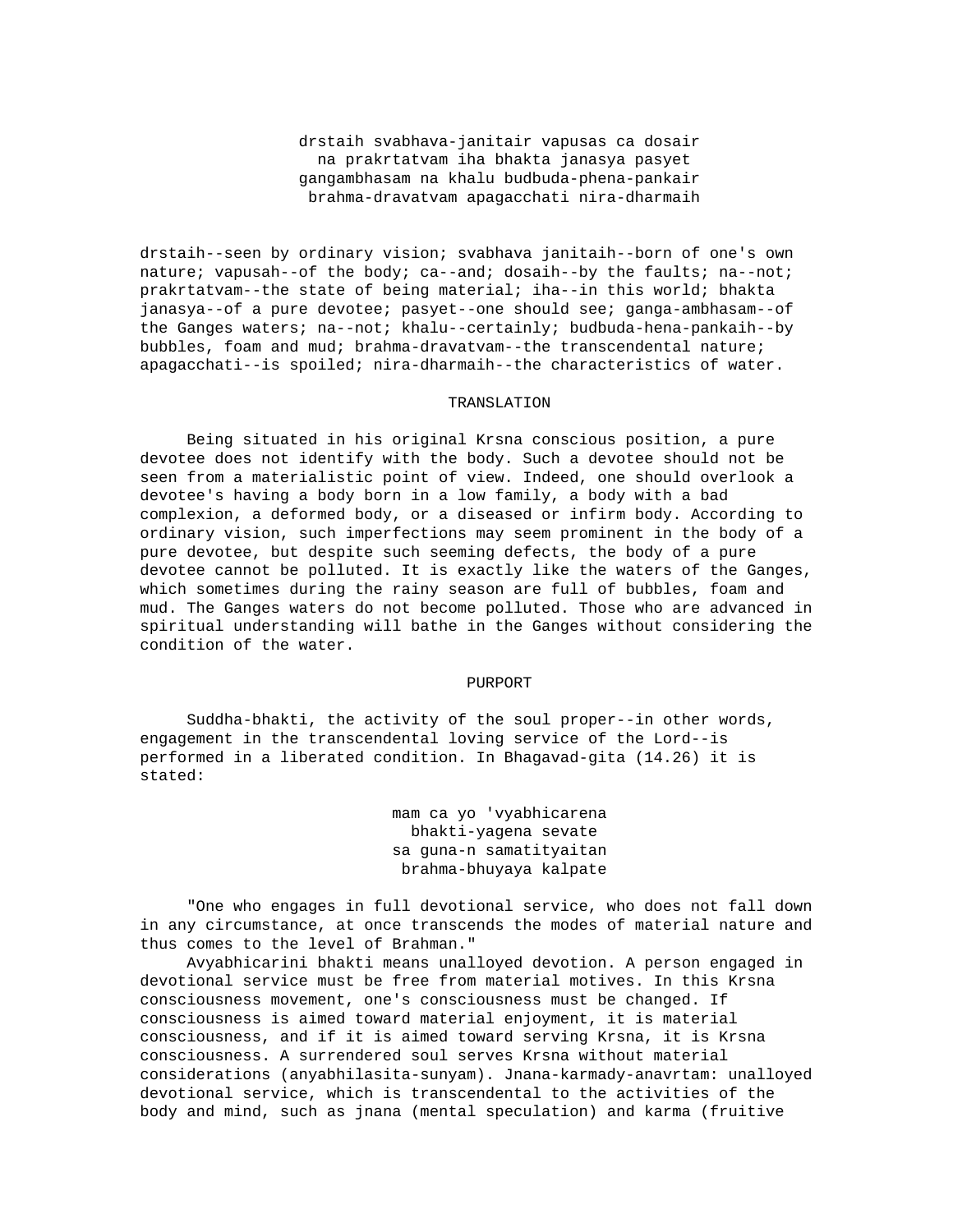drstaih svabhava-janitair vapusas ca dosair na prakrtatvam iha bhakta janasya pasyet gangambhasam na khalu budbuda-phena-pankair brahma-dravatvam apagacchati nira-dharmaih

drstaih--seen by ordinary vision; svabhava janitaih--born of one's own nature; vapusah--of the body; ca--and; dosaih--by the faults; na--not; prakrtatvam--the state of being material; iha--in this world; bhakta janasya--of a pure devotee; pasyet--one should see; ganga-ambhasam--of the Ganges waters; na--not; khalu--certainly; budbuda-hena-pankaih--by bubbles, foam and mud; brahma-dravatvam--the transcendental nature; apagacchati--is spoiled; nira-dharmaih--the characteristics of water.

## TRANSLATION

 Being situated in his original Krsna conscious position, a pure devotee does not identify with the body. Such a devotee should not be seen from a materialistic point of view. Indeed, one should overlook a devotee's having a body born in a low family, a body with a bad complexion, a deformed body, or a diseased or infirm body. According to ordinary vision, such imperfections may seem prominent in the body of a pure devotee, but despite such seeming defects, the body of a pure devotee cannot be polluted. It is exactly like the waters of the Ganges, which sometimes during the rainy season are full of bubbles, foam and mud. The Ganges waters do not become polluted. Those who are advanced in spiritual understanding will bathe in the Ganges without considering the condition of the water.

### PURPORT

 Suddha-bhakti, the activity of the soul proper--in other words, engagement in the transcendental loving service of the Lord--is performed in a liberated condition. In Bhagavad-gita (14.26) it is stated:

> mam ca yo 'vyabhicarena bhakti-yagena sevate sa guna-n samatityaitan brahma-bhuyaya kalpate

 "One who engages in full devotional service, who does not fall down in any circumstance, at once transcends the modes of material nature and thus comes to the level of Brahman."

 Avyabhicarini bhakti means unalloyed devotion. A person engaged in devotional service must be free from material motives. In this Krsna consciousness movement, one's consciousness must be changed. If consciousness is aimed toward material enjoyment, it is material consciousness, and if it is aimed toward serving Krsna, it is Krsna consciousness. A surrendered soul serves Krsna without material considerations (anyabhilasita-sunyam). Jnana-karmady-anavrtam: unalloyed devotional service, which is transcendental to the activities of the body and mind, such as jnana (mental speculation) and karma (fruitive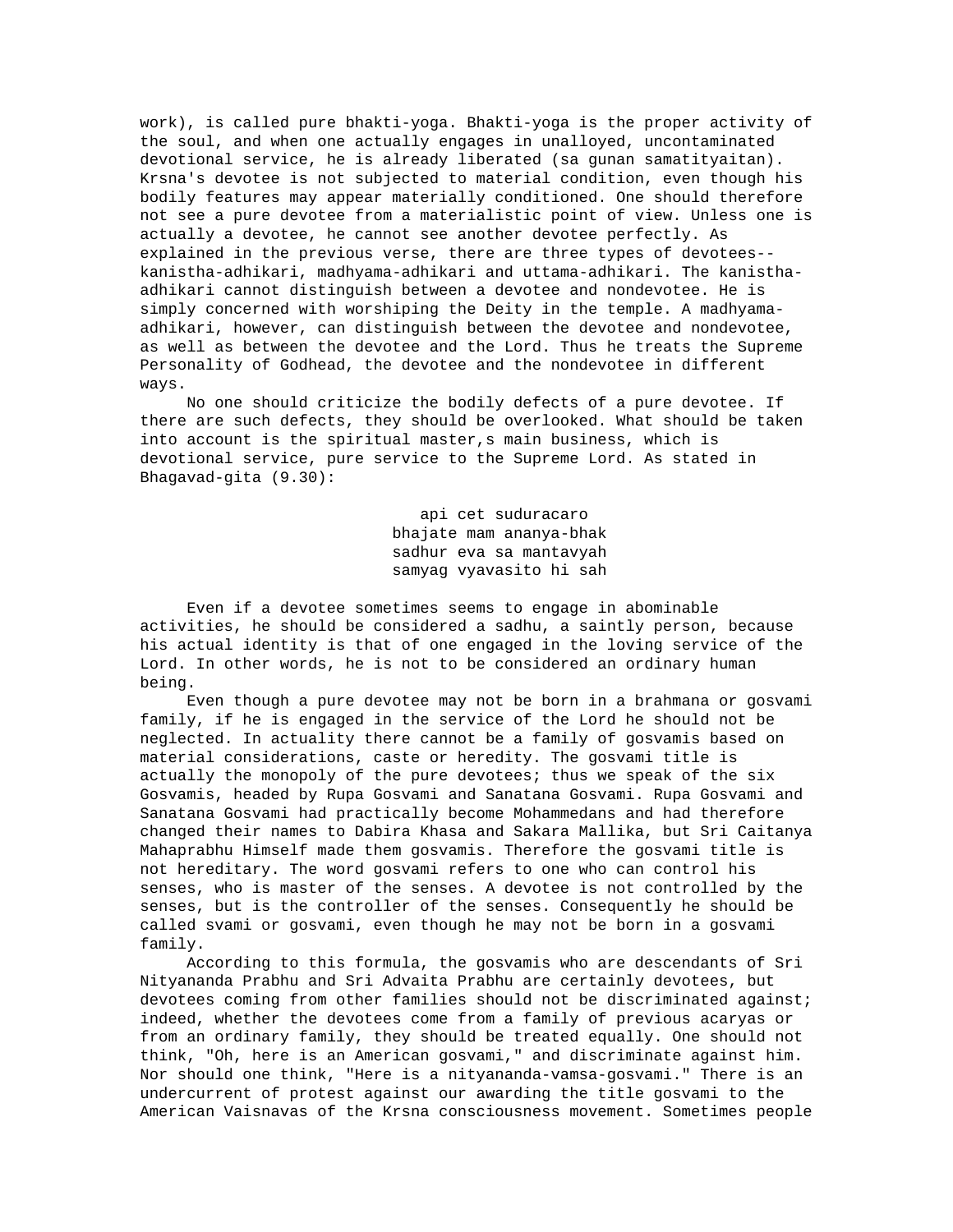work), is called pure bhakti-yoga. Bhakti-yoga is the proper activity of the soul, and when one actually engages in unalloyed, uncontaminated devotional service, he is already liberated (sa gunan samatityaitan). Krsna's devotee is not subjected to material condition, even though his bodily features may appear materially conditioned. One should therefore not see a pure devotee from a materialistic point of view. Unless one is actually a devotee, he cannot see another devotee perfectly. As explained in the previous verse, there are three types of devotees- kanistha-adhikari, madhyama-adhikari and uttama-adhikari. The kanisthaadhikari cannot distinguish between a devotee and nondevotee. He is simply concerned with worshiping the Deity in the temple. A madhyamaadhikari, however, can distinguish between the devotee and nondevotee, as well as between the devotee and the Lord. Thus he treats the Supreme Personality of Godhead, the devotee and the nondevotee in different ways.

 No one should criticize the bodily defects of a pure devotee. If there are such defects, they should be overlooked. What should be taken into account is the spiritual master,s main business, which is devotional service, pure service to the Supreme Lord. As stated in Bhagavad-gita (9.30):

> api cet suduracaro bhajate mam ananya-bhak sadhur eva sa mantavyah samyag vyavasito hi sah

 Even if a devotee sometimes seems to engage in abominable activities, he should be considered a sadhu, a saintly person, because his actual identity is that of one engaged in the loving service of the Lord. In other words, he is not to be considered an ordinary human being.

 Even though a pure devotee may not be born in a brahmana or gosvami family, if he is engaged in the service of the Lord he should not be neglected. In actuality there cannot be a family of gosvamis based on material considerations, caste or heredity. The gosvami title is actually the monopoly of the pure devotees; thus we speak of the six Gosvamis, headed by Rupa Gosvami and Sanatana Gosvami. Rupa Gosvami and Sanatana Gosvami had practically become Mohammedans and had therefore changed their names to Dabira Khasa and Sakara Mallika, but Sri Caitanya Mahaprabhu Himself made them gosvamis. Therefore the gosvami title is not hereditary. The word gosvami refers to one who can control his senses, who is master of the senses. A devotee is not controlled by the senses, but is the controller of the senses. Consequently he should be called svami or gosvami, even though he may not be born in a gosvami family.

 According to this formula, the gosvamis who are descendants of Sri Nityananda Prabhu and Sri Advaita Prabhu are certainly devotees, but devotees coming from other families should not be discriminated against; indeed, whether the devotees come from a family of previous acaryas or from an ordinary family, they should be treated equally. One should not think, "Oh, here is an American gosvami," and discriminate against him. Nor should one think, "Here is a nityananda-vamsa-gosvami." There is an undercurrent of protest against our awarding the title gosvami to the American Vaisnavas of the Krsna consciousness movement. Sometimes people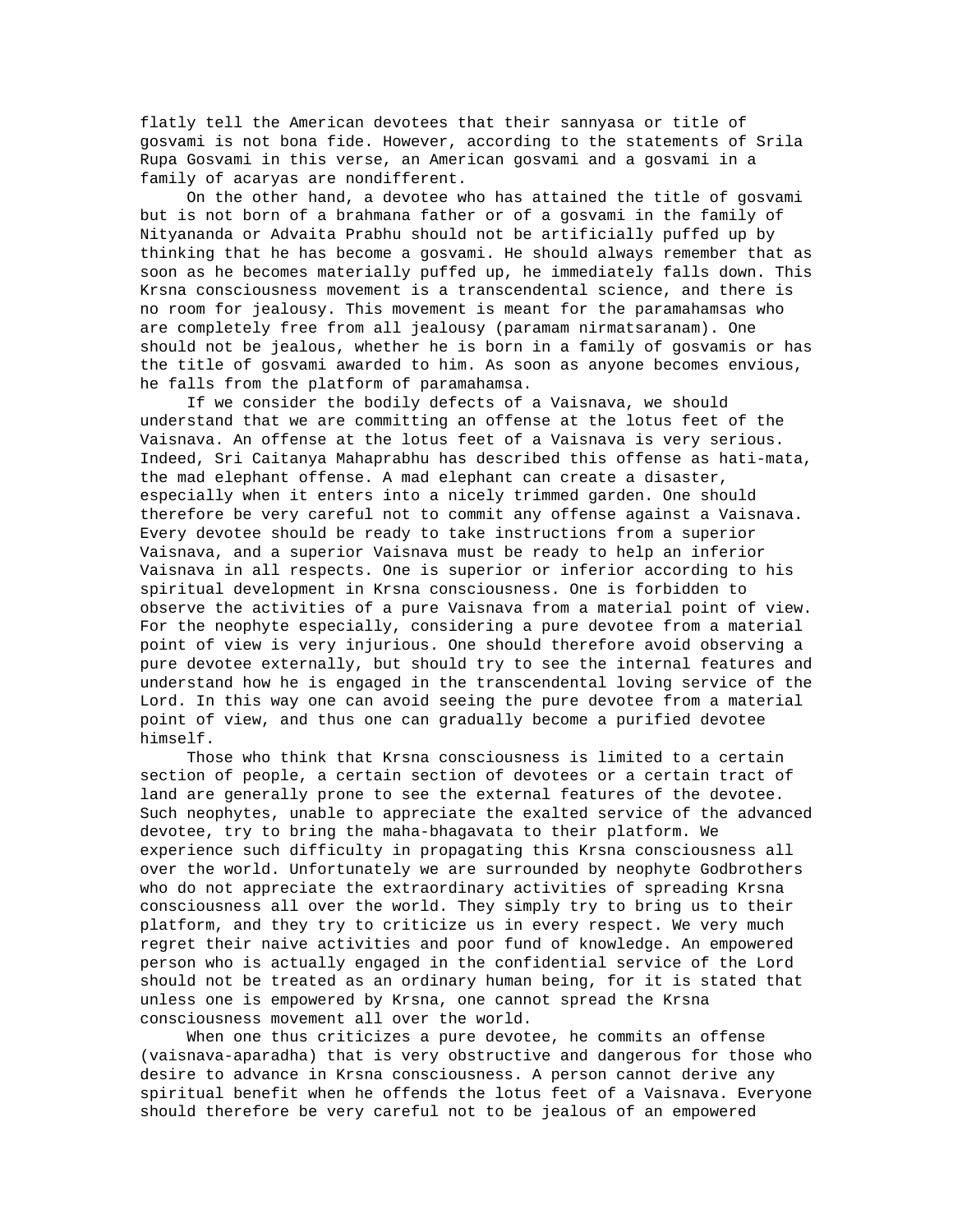flatly tell the American devotees that their sannyasa or title of gosvami is not bona fide. However, according to the statements of Srila Rupa Gosvami in this verse, an American gosvami and a gosvami in a family of acaryas are nondifferent.

 On the other hand, a devotee who has attained the title of gosvami but is not born of a brahmana father or of a gosvami in the family of Nityananda or Advaita Prabhu should not be artificially puffed up by thinking that he has become a gosvami. He should always remember that as soon as he becomes materially puffed up, he immediately falls down. This Krsna consciousness movement is a transcendental science, and there is no room for jealousy. This movement is meant for the paramahamsas who are completely free from all jealousy (paramam nirmatsaranam). One should not be jealous, whether he is born in a family of gosvamis or has the title of gosvami awarded to him. As soon as anyone becomes envious, he falls from the platform of paramahamsa.

 If we consider the bodily defects of a Vaisnava, we should understand that we are committing an offense at the lotus feet of the Vaisnava. An offense at the lotus feet of a Vaisnava is very serious. Indeed, Sri Caitanya Mahaprabhu has described this offense as hati-mata, the mad elephant offense. A mad elephant can create a disaster, especially when it enters into a nicely trimmed garden. One should therefore be very careful not to commit any offense against a Vaisnava. Every devotee should be ready to take instructions from a superior Vaisnava, and a superior Vaisnava must be ready to help an inferior Vaisnava in all respects. One is superior or inferior according to his spiritual development in Krsna consciousness. One is forbidden to observe the activities of a pure Vaisnava from a material point of view. For the neophyte especially, considering a pure devotee from a material point of view is very injurious. One should therefore avoid observing a pure devotee externally, but should try to see the internal features and understand how he is engaged in the transcendental loving service of the Lord. In this way one can avoid seeing the pure devotee from a material point of view, and thus one can gradually become a purified devotee himself.

 Those who think that Krsna consciousness is limited to a certain section of people, a certain section of devotees or a certain tract of land are generally prone to see the external features of the devotee. Such neophytes, unable to appreciate the exalted service of the advanced devotee, try to bring the maha-bhagavata to their platform. We experience such difficulty in propagating this Krsna consciousness all over the world. Unfortunately we are surrounded by neophyte Godbrothers who do not appreciate the extraordinary activities of spreading Krsna consciousness all over the world. They simply try to bring us to their platform, and they try to criticize us in every respect. We very much regret their naive activities and poor fund of knowledge. An empowered person who is actually engaged in the confidential service of the Lord should not be treated as an ordinary human being, for it is stated that unless one is empowered by Krsna, one cannot spread the Krsna consciousness movement all over the world.

 When one thus criticizes a pure devotee, he commits an offense (vaisnava-aparadha) that is very obstructive and dangerous for those who desire to advance in Krsna consciousness. A person cannot derive any spiritual benefit when he offends the lotus feet of a Vaisnava. Everyone should therefore be very careful not to be jealous of an empowered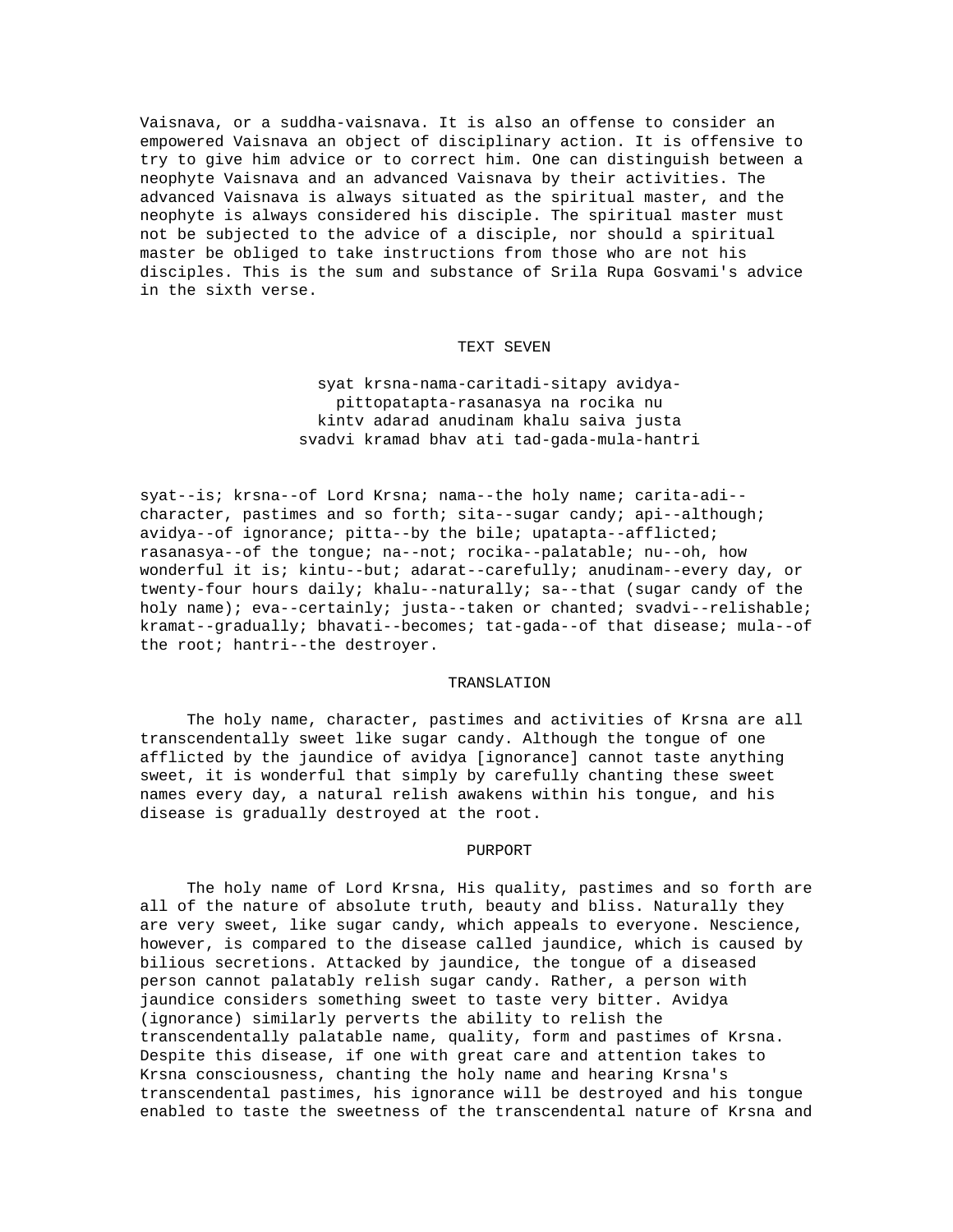Vaisnava, or a suddha-vaisnava. It is also an offense to consider an empowered Vaisnava an object of disciplinary action. It is offensive to try to give him advice or to correct him. One can distinguish between a neophyte Vaisnava and an advanced Vaisnava by their activities. The advanced Vaisnava is always situated as the spiritual master, and the neophyte is always considered his disciple. The spiritual master must not be subjected to the advice of a disciple, nor should a spiritual master be obliged to take instructions from those who are not his disciples. This is the sum and substance of Srila Rupa Gosvami's advice in the sixth verse.

## TEXT SEVEN

 syat krsna-nama-caritadi-sitapy avidya pittopatapta-rasanasya na rocika nu kintv adarad anudinam khalu saiva justa svadvi kramad bhav ati tad-gada-mula-hantri

syat--is; krsna--of Lord Krsna; nama--the holy name; carita-adi- character, pastimes and so forth; sita--sugar candy; api--although; avidya--of ignorance; pitta--by the bile; upatapta--afflicted; rasanasya--of the tongue; na--not; rocika--palatable; nu--oh, how wonderful it is; kintu--but; adarat--carefully; anudinam--every day, or twenty-four hours daily; khalu--naturally; sa--that (sugar candy of the holy name); eva--certainly; justa--taken or chanted; svadvi--relishable; kramat--gradually; bhavati--becomes; tat-gada--of that disease; mula--of the root; hantri--the destroyer.

# TRANSLATION

 The holy name, character, pastimes and activities of Krsna are all transcendentally sweet like sugar candy. Although the tongue of one afflicted by the jaundice of avidya [ignorance] cannot taste anything sweet, it is wonderful that simply by carefully chanting these sweet names every day, a natural relish awakens within his tongue, and his disease is gradually destroyed at the root.

#### PURPORT

 The holy name of Lord Krsna, His quality, pastimes and so forth are all of the nature of absolute truth, beauty and bliss. Naturally they are very sweet, like sugar candy, which appeals to everyone. Nescience, however, is compared to the disease called jaundice, which is caused by bilious secretions. Attacked by jaundice, the tongue of a diseased person cannot palatably relish sugar candy. Rather, a person with jaundice considers something sweet to taste very bitter. Avidya (ignorance) similarly perverts the ability to relish the transcendentally palatable name, quality, form and pastimes of Krsna. Despite this disease, if one with great care and attention takes to Krsna consciousness, chanting the holy name and hearing Krsna's transcendental pastimes, his ignorance will be destroyed and his tongue enabled to taste the sweetness of the transcendental nature of Krsna and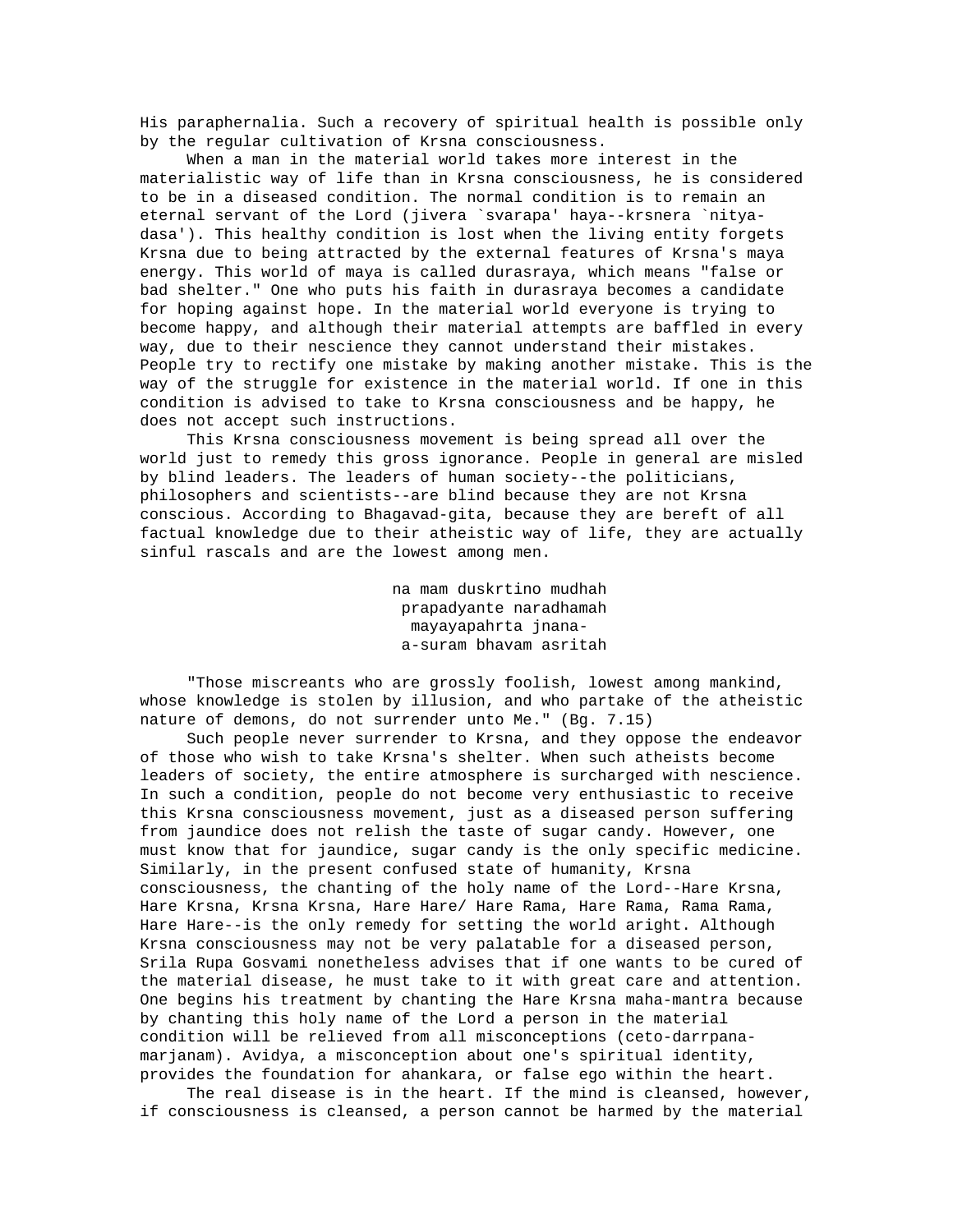His paraphernalia. Such a recovery of spiritual health is possible only by the regular cultivation of Krsna consciousness.

 When a man in the material world takes more interest in the materialistic way of life than in Krsna consciousness, he is considered to be in a diseased condition. The normal condition is to remain an eternal servant of the Lord (jivera `svarapa' haya--krsnera `nityadasa'). This healthy condition is lost when the living entity forgets Krsna due to being attracted by the external features of Krsna's maya energy. This world of maya is called durasraya, which means "false or bad shelter." One who puts his faith in durasraya becomes a candidate for hoping against hope. In the material world everyone is trying to become happy, and although their material attempts are baffled in every way, due to their nescience they cannot understand their mistakes. People try to rectify one mistake by making another mistake. This is the way of the struggle for existence in the material world. If one in this condition is advised to take to Krsna consciousness and be happy, he does not accept such instructions.

 This Krsna consciousness movement is being spread all over the world just to remedy this gross ignorance. People in general are misled by blind leaders. The leaders of human society--the politicians, philosophers and scientists--are blind because they are not Krsna conscious. According to Bhagavad-gita, because they are bereft of all factual knowledge due to their atheistic way of life, they are actually sinful rascals and are the lowest among men.

> na mam duskrtino mudhah prapadyante naradhamah mayayapahrta jnana a-suram bhavam asritah

 "Those miscreants who are grossly foolish, lowest among mankind, whose knowledge is stolen by illusion, and who partake of the atheistic nature of demons, do not surrender unto Me." (Bg. 7.15)

 Such people never surrender to Krsna, and they oppose the endeavor of those who wish to take Krsna's shelter. When such atheists become leaders of society, the entire atmosphere is surcharged with nescience. In such a condition, people do not become very enthusiastic to receive this Krsna consciousness movement, just as a diseased person suffering from jaundice does not relish the taste of sugar candy. However, one must know that for jaundice, sugar candy is the only specific medicine. Similarly, in the present confused state of humanity, Krsna consciousness, the chanting of the holy name of the Lord--Hare Krsna, Hare Krsna, Krsna Krsna, Hare Hare/ Hare Rama, Hare Rama, Rama Rama, Hare Hare--is the only remedy for setting the world aright. Although Krsna consciousness may not be very palatable for a diseased person, Srila Rupa Gosvami nonetheless advises that if one wants to be cured of the material disease, he must take to it with great care and attention. One begins his treatment by chanting the Hare Krsna maha-mantra because by chanting this holy name of the Lord a person in the material condition will be relieved from all misconceptions (ceto-darrpanamarjanam). Avidya, a misconception about one's spiritual identity, provides the foundation for ahankara, or false ego within the heart.

 The real disease is in the heart. If the mind is cleansed, however, if consciousness is cleansed, a person cannot be harmed by the material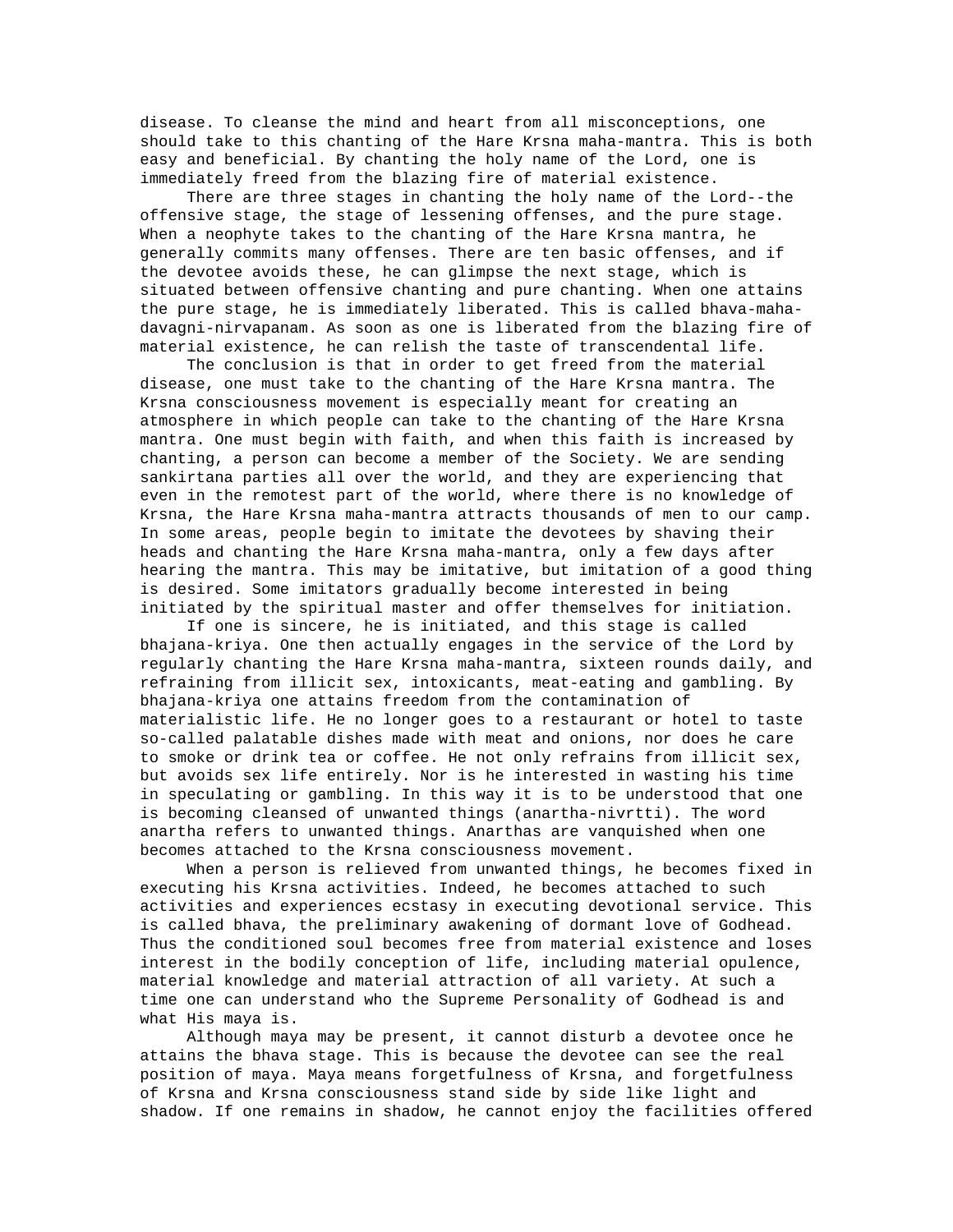disease. To cleanse the mind and heart from all misconceptions, one should take to this chanting of the Hare Krsna maha-mantra. This is both easy and beneficial. By chanting the holy name of the Lord, one is immediately freed from the blazing fire of material existence.

 There are three stages in chanting the holy name of the Lord--the offensive stage, the stage of lessening offenses, and the pure stage. When a neophyte takes to the chanting of the Hare Krsna mantra, he generally commits many offenses. There are ten basic offenses, and if the devotee avoids these, he can glimpse the next stage, which is situated between offensive chanting and pure chanting. When one attains the pure stage, he is immediately liberated. This is called bhava-mahadavagni-nirvapanam. As soon as one is liberated from the blazing fire of material existence, he can relish the taste of transcendental life.

 The conclusion is that in order to get freed from the material disease, one must take to the chanting of the Hare Krsna mantra. The Krsna consciousness movement is especially meant for creating an atmosphere in which people can take to the chanting of the Hare Krsna mantra. One must begin with faith, and when this faith is increased by chanting, a person can become a member of the Society. We are sending sankirtana parties all over the world, and they are experiencing that even in the remotest part of the world, where there is no knowledge of Krsna, the Hare Krsna maha-mantra attracts thousands of men to our camp. In some areas, people begin to imitate the devotees by shaving their heads and chanting the Hare Krsna maha-mantra, only a few days after hearing the mantra. This may be imitative, but imitation of a good thing is desired. Some imitators gradually become interested in being initiated by the spiritual master and offer themselves for initiation.

 If one is sincere, he is initiated, and this stage is called bhajana-kriya. One then actually engages in the service of the Lord by regularly chanting the Hare Krsna maha-mantra, sixteen rounds daily, and refraining from illicit sex, intoxicants, meat-eating and gambling. By bhajana-kriya one attains freedom from the contamination of materialistic life. He no longer goes to a restaurant or hotel to taste so-called palatable dishes made with meat and onions, nor does he care to smoke or drink tea or coffee. He not only refrains from illicit sex, but avoids sex life entirely. Nor is he interested in wasting his time in speculating or gambling. In this way it is to be understood that one is becoming cleansed of unwanted things (anartha-nivrtti). The word anartha refers to unwanted things. Anarthas are vanquished when one becomes attached to the Krsna consciousness movement.

 When a person is relieved from unwanted things, he becomes fixed in executing his Krsna activities. Indeed, he becomes attached to such activities and experiences ecstasy in executing devotional service. This is called bhava, the preliminary awakening of dormant love of Godhead. Thus the conditioned soul becomes free from material existence and loses interest in the bodily conception of life, including material opulence, material knowledge and material attraction of all variety. At such a time one can understand who the Supreme Personality of Godhead is and what His maya is.

 Although maya may be present, it cannot disturb a devotee once he attains the bhava stage. This is because the devotee can see the real position of maya. Maya means forgetfulness of Krsna, and forgetfulness of Krsna and Krsna consciousness stand side by side like light and shadow. If one remains in shadow, he cannot enjoy the facilities offered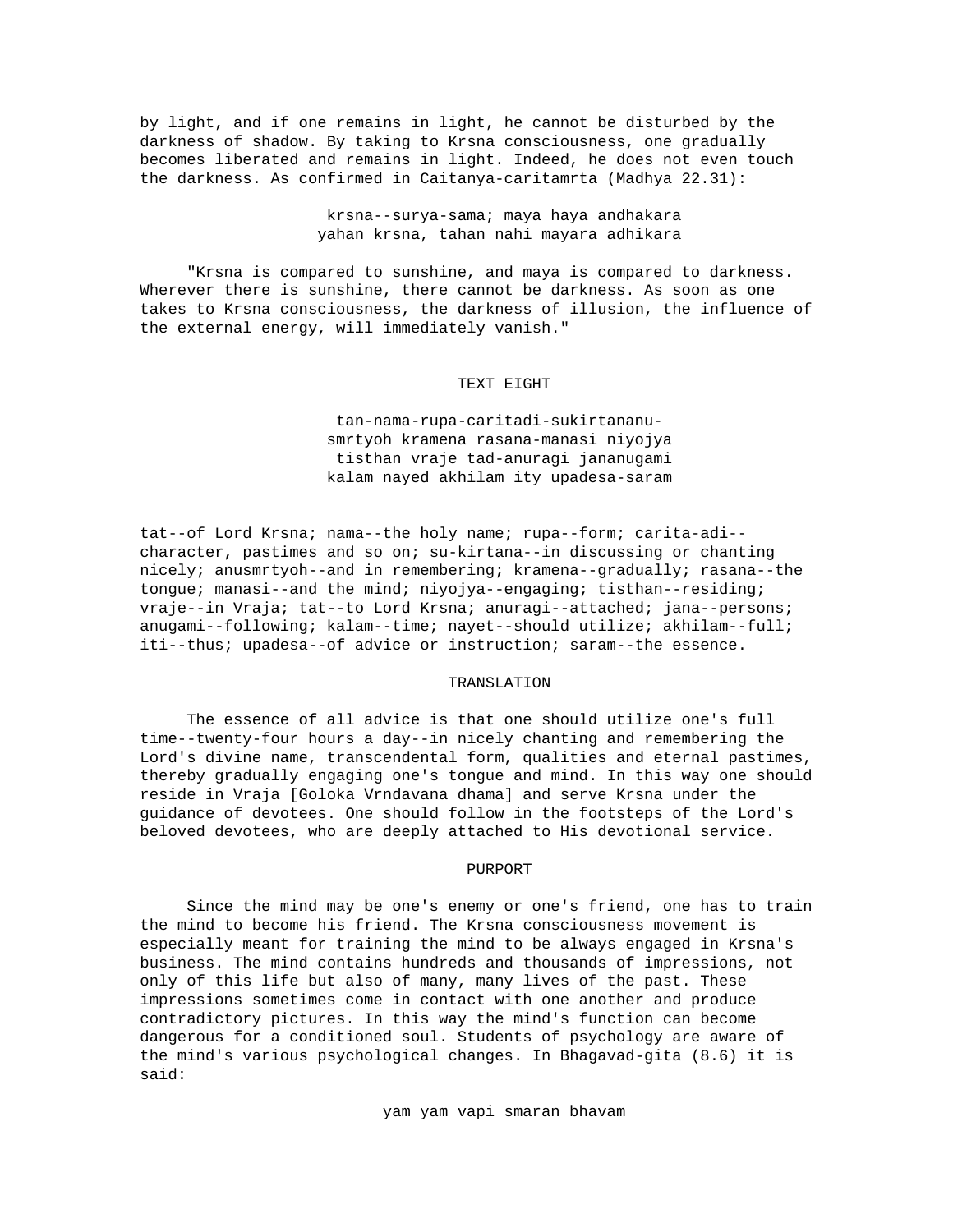by light, and if one remains in light, he cannot be disturbed by the darkness of shadow. By taking to Krsna consciousness, one gradually becomes liberated and remains in light. Indeed, he does not even touch the darkness. As confirmed in Caitanya-caritamrta (Madhya 22.31):

# krsna--surya-sama; maya haya andhakara yahan krsna, tahan nahi mayara adhikara

 "Krsna is compared to sunshine, and maya is compared to darkness. Wherever there is sunshine, there cannot be darkness. As soon as one takes to Krsna consciousness, the darkness of illusion, the influence of the external energy, will immediately vanish."

# TEXT EIGHT

 tan-nama-rupa-caritadi-sukirtananu smrtyoh kramena rasana-manasi niyojya tisthan vraje tad-anuragi jananugami kalam nayed akhilam ity upadesa-saram

tat--of Lord Krsna; nama--the holy name; rupa--form; carita-adi- character, pastimes and so on; su-kirtana--in discussing or chanting nicely; anusmrtyoh--and in remembering; kramena--gradually; rasana--the tongue; manasi--and the mind; niyojya--engaging; tisthan--residing; vraje--in Vraja; tat--to Lord Krsna; anuragi--attached; jana--persons; anugami--following; kalam--time; nayet--should utilize; akhilam--full; iti--thus; upadesa--of advice or instruction; saram--the essence.

# TRANSLATION

 The essence of all advice is that one should utilize one's full time--twenty-four hours a day--in nicely chanting and remembering the Lord's divine name, transcendental form, qualities and eternal pastimes, thereby gradually engaging one's tongue and mind. In this way one should reside in Vraja [Goloka Vrndavana dhama] and serve Krsna under the guidance of devotees. One should follow in the footsteps of the Lord's beloved devotees, who are deeply attached to His devotional service.

## PURPORT

 Since the mind may be one's enemy or one's friend, one has to train the mind to become his friend. The Krsna consciousness movement is especially meant for training the mind to be always engaged in Krsna's business. The mind contains hundreds and thousands of impressions, not only of this life but also of many, many lives of the past. These impressions sometimes come in contact with one another and produce contradictory pictures. In this way the mind's function can become dangerous for a conditioned soul. Students of psychology are aware of the mind's various psychological changes. In Bhagavad-gita (8.6) it is said: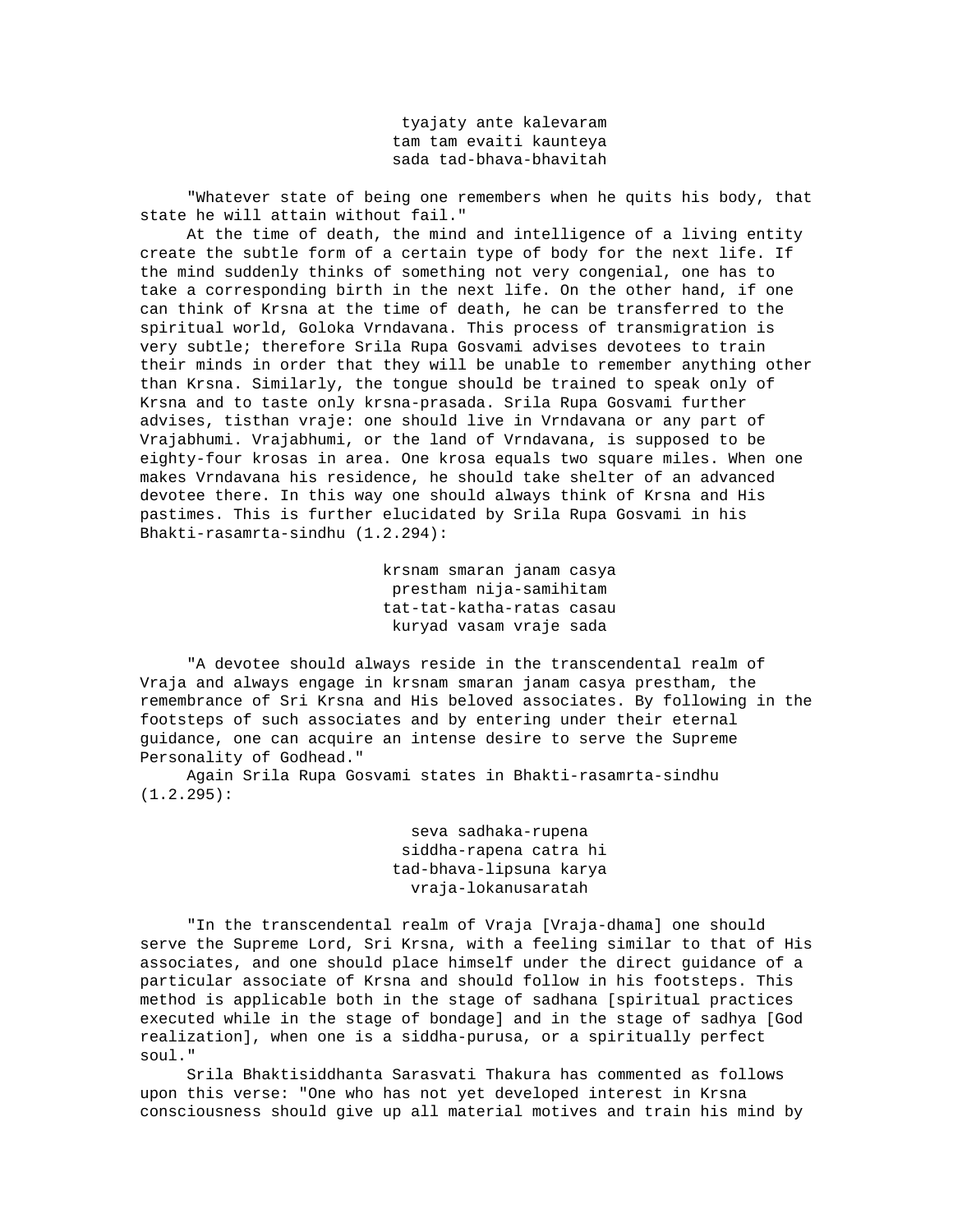tyajaty ante kalevaram tam tam evaiti kaunteya sada tad-bhava-bhavitah

 "Whatever state of being one remembers when he quits his body, that state he will attain without fail."

 At the time of death, the mind and intelligence of a living entity create the subtle form of a certain type of body for the next life. If the mind suddenly thinks of something not very congenial, one has to take a corresponding birth in the next life. On the other hand, if one can think of Krsna at the time of death, he can be transferred to the spiritual world, Goloka Vrndavana. This process of transmigration is very subtle; therefore Srila Rupa Gosvami advises devotees to train their minds in order that they will be unable to remember anything other than Krsna. Similarly, the tongue should be trained to speak only of Krsna and to taste only krsna-prasada. Srila Rupa Gosvami further advises, tisthan vraje: one should live in Vrndavana or any part of Vrajabhumi. Vrajabhumi, or the land of Vrndavana, is supposed to be eighty-four krosas in area. One krosa equals two square miles. When one makes Vrndavana his residence, he should take shelter of an advanced devotee there. In this way one should always think of Krsna and His pastimes. This is further elucidated by Srila Rupa Gosvami in his Bhakti-rasamrta-sindhu (1.2.294):

> krsnam smaran janam casya prestham nija-samihitam tat-tat-katha-ratas casau kuryad vasam vraje sada

 "A devotee should always reside in the transcendental realm of Vraja and always engage in krsnam smaran janam casya prestham, the remembrance of Sri Krsna and His beloved associates. By following in the footsteps of such associates and by entering under their eternal guidance, one can acquire an intense desire to serve the Supreme Personality of Godhead."

 Again Srila Rupa Gosvami states in Bhakti-rasamrta-sindhu (1.2.295):

> seva sadhaka-rupena siddha-rapena catra hi tad-bhava-lipsuna karya vraja-lokanusaratah

 "In the transcendental realm of Vraja [Vraja-dhama] one should serve the Supreme Lord, Sri Krsna, with a feeling similar to that of His associates, and one should place himself under the direct guidance of a particular associate of Krsna and should follow in his footsteps. This method is applicable both in the stage of sadhana [spiritual practices executed while in the stage of bondage] and in the stage of sadhya [God realization], when one is a siddha-purusa, or a spiritually perfect soul."

 Srila Bhaktisiddhanta Sarasvati Thakura has commented as follows upon this verse: "One who has not yet developed interest in Krsna consciousness should give up all material motives and train his mind by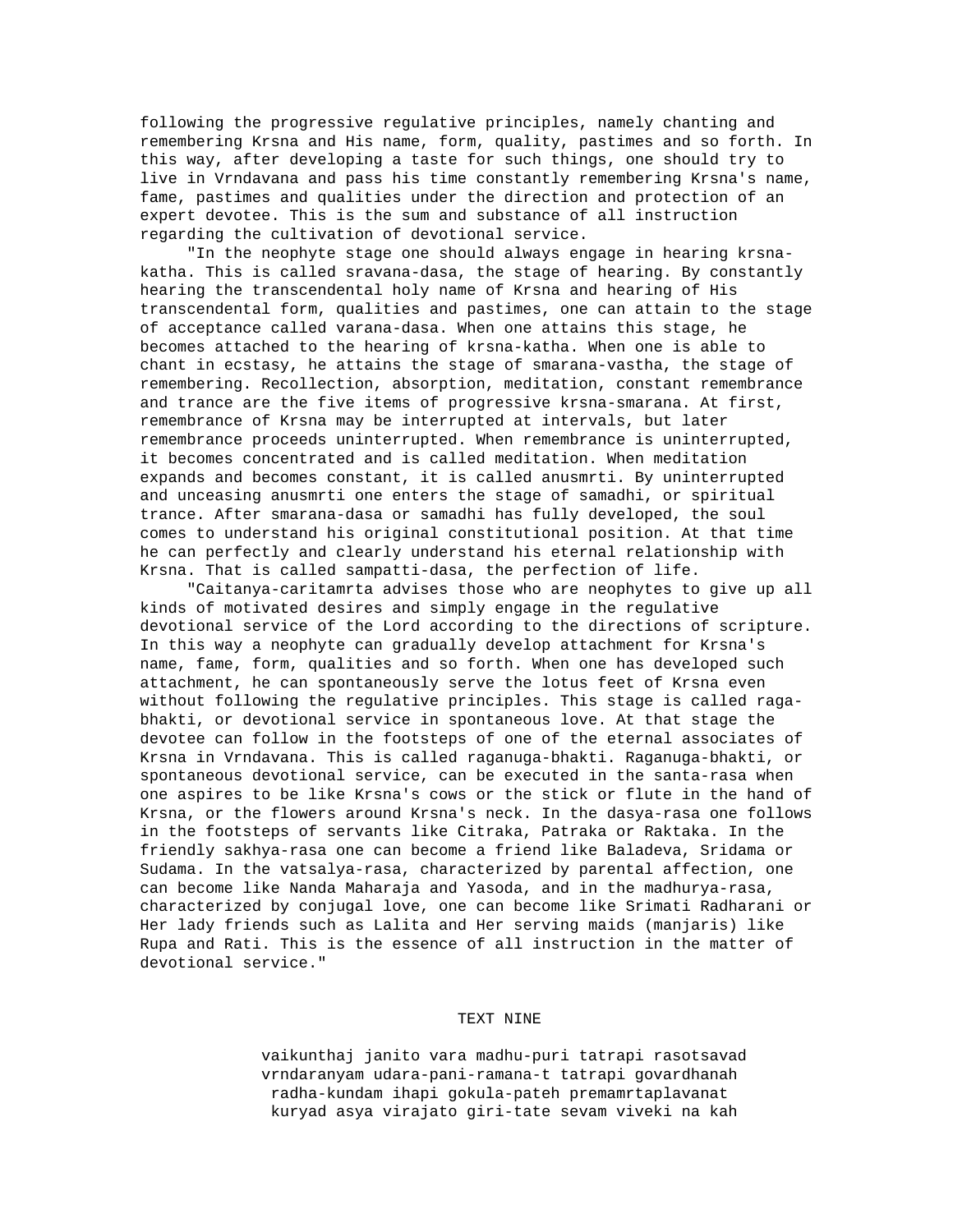following the progressive regulative principles, namely chanting and remembering Krsna and His name, form, quality, pastimes and so forth. In this way, after developing a taste for such things, one should try to live in Vrndavana and pass his time constantly remembering Krsna's name, fame, pastimes and qualities under the direction and protection of an expert devotee. This is the sum and substance of all instruction regarding the cultivation of devotional service.

 "In the neophyte stage one should always engage in hearing krsnakatha. This is called sravana-dasa, the stage of hearing. By constantly hearing the transcendental holy name of Krsna and hearing of His transcendental form, qualities and pastimes, one can attain to the stage of acceptance called varana-dasa. When one attains this stage, he becomes attached to the hearing of krsna-katha. When one is able to chant in ecstasy, he attains the stage of smarana-vastha, the stage of remembering. Recollection, absorption, meditation, constant remembrance and trance are the five items of progressive krsna-smarana. At first, remembrance of Krsna may be interrupted at intervals, but later remembrance proceeds uninterrupted. When remembrance is uninterrupted, it becomes concentrated and is called meditation. When meditation expands and becomes constant, it is called anusmrti. By uninterrupted and unceasing anusmrti one enters the stage of samadhi, or spiritual trance. After smarana-dasa or samadhi has fully developed, the soul comes to understand his original constitutional position. At that time he can perfectly and clearly understand his eternal relationship with Krsna. That is called sampatti-dasa, the perfection of life.

 "Caitanya-caritamrta advises those who are neophytes to give up all kinds of motivated desires and simply engage in the regulative devotional service of the Lord according to the directions of scripture. In this way a neophyte can gradually develop attachment for Krsna's name, fame, form, qualities and so forth. When one has developed such attachment, he can spontaneously serve the lotus feet of Krsna even without following the regulative principles. This stage is called ragabhakti, or devotional service in spontaneous love. At that stage the devotee can follow in the footsteps of one of the eternal associates of Krsna in Vrndavana. This is called raganuga-bhakti. Raganuga-bhakti, or spontaneous devotional service, can be executed in the santa-rasa when one aspires to be like Krsna's cows or the stick or flute in the hand of Krsna, or the flowers around Krsna's neck. In the dasya-rasa one follows in the footsteps of servants like Citraka, Patraka or Raktaka. In the friendly sakhya-rasa one can become a friend like Baladeva, Sridama or Sudama. In the vatsalya-rasa, characterized by parental affection, one can become like Nanda Maharaja and Yasoda, and in the madhurya-rasa, characterized by conjugal love, one can become like Srimati Radharani or Her lady friends such as Lalita and Her serving maids (manjaris) like Rupa and Rati. This is the essence of all instruction in the matter of devotional service."

# TEXT NINE

 vaikunthaj janito vara madhu-puri tatrapi rasotsavad vrndaranyam udara-pani-ramana-t tatrapi govardhanah radha-kundam ihapi gokula-pateh premamrtaplavanat kuryad asya virajato giri-tate sevam viveki na kah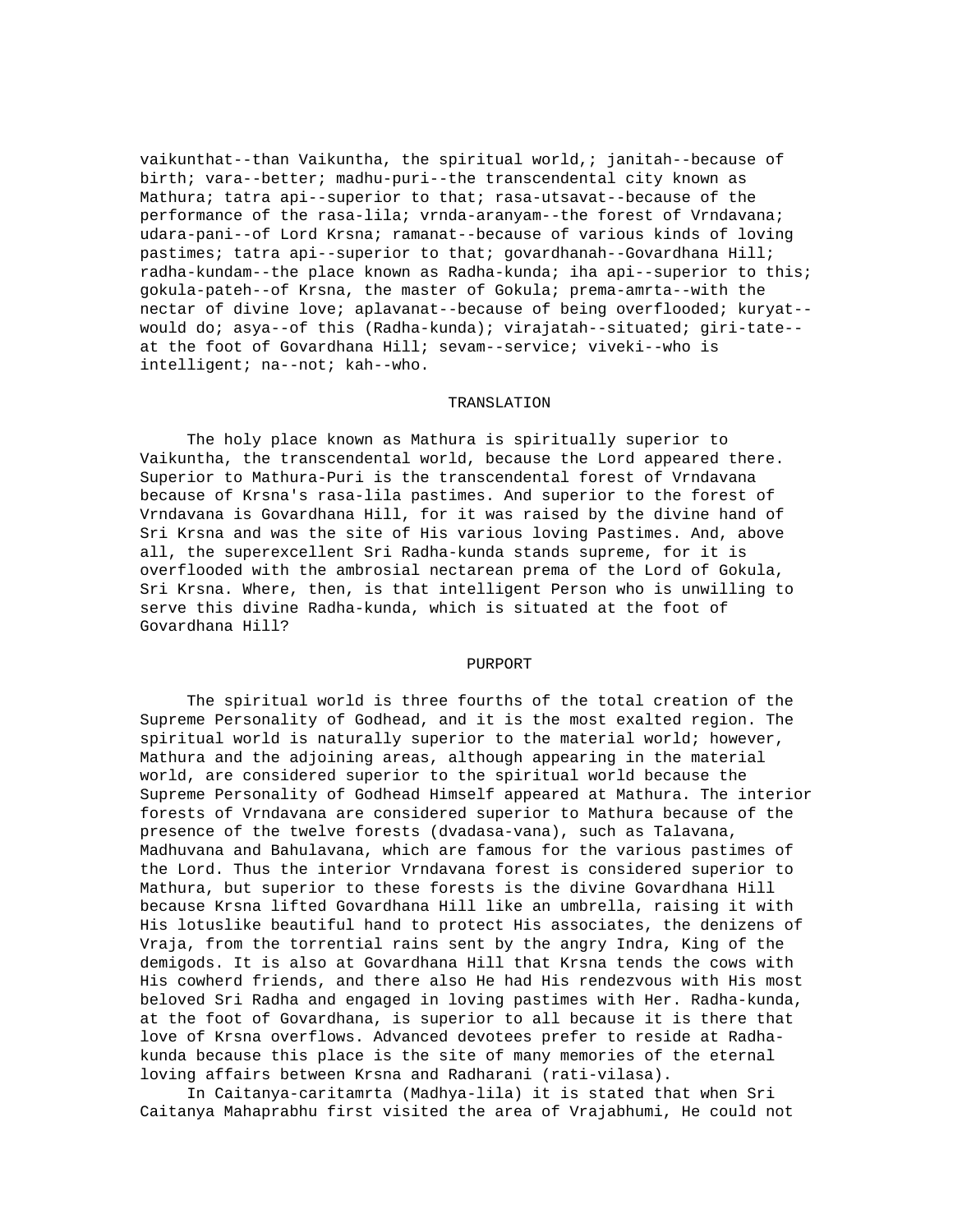vaikunthat--than Vaikuntha, the spiritual world,; janitah--because of birth; vara--better; madhu-puri--the transcendental city known as Mathura; tatra api--superior to that; rasa-utsavat--because of the performance of the rasa-lila; vrnda-aranyam--the forest of Vrndavana; udara-pani--of Lord Krsna; ramanat--because of various kinds of loving pastimes; tatra api--superior to that; govardhanah--Govardhana Hill; radha-kundam--the place known as Radha-kunda; iha api--superior to this; gokula-pateh--of Krsna, the master of Gokula; prema-amrta--with the nectar of divine love; aplavanat--because of being overflooded; kuryat- would do; asya--of this (Radha-kunda); virajatah--situated; giri-tate- at the foot of Govardhana Hill; sevam--service; viveki--who is intelligent; na--not; kah--who.

# TRANSLATION

 The holy place known as Mathura is spiritually superior to Vaikuntha, the transcendental world, because the Lord appeared there. Superior to Mathura-Puri is the transcendental forest of Vrndavana because of Krsna's rasa-lila pastimes. And superior to the forest of Vrndavana is Govardhana Hill, for it was raised by the divine hand of Sri Krsna and was the site of His various loving Pastimes. And, above all, the superexcellent Sri Radha-kunda stands supreme, for it is overflooded with the ambrosial nectarean prema of the Lord of Gokula, Sri Krsna. Where, then, is that intelligent Person who is unwilling to serve this divine Radha-kunda, which is situated at the foot of Govardhana Hill?

#### PURPORT

 The spiritual world is three fourths of the total creation of the Supreme Personality of Godhead, and it is the most exalted region. The spiritual world is naturally superior to the material world; however, Mathura and the adjoining areas, although appearing in the material world, are considered superior to the spiritual world because the Supreme Personality of Godhead Himself appeared at Mathura. The interior forests of Vrndavana are considered superior to Mathura because of the presence of the twelve forests (dvadasa-vana), such as Talavana, Madhuvana and Bahulavana, which are famous for the various pastimes of the Lord. Thus the interior Vrndavana forest is considered superior to Mathura, but superior to these forests is the divine Govardhana Hill because Krsna lifted Govardhana Hill like an umbrella, raising it with His lotuslike beautiful hand to protect His associates, the denizens of Vraja, from the torrential rains sent by the angry Indra, King of the demigods. It is also at Govardhana Hill that Krsna tends the cows with His cowherd friends, and there also He had His rendezvous with His most beloved Sri Radha and engaged in loving pastimes with Her. Radha-kunda, at the foot of Govardhana, is superior to all because it is there that love of Krsna overflows. Advanced devotees prefer to reside at Radhakunda because this place is the site of many memories of the eternal loving affairs between Krsna and Radharani (rati-vilasa).

 In Caitanya-caritamrta (Madhya-lila) it is stated that when Sri Caitanya Mahaprabhu first visited the area of Vrajabhumi, He could not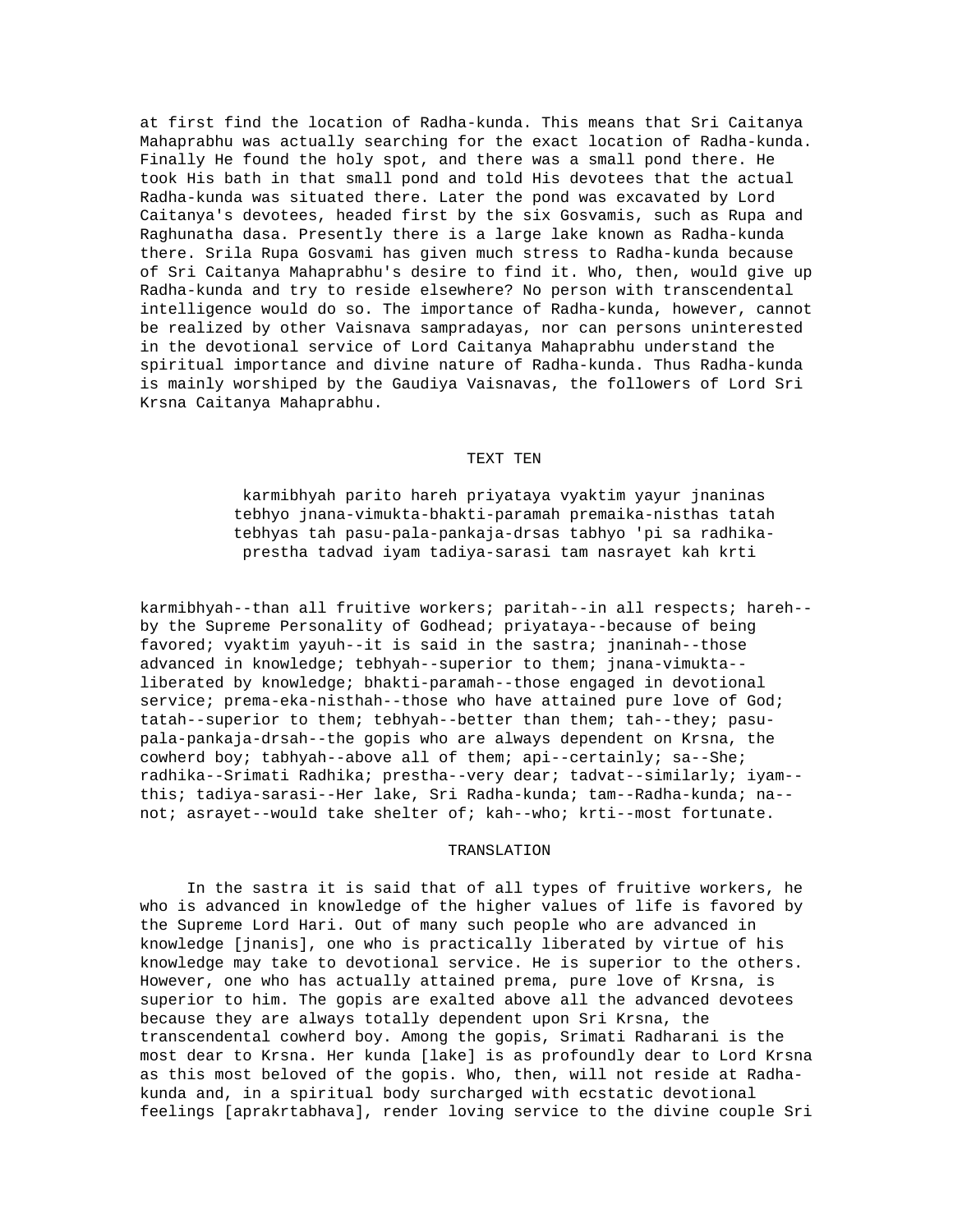at first find the location of Radha-kunda. This means that Sri Caitanya Mahaprabhu was actually searching for the exact location of Radha-kunda. Finally He found the holy spot, and there was a small pond there. He took His bath in that small pond and told His devotees that the actual Radha-kunda was situated there. Later the pond was excavated by Lord Caitanya's devotees, headed first by the six Gosvamis, such as Rupa and Raghunatha dasa. Presently there is a large lake known as Radha-kunda there. Srila Rupa Gosvami has given much stress to Radha-kunda because of Sri Caitanya Mahaprabhu's desire to find it. Who, then, would give up Radha-kunda and try to reside elsewhere? No person with transcendental intelligence would do so. The importance of Radha-kunda, however, cannot be realized by other Vaisnava sampradayas, nor can persons uninterested in the devotional service of Lord Caitanya Mahaprabhu understand the spiritual importance and divine nature of Radha-kunda. Thus Radha-kunda is mainly worshiped by the Gaudiya Vaisnavas, the followers of Lord Sri Krsna Caitanya Mahaprabhu.

## TEXT TEN

 karmibhyah parito hareh priyataya vyaktim yayur jnaninas tebhyo jnana-vimukta-bhakti-paramah premaika-nisthas tatah tebhyas tah pasu-pala-pankaja-drsas tabhyo 'pi sa radhika prestha tadvad iyam tadiya-sarasi tam nasrayet kah krti

karmibhyah--than all fruitive workers; paritah--in all respects; hareh- by the Supreme Personality of Godhead; priyataya--because of being favored; vyaktim yayuh--it is said in the sastra; jnaninah--those advanced in knowledge; tebhyah--superior to them; jnana-vimukta- liberated by knowledge; bhakti-paramah--those engaged in devotional service; prema-eka-nisthah--those who have attained pure love of God; tatah--superior to them; tebhyah--better than them; tah--they; pasupala-pankaja-drsah--the gopis who are always dependent on Krsna, the cowherd boy; tabhyah--above all of them; api--certainly; sa--She; radhika--Srimati Radhika; prestha--very dear; tadvat--similarly; iyam- this; tadiya-sarasi--Her lake, Sri Radha-kunda; tam--Radha-kunda; na- not; asrayet--would take shelter of; kah--who; krti--most fortunate.

#### TRANSLATION

 In the sastra it is said that of all types of fruitive workers, he who is advanced in knowledge of the higher values of life is favored by the Supreme Lord Hari. Out of many such people who are advanced in knowledge [jnanis], one who is practically liberated by virtue of his knowledge may take to devotional service. He is superior to the others. However, one who has actually attained prema, pure love of Krsna, is superior to him. The gopis are exalted above all the advanced devotees because they are always totally dependent upon Sri Krsna, the transcendental cowherd boy. Among the gopis, Srimati Radharani is the most dear to Krsna. Her kunda [lake] is as profoundly dear to Lord Krsna as this most beloved of the gopis. Who, then, will not reside at Radhakunda and, in a spiritual body surcharged with ecstatic devotional feelings [aprakrtabhava], render loving service to the divine couple Sri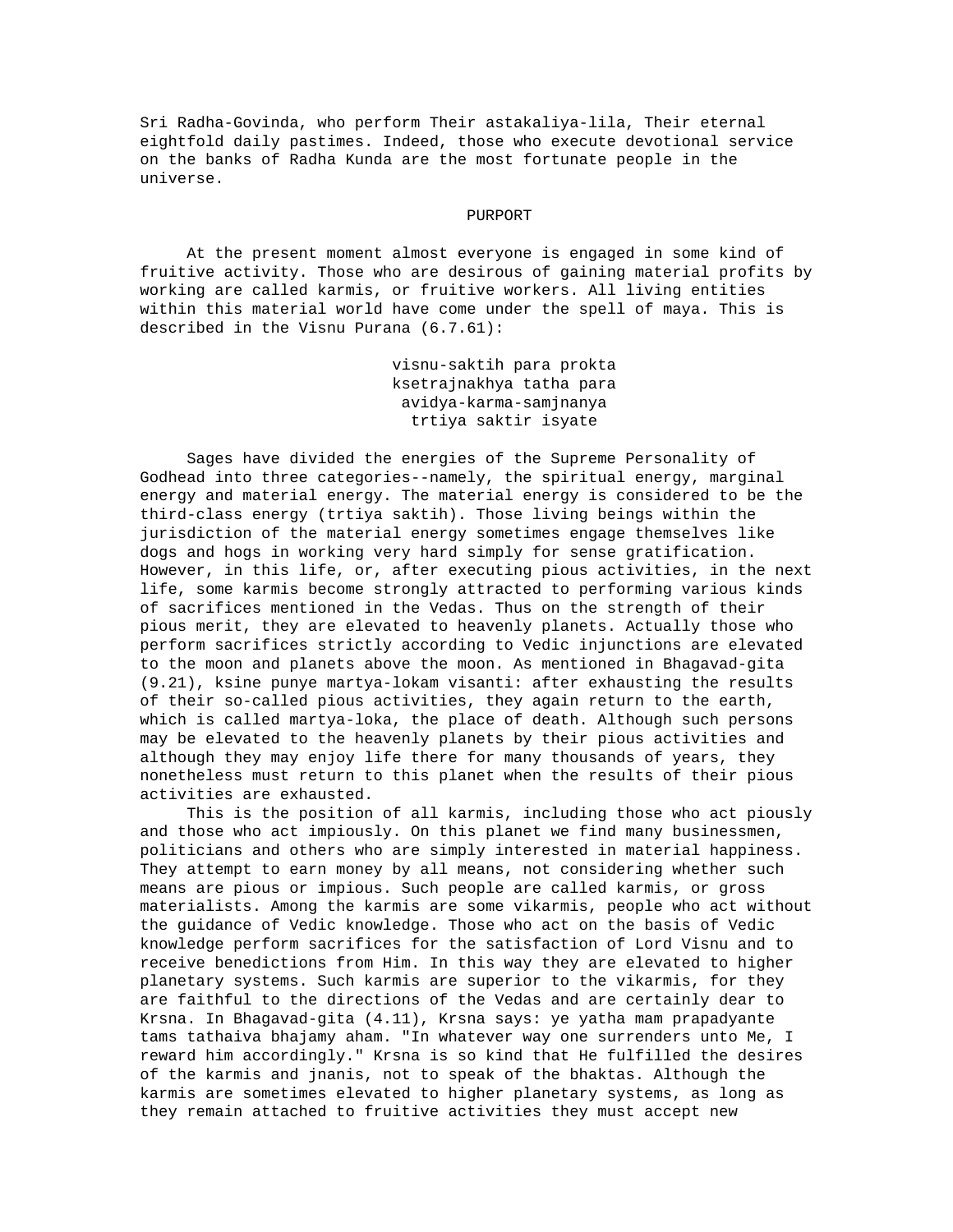Sri Radha-Govinda, who perform Their astakaliya-lila, Their eternal eightfold daily pastimes. Indeed, those who execute devotional service on the banks of Radha Kunda are the most fortunate people in the universe.

PURPORT

 At the present moment almost everyone is engaged in some kind of fruitive activity. Those who are desirous of gaining material profits by working are called karmis, or fruitive workers. All living entities within this material world have come under the spell of maya. This is described in the Visnu Purana (6.7.61):

> visnu-saktih para prokta ksetrajnakhya tatha para avidya-karma-samjnanya trtiya saktir isyate

 Sages have divided the energies of the Supreme Personality of Godhead into three categories--namely, the spiritual energy, marginal energy and material energy. The material energy is considered to be the third-class energy (trtiya saktih). Those living beings within the jurisdiction of the material energy sometimes engage themselves like dogs and hogs in working very hard simply for sense gratification. However, in this life, or, after executing pious activities, in the next life, some karmis become strongly attracted to performing various kinds of sacrifices mentioned in the Vedas. Thus on the strength of their pious merit, they are elevated to heavenly planets. Actually those who perform sacrifices strictly according to Vedic injunctions are elevated to the moon and planets above the moon. As mentioned in Bhagavad-gita (9.21), ksine punye martya-lokam visanti: after exhausting the results of their so-called pious activities, they again return to the earth, which is called martya-loka, the place of death. Although such persons may be elevated to the heavenly planets by their pious activities and although they may enjoy life there for many thousands of years, they nonetheless must return to this planet when the results of their pious activities are exhausted.

 This is the position of all karmis, including those who act piously and those who act impiously. On this planet we find many businessmen, politicians and others who are simply interested in material happiness. They attempt to earn money by all means, not considering whether such means are pious or impious. Such people are called karmis, or gross materialists. Among the karmis are some vikarmis, people who act without the guidance of Vedic knowledge. Those who act on the basis of Vedic knowledge perform sacrifices for the satisfaction of Lord Visnu and to receive benedictions from Him. In this way they are elevated to higher planetary systems. Such karmis are superior to the vikarmis, for they are faithful to the directions of the Vedas and are certainly dear to Krsna. In Bhagavad-gita (4.11), Krsna says: ye yatha mam prapadyante tams tathaiva bhajamy aham. "In whatever way one surrenders unto Me, I reward him accordingly." Krsna is so kind that He fulfilled the desires of the karmis and jnanis, not to speak of the bhaktas. Although the karmis are sometimes elevated to higher planetary systems, as long as they remain attached to fruitive activities they must accept new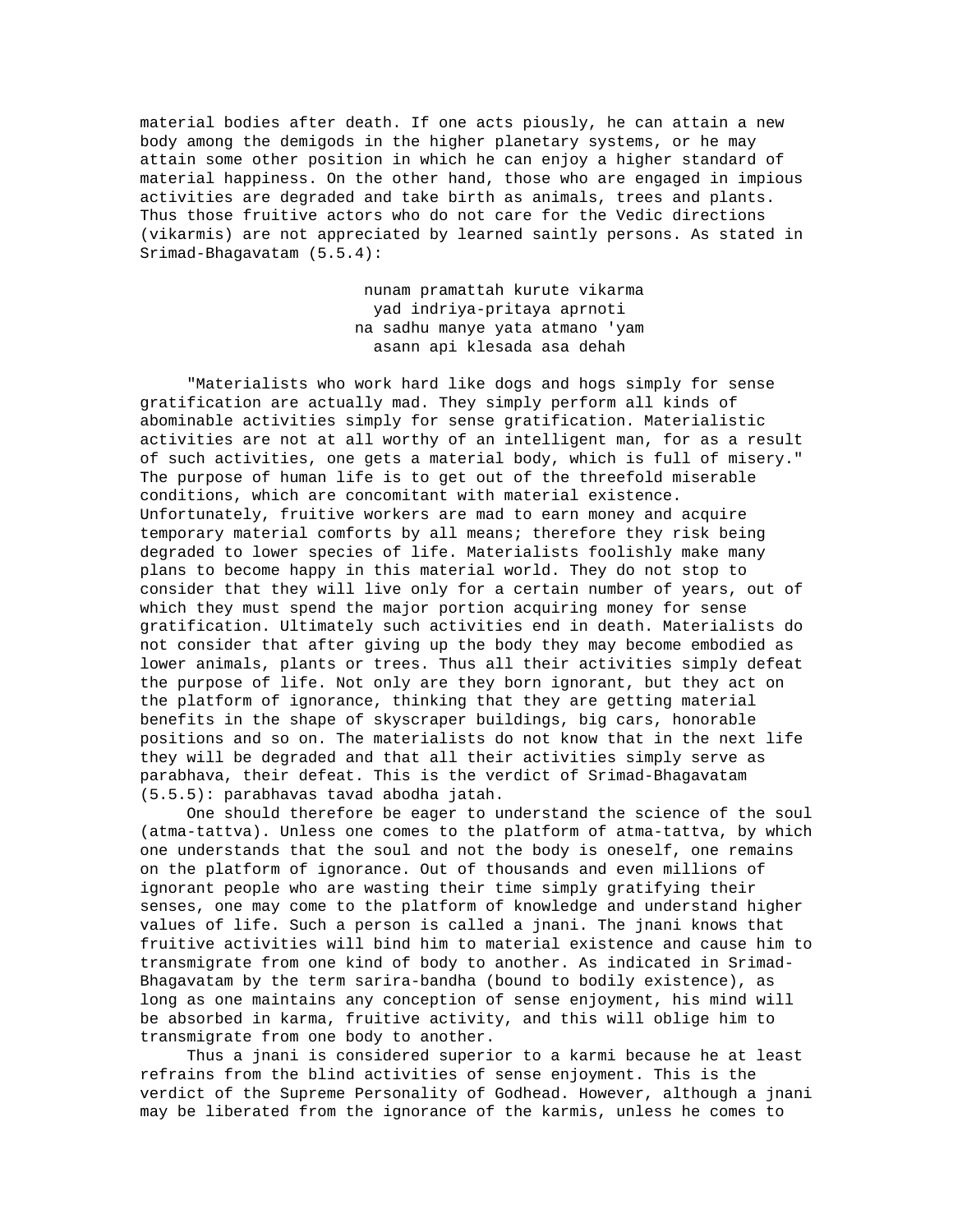material bodies after death. If one acts piously, he can attain a new body among the demigods in the higher planetary systems, or he may attain some other position in which he can enjoy a higher standard of material happiness. On the other hand, those who are engaged in impious activities are degraded and take birth as animals, trees and plants. Thus those fruitive actors who do not care for the Vedic directions (vikarmis) are not appreciated by learned saintly persons. As stated in Srimad-Bhagavatam (5.5.4):

> nunam pramattah kurute vikarma yad indriya-pritaya aprnoti na sadhu manye yata atmano 'yam asann api klesada asa dehah

 "Materialists who work hard like dogs and hogs simply for sense gratification are actually mad. They simply perform all kinds of abominable activities simply for sense gratification. Materialistic activities are not at all worthy of an intelligent man, for as a result of such activities, one gets a material body, which is full of misery." The purpose of human life is to get out of the threefold miserable conditions, which are concomitant with material existence. Unfortunately, fruitive workers are mad to earn money and acquire temporary material comforts by all means; therefore they risk being degraded to lower species of life. Materialists foolishly make many plans to become happy in this material world. They do not stop to consider that they will live only for a certain number of years, out of which they must spend the major portion acquiring money for sense gratification. Ultimately such activities end in death. Materialists do not consider that after giving up the body they may become embodied as lower animals, plants or trees. Thus all their activities simply defeat the purpose of life. Not only are they born ignorant, but they act on the platform of ignorance, thinking that they are getting material benefits in the shape of skyscraper buildings, big cars, honorable positions and so on. The materialists do not know that in the next life they will be degraded and that all their activities simply serve as parabhava, their defeat. This is the verdict of Srimad-Bhagavatam (5.5.5): parabhavas tavad abodha jatah.

 One should therefore be eager to understand the science of the soul (atma-tattva). Unless one comes to the platform of atma-tattva, by which one understands that the soul and not the body is oneself, one remains on the platform of ignorance. Out of thousands and even millions of ignorant people who are wasting their time simply gratifying their senses, one may come to the platform of knowledge and understand higher values of life. Such a person is called a jnani. The jnani knows that fruitive activities will bind him to material existence and cause him to transmigrate from one kind of body to another. As indicated in Srimad-Bhagavatam by the term sarira-bandha (bound to bodily existence), as long as one maintains any conception of sense enjoyment, his mind will be absorbed in karma, fruitive activity, and this will oblige him to transmigrate from one body to another.

 Thus a jnani is considered superior to a karmi because he at least refrains from the blind activities of sense enjoyment. This is the verdict of the Supreme Personality of Godhead. However, although a jnani may be liberated from the ignorance of the karmis, unless he comes to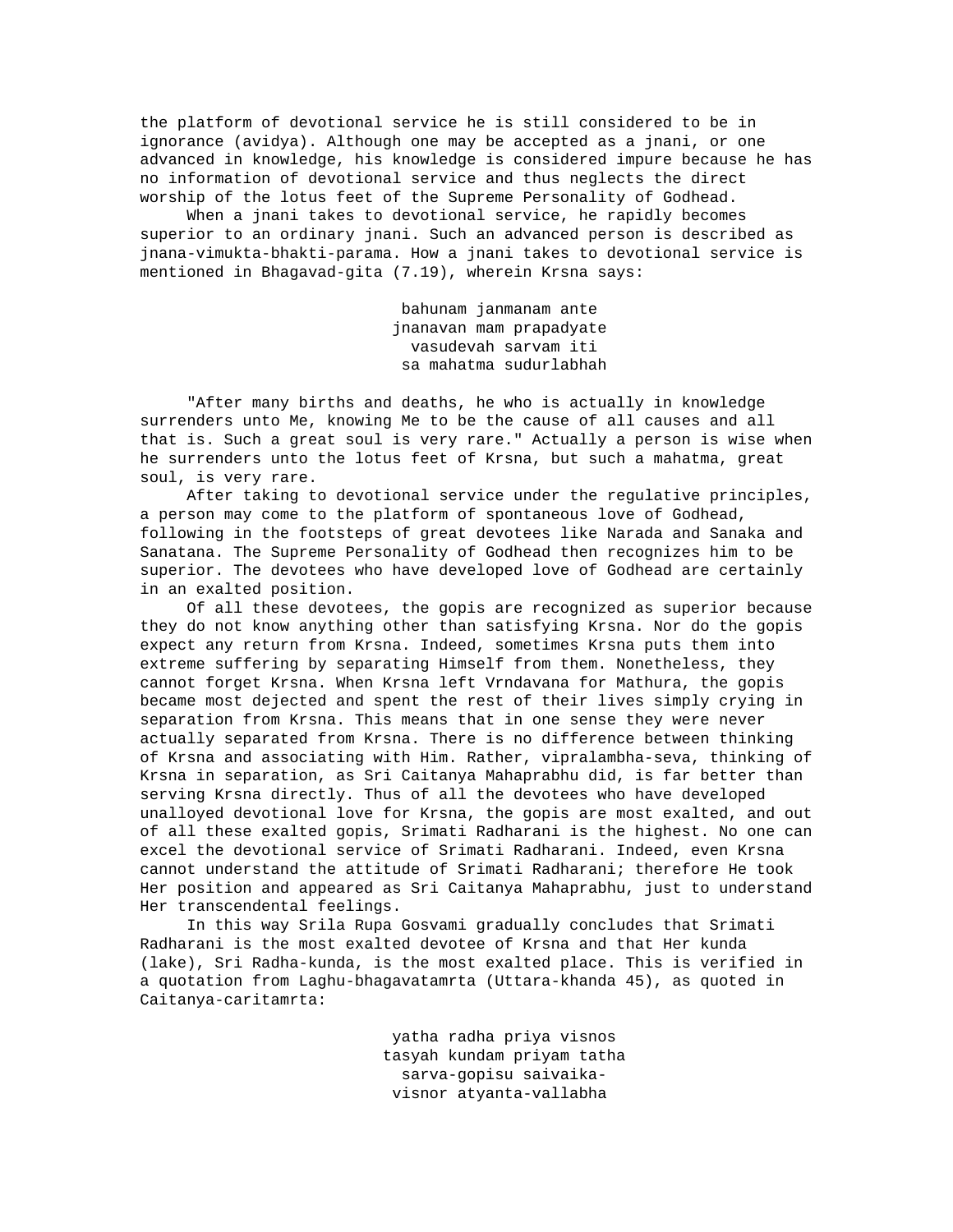the platform of devotional service he is still considered to be in ignorance (avidya). Although one may be accepted as a jnani, or one advanced in knowledge, his knowledge is considered impure because he has no information of devotional service and thus neglects the direct worship of the lotus feet of the Supreme Personality of Godhead.

 When a jnani takes to devotional service, he rapidly becomes superior to an ordinary jnani. Such an advanced person is described as jnana-vimukta-bhakti-parama. How a jnani takes to devotional service is mentioned in Bhagavad-gita (7.19), wherein Krsna says:

> bahunam janmanam ante jnanavan mam prapadyate vasudevah sarvam iti sa mahatma sudurlabhah

 "After many births and deaths, he who is actually in knowledge surrenders unto Me, knowing Me to be the cause of all causes and all that is. Such a great soul is very rare." Actually a person is wise when he surrenders unto the lotus feet of Krsna, but such a mahatma, great soul, is very rare.

 After taking to devotional service under the regulative principles, a person may come to the platform of spontaneous love of Godhead, following in the footsteps of great devotees like Narada and Sanaka and Sanatana. The Supreme Personality of Godhead then recognizes him to be superior. The devotees who have developed love of Godhead are certainly in an exalted position.

 Of all these devotees, the gopis are recognized as superior because they do not know anything other than satisfying Krsna. Nor do the gopis expect any return from Krsna. Indeed, sometimes Krsna puts them into extreme suffering by separating Himself from them. Nonetheless, they cannot forget Krsna. When Krsna left Vrndavana for Mathura, the gopis became most dejected and spent the rest of their lives simply crying in separation from Krsna. This means that in one sense they were never actually separated from Krsna. There is no difference between thinking of Krsna and associating with Him. Rather, vipralambha-seva, thinking of Krsna in separation, as Sri Caitanya Mahaprabhu did, is far better than serving Krsna directly. Thus of all the devotees who have developed unalloyed devotional love for Krsna, the gopis are most exalted, and out of all these exalted gopis, Srimati Radharani is the highest. No one can excel the devotional service of Srimati Radharani. Indeed, even Krsna cannot understand the attitude of Srimati Radharani; therefore He took Her position and appeared as Sri Caitanya Mahaprabhu, just to understand Her transcendental feelings.

 In this way Srila Rupa Gosvami gradually concludes that Srimati Radharani is the most exalted devotee of Krsna and that Her kunda (lake), Sri Radha-kunda, is the most exalted place. This is verified in a quotation from Laghu-bhagavatamrta (Uttara-khanda 45), as quoted in Caitanya-caritamrta:

> yatha radha priya visnos tasyah kundam priyam tatha sarva-gopisu saivaika visnor atyanta-vallabha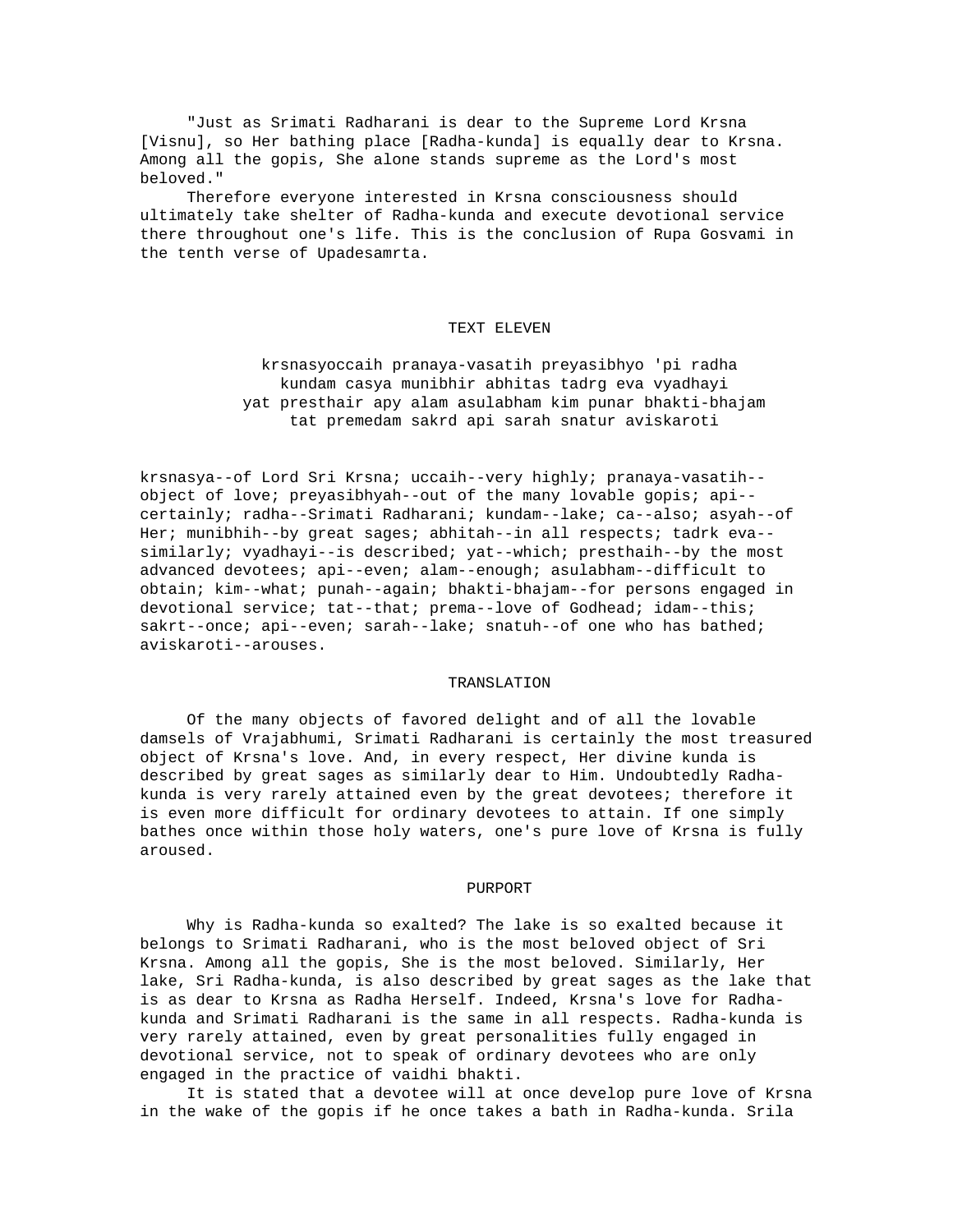"Just as Srimati Radharani is dear to the Supreme Lord Krsna [Visnu], so Her bathing place [Radha-kunda] is equally dear to Krsna. Among all the gopis, She alone stands supreme as the Lord's most beloved."

 Therefore everyone interested in Krsna consciousness should ultimately take shelter of Radha-kunda and execute devotional service there throughout one's life. This is the conclusion of Rupa Gosvami in the tenth verse of Upadesamrta.

#### TEXT ELEVEN

 krsnasyoccaih pranaya-vasatih preyasibhyo 'pi radha kundam casya munibhir abhitas tadrg eva vyadhayi yat presthair apy alam asulabham kim punar bhakti-bhajam tat premedam sakrd api sarah snatur aviskaroti

krsnasya--of Lord Sri Krsna; uccaih--very highly; pranaya-vasatih- object of love; preyasibhyah--out of the many lovable gopis; api- certainly; radha--Srimati Radharani; kundam--lake; ca--also; asyah--of Her; munibhih--by great sages; abhitah--in all respects; tadrk eva- similarly; vyadhayi--is described; yat--which; presthaih--by the most advanced devotees; api--even; alam--enough; asulabham--difficult to obtain; kim--what; punah--again; bhakti-bhajam--for persons engaged in devotional service; tat--that; prema--love of Godhead; idam--this; sakrt--once; api--even; sarah--lake; snatuh--of one who has bathed; aviskaroti--arouses.

### TRANSLATION

 Of the many objects of favored delight and of all the lovable damsels of Vrajabhumi, Srimati Radharani is certainly the most treasured object of Krsna's love. And, in every respect, Her divine kunda is described by great sages as similarly dear to Him. Undoubtedly Radhakunda is very rarely attained even by the great devotees; therefore it is even more difficult for ordinary devotees to attain. If one simply bathes once within those holy waters, one's pure love of Krsna is fully aroused.

#### PURPORT

 Why is Radha-kunda so exalted? The lake is so exalted because it belongs to Srimati Radharani, who is the most beloved object of Sri Krsna. Among all the gopis, She is the most beloved. Similarly, Her lake, Sri Radha-kunda, is also described by great sages as the lake that is as dear to Krsna as Radha Herself. Indeed, Krsna's love for Radhakunda and Srimati Radharani is the same in all respects. Radha-kunda is very rarely attained, even by great personalities fully engaged in devotional service, not to speak of ordinary devotees who are only engaged in the practice of vaidhi bhakti.

 It is stated that a devotee will at once develop pure love of Krsna in the wake of the gopis if he once takes a bath in Radha-kunda. Srila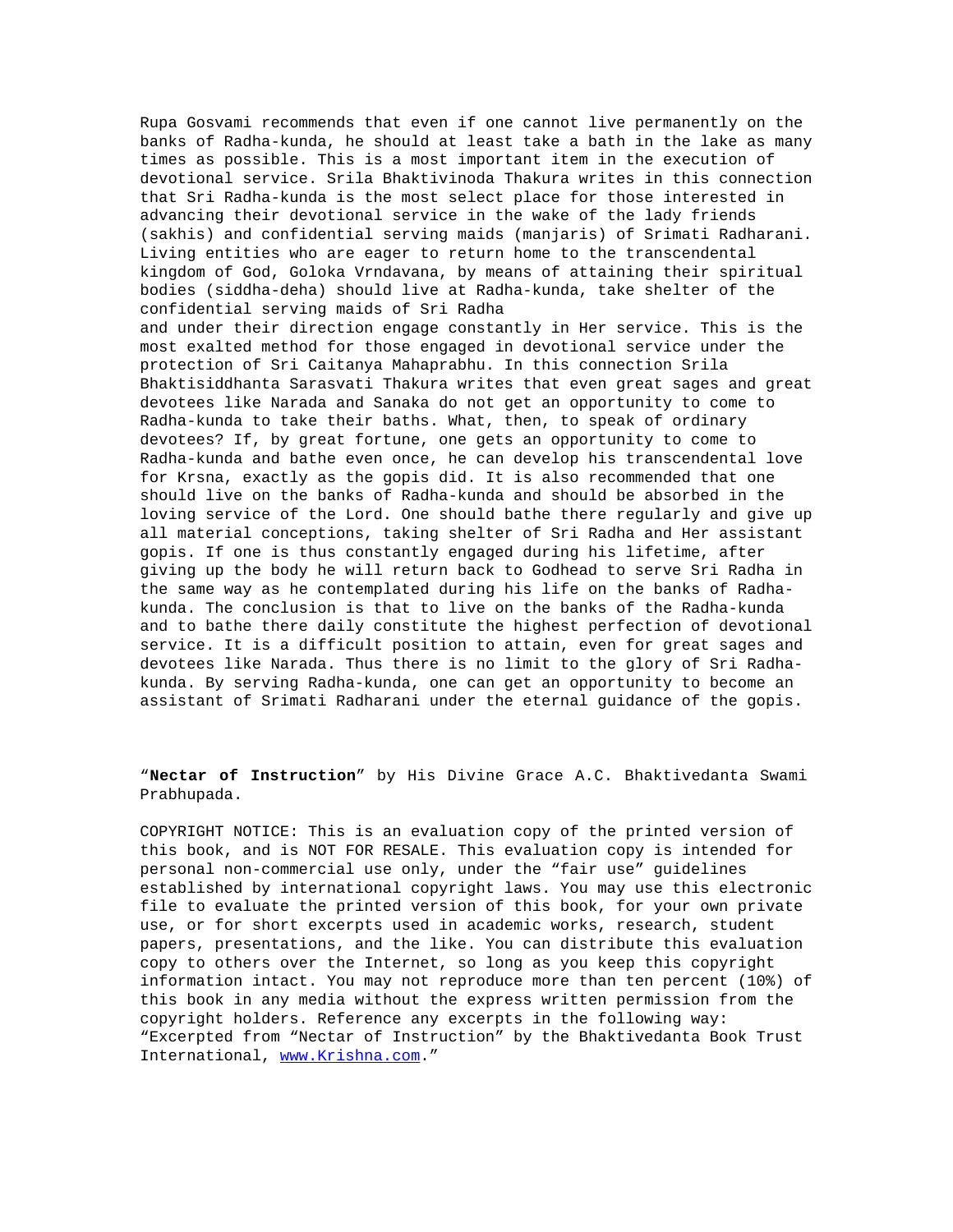Rupa Gosvami recommends that even if one cannot live permanently on the banks of Radha-kunda, he should at least take a bath in the lake as many times as possible. This is a most important item in the execution of devotional service. Srila Bhaktivinoda Thakura writes in this connection that Sri Radha-kunda is the most select place for those interested in advancing their devotional service in the wake of the lady friends (sakhis) and confidential serving maids (manjaris) of Srimati Radharani. Living entities who are eager to return home to the transcendental kingdom of God, Goloka Vrndavana, by means of attaining their spiritual bodies (siddha-deha) should live at Radha-kunda, take shelter of the confidential serving maids of Sri Radha and under their direction engage constantly in Her service. This is the most exalted method for those engaged in devotional service under the protection of Sri Caitanya Mahaprabhu. In this connection Srila Bhaktisiddhanta Sarasvati Thakura writes that even great sages and great devotees like Narada and Sanaka do not get an opportunity to come to Radha-kunda to take their baths. What, then, to speak of ordinary devotees? If, by great fortune, one gets an opportunity to come to Radha-kunda and bathe even once, he can develop his transcendental love for Krsna, exactly as the gopis did. It is also recommended that one should live on the banks of Radha-kunda and should be absorbed in the loving service of the Lord. One should bathe there regularly and give up all material conceptions, taking shelter of Sri Radha and Her assistant gopis. If one is thus constantly engaged during his lifetime, after giving up the body he will return back to Godhead to serve Sri Radha in the same way as he contemplated during his life on the banks of Radhakunda. The conclusion is that to live on the banks of the Radha-kunda and to bathe there daily constitute the highest perfection of devotional service. It is a difficult position to attain, even for great sages and devotees like Narada. Thus there is no limit to the glory of Sri Radhakunda. By serving Radha-kunda, one can get an opportunity to become an assistant of Srimati Radharani under the eternal guidance of the gopis.

"**Nectar of Instruction**" by His Divine Grace A.C. Bhaktivedanta Swami Prabhupada.

COPYRIGHT NOTICE: This is an evaluation copy of the printed version of this book, and is NOT FOR RESALE. This evaluation copy is intended for personal non-commercial use only, under the "fair use" guidelines established by international copyright laws. You may use this electronic file to evaluate the printed version of this book, for your own private use, or for short excerpts used in academic works, research, student papers, presentations, and the like. You can distribute this evaluation copy to others over the Internet, so long as you keep this copyright information intact. You may not reproduce more than ten percent (10%) of this book in any media without the express written permission from the copyright holders. Reference any excerpts in the following way: "Excerpted from "Nectar of Instruction" by the Bhaktivedanta Book Trust International, www.Krishna.com."